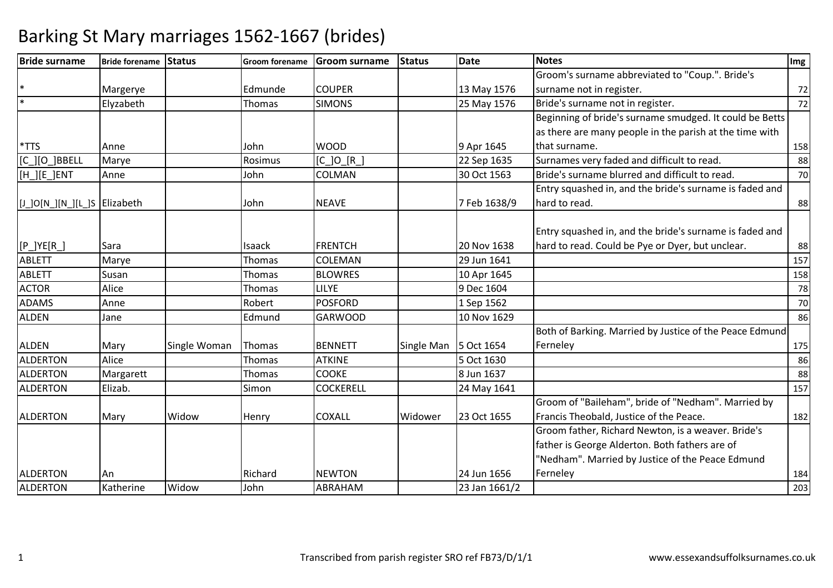| <b>Bride surname</b>          | Bride forename Status |              | <b>Groom forename</b> | <b>Groom surname</b> | <b>Status</b> | Date          | <b>Notes</b>                                            | Img |
|-------------------------------|-----------------------|--------------|-----------------------|----------------------|---------------|---------------|---------------------------------------------------------|-----|
|                               |                       |              |                       |                      |               |               | Groom's surname abbreviated to "Coup.". Bride's         |     |
|                               | Margerye              |              | Edmunde               | <b>COUPER</b>        |               | 13 May 1576   | surname not in register.                                | 72  |
|                               | Elyzabeth             |              | Thomas                | <b>SIMONS</b>        |               | 25 May 1576   | Bride's surname not in register.                        | 72  |
|                               |                       |              |                       |                      |               |               | Beginning of bride's surname smudged. It could be Betts |     |
|                               |                       |              |                       |                      |               |               | as there are many people in the parish at the time with |     |
| $*TTS$                        | Anne                  |              | John                  | <b>WOOD</b>          |               | 9 Apr 1645    | that surname.                                           | 158 |
| [C ][O ]BBELL                 | Marye                 |              | Rosimus               | $[C_]O[R_]$          |               | 22 Sep 1635   | Surnames very faded and difficult to read.              | 88  |
| [H_][E_]ENT                   | Anne                  |              | John                  | COLMAN               |               | 30 Oct 1563   | Bride's surname blurred and difficult to read.          | 70  |
|                               |                       |              |                       |                      |               |               | Entry squashed in, and the bride's surname is faded and |     |
| [J_]O[N_][N_][L_]S  Elizabeth |                       |              | John                  | <b>NEAVE</b>         |               | 7 Feb 1638/9  | hard to read.                                           | 88  |
|                               |                       |              |                       |                      |               |               |                                                         |     |
|                               |                       |              |                       |                      |               |               | Entry squashed in, and the bride's surname is faded and |     |
| $[P_]YE[R_]$                  | Sara                  |              | Isaack                | <b>FRENTCH</b>       |               | 20 Nov 1638   | hard to read. Could be Pye or Dyer, but unclear.        | 88  |
| <b>ABLETT</b>                 | Marye                 |              | Thomas                | <b>COLEMAN</b>       |               | 29 Jun 1641   |                                                         | 157 |
| <b>ABLETT</b>                 | Susan                 |              | Thomas                | <b>BLOWRES</b>       |               | 10 Apr 1645   |                                                         | 158 |
| <b>ACTOR</b>                  | Alice                 |              | Thomas                | <b>LILYE</b>         |               | 9 Dec 1604    |                                                         | 78  |
| <b>ADAMS</b>                  | Anne                  |              | Robert                | <b>POSFORD</b>       |               | 1 Sep 1562    |                                                         | 70  |
| <b>ALDEN</b>                  | Jane                  |              | Edmund                | <b>GARWOOD</b>       |               | 10 Nov 1629   |                                                         | 86  |
|                               |                       |              |                       |                      |               |               | Both of Barking. Married by Justice of the Peace Edmund |     |
| <b>ALDEN</b>                  | Mary                  | Single Woman | Thomas                | <b>BENNETT</b>       | Single Man    | 5 Oct 1654    | Ferneley                                                | 175 |
| <b>ALDERTON</b>               | Alice                 |              | Thomas                | <b>ATKINE</b>        |               | 5 Oct 1630    |                                                         | 86  |
| <b>ALDERTON</b>               | Margarett             |              | Thomas                | <b>COOKE</b>         |               | 8 Jun 1637    |                                                         | 88  |
| <b>ALDERTON</b>               | Elizab.               |              | Simon                 | <b>COCKERELL</b>     |               | 24 May 1641   |                                                         | 157 |
|                               |                       |              |                       |                      |               |               | Groom of "Baileham", bride of "Nedham". Married by      |     |
| <b>ALDERTON</b>               | Mary                  | Widow        | Henry                 | <b>COXALL</b>        | Widower       | 23 Oct 1655   | Francis Theobald, Justice of the Peace.                 | 182 |
|                               |                       |              |                       |                      |               |               | Groom father, Richard Newton, is a weaver. Bride's      |     |
|                               |                       |              |                       |                      |               |               | father is George Alderton. Both fathers are of          |     |
|                               |                       |              |                       |                      |               |               | "Nedham". Married by Justice of the Peace Edmund        |     |
| <b>ALDERTON</b>               | An                    |              | Richard               | <b>NEWTON</b>        |               | 24 Jun 1656   | Ferneley                                                | 184 |
| <b>ALDERTON</b>               | Katherine             | Widow        | John                  | ABRAHAM              |               | 23 Jan 1661/2 |                                                         | 203 |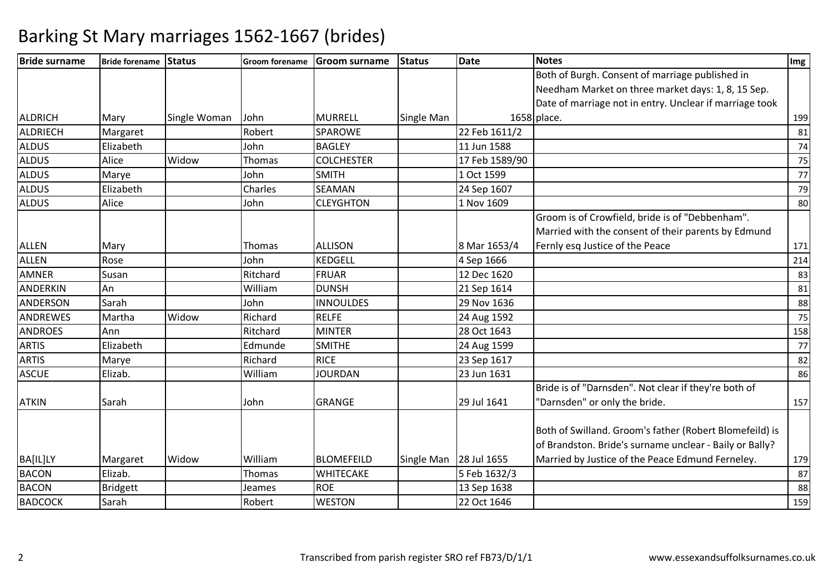| <b>Bride surname</b> | Bride forename Status |              |          | Groom forename Groom surname | <b>Status</b>          | Date           | <b>Notes</b>                                            | Img |
|----------------------|-----------------------|--------------|----------|------------------------------|------------------------|----------------|---------------------------------------------------------|-----|
|                      |                       |              |          |                              |                        |                | Both of Burgh. Consent of marriage published in         |     |
|                      |                       |              |          |                              |                        |                | Needham Market on three market days: 1, 8, 15 Sep.      |     |
|                      |                       |              |          |                              |                        |                | Date of marriage not in entry. Unclear if marriage took |     |
| <b>ALDRICH</b>       | Mary                  | Single Woman | John     | <b>MURRELL</b>               | Single Man             |                | 1658 place.                                             | 199 |
| <b>ALDRIECH</b>      | Margaret              |              | Robert   | <b>SPAROWE</b>               |                        | 22 Feb 1611/2  |                                                         | 81  |
| <b>ALDUS</b>         | Elizabeth             |              | John     | <b>BAGLEY</b>                |                        | 11 Jun 1588    |                                                         | 74  |
| <b>ALDUS</b>         | Alice                 | Widow        | Thomas   | <b>COLCHESTER</b>            |                        | 17 Feb 1589/90 |                                                         | 75  |
| <b>ALDUS</b>         | Marye                 |              | John     | <b>SMITH</b>                 |                        | 1 Oct 1599     |                                                         | 77  |
| <b>ALDUS</b>         | Elizabeth             |              | Charles  | <b>SEAMAN</b>                |                        | 24 Sep 1607    |                                                         | 79  |
| <b>ALDUS</b>         | Alice                 |              | John     | <b>CLEYGHTON</b>             |                        | 1 Nov 1609     |                                                         | 80  |
|                      |                       |              |          |                              |                        |                | Groom is of Crowfield, bride is of "Debbenham".         |     |
|                      |                       |              |          |                              |                        |                | Married with the consent of their parents by Edmund     |     |
| <b>ALLEN</b>         | Mary                  |              | Thomas   | <b>ALLISON</b>               |                        | 8 Mar 1653/4   | Fernly esq Justice of the Peace                         | 171 |
| <b>ALLEN</b>         | Rose                  |              | John     | <b>KEDGELL</b>               |                        | 4 Sep 1666     |                                                         | 214 |
| <b>AMNER</b>         | Susan                 |              | Ritchard | <b>FRUAR</b>                 |                        | 12 Dec 1620    |                                                         | 83  |
| <b>ANDERKIN</b>      | An                    |              | William  | <b>DUNSH</b>                 |                        | 21 Sep 1614    |                                                         | 81  |
| ANDERSON             | Sarah                 |              | John     | <b>INNOULDES</b>             |                        | 29 Nov 1636    |                                                         | 88  |
| <b>ANDREWES</b>      | Martha                | Widow        | Richard  | <b>RELFE</b>                 |                        | 24 Aug 1592    |                                                         | 75  |
| <b>ANDROES</b>       | Ann                   |              | Ritchard | <b>MINTER</b>                |                        | 28 Oct 1643    |                                                         | 158 |
| <b>ARTIS</b>         | Elizabeth             |              | Edmunde  | <b>SMITHE</b>                |                        | 24 Aug 1599    |                                                         | 77  |
| <b>ARTIS</b>         | Marye                 |              | Richard  | <b>RICE</b>                  |                        | 23 Sep 1617    |                                                         | 82  |
| <b>ASCUE</b>         | Elizab.               |              | William  | <b>JOURDAN</b>               |                        | 23 Jun 1631    |                                                         | 86  |
|                      |                       |              |          |                              |                        |                | Bride is of "Darnsden". Not clear if they're both of    |     |
| <b>ATKIN</b>         | Sarah                 |              | John     | <b>GRANGE</b>                |                        | 29 Jul 1641    | "Darnsden" or only the bride.                           | 157 |
|                      |                       |              |          |                              |                        |                |                                                         |     |
|                      |                       |              |          |                              |                        |                | Both of Swilland. Groom's father (Robert Blomefeild) is |     |
|                      |                       |              |          |                              |                        |                | of Brandston. Bride's surname unclear - Baily or Bally? |     |
| BA[IL]LY             | Margaret              | Widow        | William  | <b>BLOMEFEILD</b>            | Single Man 28 Jul 1655 |                | Married by Justice of the Peace Edmund Ferneley.        | 179 |
| <b>BACON</b>         | Elizab.               |              | Thomas   | <b>WHITECAKE</b>             |                        | 5 Feb 1632/3   |                                                         | 87  |
| <b>BACON</b>         | <b>Bridgett</b>       |              | Jeames   | <b>ROE</b>                   |                        | 13 Sep 1638    |                                                         | 88  |
| <b>BADCOCK</b>       | Sarah                 |              | Robert   | <b>WESTON</b>                |                        | 22 Oct 1646    |                                                         | 159 |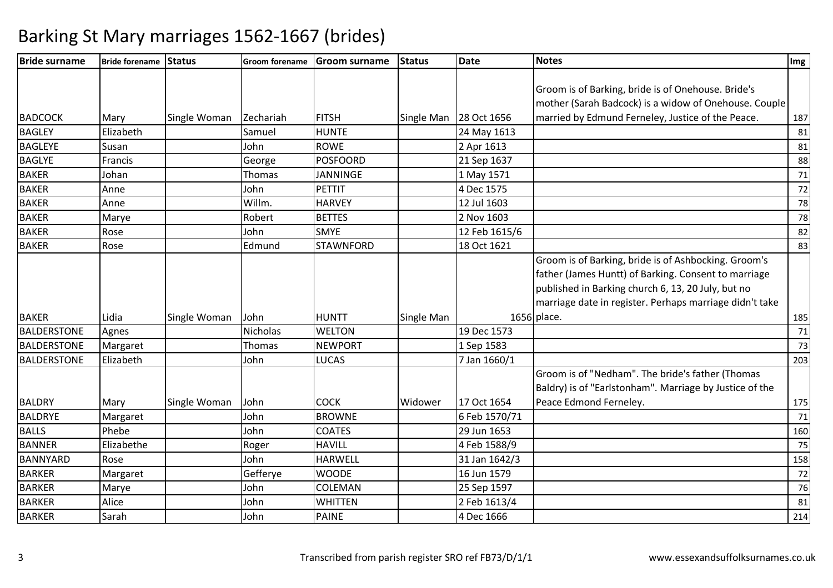| <b>Bride surname</b> | Bride forename Status |              | <b>Groom forename</b> | <b>Groom surname</b> | Status     | Date                   | <b>Notes</b>                                                                                                                                                       | Img |
|----------------------|-----------------------|--------------|-----------------------|----------------------|------------|------------------------|--------------------------------------------------------------------------------------------------------------------------------------------------------------------|-----|
|                      |                       |              |                       |                      |            |                        |                                                                                                                                                                    |     |
|                      |                       |              |                       |                      |            |                        | Groom is of Barking, bride is of Onehouse. Bride's                                                                                                                 |     |
|                      |                       |              |                       |                      |            |                        | mother (Sarah Badcock) is a widow of Onehouse. Couple                                                                                                              |     |
| <b>BADCOCK</b>       | Mary                  | Single Woman | Zechariah             | <b>FITSH</b>         |            | Single Man 28 Oct 1656 | married by Edmund Ferneley, Justice of the Peace.                                                                                                                  | 187 |
| <b>BAGLEY</b>        | Elizabeth             |              | Samuel                | <b>HUNTE</b>         |            | 24 May 1613            |                                                                                                                                                                    | 81  |
| <b>BAGLEYE</b>       | Susan                 |              | John                  | <b>ROWE</b>          |            | 2 Apr 1613             |                                                                                                                                                                    | 81  |
| <b>BAGLYE</b>        | Francis               |              | George                | <b>POSFOORD</b>      |            | 21 Sep 1637            |                                                                                                                                                                    | 88  |
| <b>BAKER</b>         | Johan                 |              | Thomas                | <b>JANNINGE</b>      |            | 1 May 1571             |                                                                                                                                                                    | 71  |
| <b>BAKER</b>         | Anne                  |              | John                  | <b>PETTIT</b>        |            | 4 Dec 1575             |                                                                                                                                                                    | 72  |
| <b>BAKER</b>         | Anne                  |              | Willm.                | <b>HARVEY</b>        |            | 12 Jul 1603            |                                                                                                                                                                    | 78  |
| <b>BAKER</b>         | Marye                 |              | Robert                | <b>BETTES</b>        |            | 2 Nov 1603             |                                                                                                                                                                    | 78  |
| <b>BAKER</b>         | Rose                  |              | John                  | <b>SMYE</b>          |            | 12 Feb 1615/6          |                                                                                                                                                                    | 82  |
| <b>BAKER</b>         | Rose                  |              | Edmund                | <b>STAWNFORD</b>     |            | 18 Oct 1621            |                                                                                                                                                                    | 83  |
|                      |                       |              |                       |                      |            |                        | Groom is of Barking, bride is of Ashbocking. Groom's<br>father (James Huntt) of Barking. Consent to marriage<br>published in Barking church 6, 13, 20 July, but no |     |
|                      |                       |              |                       |                      |            |                        | marriage date in register. Perhaps marriage didn't take                                                                                                            |     |
| <b>BAKER</b>         | Lidia                 | Single Woman | John                  | <b>HUNTT</b>         | Single Man |                        | 1656 place.                                                                                                                                                        | 185 |
| <b>BALDERSTONE</b>   | Agnes                 |              | Nicholas              | <b>WELTON</b>        |            | 19 Dec 1573            |                                                                                                                                                                    | 71  |
| <b>BALDERSTONE</b>   | Margaret              |              | Thomas                | <b>NEWPORT</b>       |            | 1 Sep 1583             |                                                                                                                                                                    | 73  |
| <b>BALDERSTONE</b>   | Elizabeth             |              | John                  | <b>LUCAS</b>         |            | 7 Jan 1660/1           |                                                                                                                                                                    | 203 |
|                      |                       |              |                       |                      |            |                        | Groom is of "Nedham". The bride's father (Thomas<br>Baldry) is of "Earlstonham". Marriage by Justice of the                                                        |     |
| <b>BALDRY</b>        | Mary                  | Single Woman | John                  | <b>COCK</b>          | Widower    | 17 Oct 1654            | Peace Edmond Ferneley.                                                                                                                                             | 175 |
| <b>BALDRYE</b>       | Margaret              |              | John                  | <b>BROWNE</b>        |            | 6 Feb 1570/71          |                                                                                                                                                                    | 71  |
| <b>BALLS</b>         | Phebe                 |              | John                  | <b>COATES</b>        |            | 29 Jun 1653            |                                                                                                                                                                    | 160 |
| <b>BANNER</b>        | Elizabethe            |              | Roger                 | <b>HAVILL</b>        |            | 4 Feb 1588/9           |                                                                                                                                                                    | 75  |
| <b>BANNYARD</b>      | Rose                  |              | John                  | <b>HARWELL</b>       |            | 31 Jan 1642/3          |                                                                                                                                                                    | 158 |
| <b>BARKER</b>        | Margaret              |              | Gefferye              | <b>WOODE</b>         |            | 16 Jun 1579            |                                                                                                                                                                    | 72  |
| <b>BARKER</b>        | Marye                 |              | John                  | <b>COLEMAN</b>       |            | 25 Sep 1597            |                                                                                                                                                                    | 76  |
| <b>BARKER</b>        | Alice                 |              | John                  | <b>WHITTEN</b>       |            | 2 Feb 1613/4           |                                                                                                                                                                    | 81  |
| <b>BARKER</b>        | Sarah                 |              | John                  | <b>PAINE</b>         |            | 4 Dec 1666             |                                                                                                                                                                    | 214 |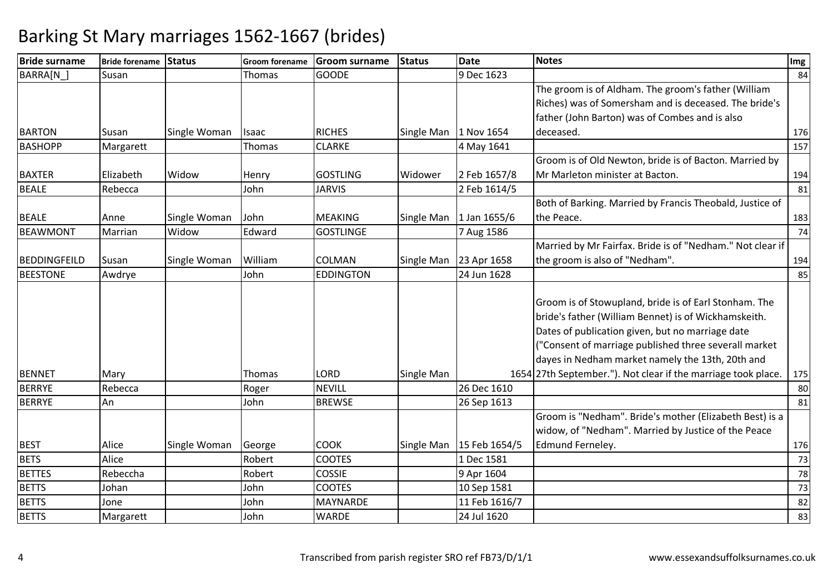| <b>Bride surname</b> | Bride forename Status |              |         | Groom forename Groom surname | <b>Status</b>           | <b>Date</b>   | <b>Notes</b>                                                                                                                                                                                                                                                                                                                                    | Img |
|----------------------|-----------------------|--------------|---------|------------------------------|-------------------------|---------------|-------------------------------------------------------------------------------------------------------------------------------------------------------------------------------------------------------------------------------------------------------------------------------------------------------------------------------------------------|-----|
| BARRA[N ]            | Susan                 |              | Thomas  | <b>GOODE</b>                 |                         | 9 Dec 1623    |                                                                                                                                                                                                                                                                                                                                                 | 84  |
|                      |                       |              |         |                              |                         |               | The groom is of Aldham. The groom's father (William                                                                                                                                                                                                                                                                                             |     |
|                      |                       |              |         |                              |                         |               | Riches) was of Somersham and is deceased. The bride's                                                                                                                                                                                                                                                                                           |     |
|                      |                       |              |         |                              |                         |               | father (John Barton) was of Combes and is also                                                                                                                                                                                                                                                                                                  |     |
| <b>BARTON</b>        | Susan                 | Single Woman | Isaac   | <b>RICHES</b>                | Single Man   1 Nov 1654 |               | deceased.                                                                                                                                                                                                                                                                                                                                       | 176 |
| <b>BASHOPP</b>       | Margarett             |              | Thomas  | <b>CLARKE</b>                |                         | 4 May 1641    |                                                                                                                                                                                                                                                                                                                                                 | 157 |
|                      |                       |              |         |                              |                         |               | Groom is of Old Newton, bride is of Bacton. Married by                                                                                                                                                                                                                                                                                          |     |
| <b>BAXTER</b>        | Elizabeth             | Widow        | Henry   | <b>GOSTLING</b>              | Widower                 | 2 Feb 1657/8  | Mr Marleton minister at Bacton.                                                                                                                                                                                                                                                                                                                 | 194 |
| <b>BEALE</b>         | Rebecca               |              | John    | <b>JARVIS</b>                |                         | 2 Feb 1614/5  |                                                                                                                                                                                                                                                                                                                                                 | 81  |
|                      |                       |              |         |                              |                         |               | Both of Barking. Married by Francis Theobald, Justice of                                                                                                                                                                                                                                                                                        |     |
| <b>BEALE</b>         | Anne                  | Single Woman | John    | <b>MEAKING</b>               | Single Man              | 1 Jan 1655/6  | the Peace.                                                                                                                                                                                                                                                                                                                                      | 183 |
| <b>BEAWMONT</b>      | Marrian               | Widow        | Edward  | <b>GOSTLINGE</b>             |                         | 7 Aug 1586    |                                                                                                                                                                                                                                                                                                                                                 | 74  |
|                      |                       |              |         |                              |                         |               | Married by Mr Fairfax. Bride is of "Nedham." Not clear if                                                                                                                                                                                                                                                                                       |     |
| <b>BEDDINGFEILD</b>  | Susan                 | Single Woman | William | <b>COLMAN</b>                | Single Man              | 23 Apr 1658   | the groom is also of "Nedham".                                                                                                                                                                                                                                                                                                                  | 194 |
| <b>BEESTONE</b>      | Awdrye                |              | John    | <b>EDDINGTON</b>             |                         | 24 Jun 1628   |                                                                                                                                                                                                                                                                                                                                                 | 85  |
| <b>BENNET</b>        | Mary                  |              | Thomas  | <b>LORD</b>                  | Single Man              |               | Groom is of Stowupland, bride is of Earl Stonham. The<br>bride's father (William Bennet) is of Wickhamskeith.<br>Dates of publication given, but no marriage date<br>("Consent of marriage published three severall market<br>dayes in Nedham market namely the 13th, 20th and<br>1654 27th September."). Not clear if the marriage took place. | 175 |
| <b>BERRYE</b>        | Rebecca               |              | Roger   | <b>NEVILL</b>                |                         | 26 Dec 1610   |                                                                                                                                                                                                                                                                                                                                                 | 80  |
| <b>BERRYE</b>        | An                    |              | John    | <b>BREWSE</b>                |                         | 26 Sep 1613   |                                                                                                                                                                                                                                                                                                                                                 | 81  |
|                      |                       |              |         |                              |                         |               | Groom is "Nedham". Bride's mother (Elizabeth Best) is a<br>widow, of "Nedham". Married by Justice of the Peace                                                                                                                                                                                                                                  |     |
| <b>BEST</b>          | Alice                 | Single Woman | George  | <b>COOK</b>                  | Single Man              | 15 Feb 1654/5 | Edmund Ferneley.                                                                                                                                                                                                                                                                                                                                | 176 |
| <b>BETS</b>          | Alice                 |              | Robert  | <b>COOTES</b>                |                         | 1 Dec 1581    |                                                                                                                                                                                                                                                                                                                                                 | 73  |
| <b>BETTES</b>        | Rebeccha              |              | Robert  | <b>COSSIE</b>                |                         | 9 Apr 1604    |                                                                                                                                                                                                                                                                                                                                                 | 78  |
| <b>BETTS</b>         | Johan                 |              | John    | <b>COOTES</b>                |                         | 10 Sep 1581   |                                                                                                                                                                                                                                                                                                                                                 | 73  |
| <b>BETTS</b>         | Jone                  |              | John    | <b>MAYNARDE</b>              |                         | 11 Feb 1616/7 |                                                                                                                                                                                                                                                                                                                                                 | 82  |
| <b>BETTS</b>         | Margarett             |              | John    | <b>WARDE</b>                 |                         | 24 Jul 1620   |                                                                                                                                                                                                                                                                                                                                                 | 83  |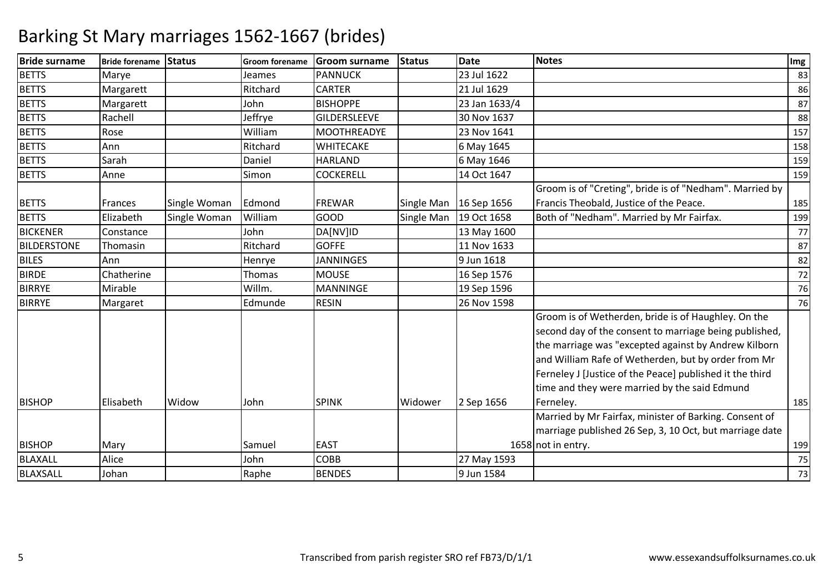| <b>Bride surname</b> | Bride forename Status |              | <b>Groom forename</b> | <b>Groom surname</b> | <b>Status</b> | <b>Date</b>   | Notes                                                                                                                                                                                                                                                                                                                                     | Img |
|----------------------|-----------------------|--------------|-----------------------|----------------------|---------------|---------------|-------------------------------------------------------------------------------------------------------------------------------------------------------------------------------------------------------------------------------------------------------------------------------------------------------------------------------------------|-----|
| <b>BETTS</b>         | Marye                 |              | Jeames                | <b>PANNUCK</b>       |               | 23 Jul 1622   |                                                                                                                                                                                                                                                                                                                                           | 83  |
| <b>BETTS</b>         | Margarett             |              | Ritchard              | <b>CARTER</b>        |               | 21 Jul 1629   |                                                                                                                                                                                                                                                                                                                                           | 86  |
| <b>BETTS</b>         | Margarett             |              | John                  | <b>BISHOPPE</b>      |               | 23 Jan 1633/4 |                                                                                                                                                                                                                                                                                                                                           | 87  |
| <b>BETTS</b>         | Rachell               |              | Jeffrye               | <b>GILDERSLEEVE</b>  |               | 30 Nov 1637   |                                                                                                                                                                                                                                                                                                                                           | 88  |
| <b>BETTS</b>         | Rose                  |              | William               | <b>MOOTHREADYE</b>   |               | 23 Nov 1641   |                                                                                                                                                                                                                                                                                                                                           | 157 |
| <b>BETTS</b>         | Ann                   |              | Ritchard              | WHITECAKE            |               | 6 May 1645    |                                                                                                                                                                                                                                                                                                                                           | 158 |
| <b>BETTS</b>         | Sarah                 |              | Daniel                | <b>HARLAND</b>       |               | 6 May 1646    |                                                                                                                                                                                                                                                                                                                                           | 159 |
| <b>BETTS</b>         | Anne                  |              | Simon                 | <b>COCKERELL</b>     |               | 14 Oct 1647   |                                                                                                                                                                                                                                                                                                                                           | 159 |
|                      |                       |              |                       |                      |               |               | Groom is of "Creting", bride is of "Nedham". Married by                                                                                                                                                                                                                                                                                   |     |
| <b>BETTS</b>         | <b>Frances</b>        | Single Woman | Edmond                | <b>FREWAR</b>        | Single Man    | 16 Sep 1656   | Francis Theobald, Justice of the Peace.                                                                                                                                                                                                                                                                                                   | 185 |
| <b>BETTS</b>         | Elizabeth             | Single Woman | William               | <b>GOOD</b>          | Single Man    | 19 Oct 1658   | Both of "Nedham". Married by Mr Fairfax.                                                                                                                                                                                                                                                                                                  | 199 |
| <b>BICKENER</b>      | Constance             |              | John                  | DA[NV]ID             |               | 13 May 1600   |                                                                                                                                                                                                                                                                                                                                           | 77  |
| <b>BILDERSTONE</b>   | Thomasin              |              | Ritchard              | <b>GOFFE</b>         |               | 11 Nov 1633   |                                                                                                                                                                                                                                                                                                                                           | 87  |
| <b>BILES</b>         | Ann                   |              | Henrye                | <b>JANNINGES</b>     |               | 9 Jun 1618    |                                                                                                                                                                                                                                                                                                                                           | 82  |
| <b>BIRDE</b>         | Chatherine            |              | Thomas                | <b>MOUSE</b>         |               | 16 Sep 1576   |                                                                                                                                                                                                                                                                                                                                           | 72  |
| <b>BIRRYE</b>        | Mirable               |              | Willm.                | <b>MANNINGE</b>      |               | 19 Sep 1596   |                                                                                                                                                                                                                                                                                                                                           | 76  |
| <b>BIRRYE</b>        | Margaret              |              | Edmunde               | <b>RESIN</b>         |               | 26 Nov 1598   |                                                                                                                                                                                                                                                                                                                                           | 76  |
|                      |                       |              |                       |                      |               |               | Groom is of Wetherden, bride is of Haughley. On the<br>second day of the consent to marriage being published,<br>the marriage was "excepted against by Andrew Kilborn<br>and William Rafe of Wetherden, but by order from Mr<br>Ferneley J [Justice of the Peace] published it the third<br>time and they were married by the said Edmund |     |
| <b>BISHOP</b>        | Elisabeth             | Widow        | John                  | <b>SPINK</b>         | Widower       | 2 Sep 1656    | Ferneley.                                                                                                                                                                                                                                                                                                                                 | 185 |
| <b>BISHOP</b>        | Mary                  |              | Samuel                | <b>EAST</b>          |               |               | Married by Mr Fairfax, minister of Barking. Consent of<br>marriage published 26 Sep, 3, 10 Oct, but marriage date<br>1658 not in entry.                                                                                                                                                                                                   | 199 |
| BLAXALL              | Alice                 |              | John                  | <b>COBB</b>          |               | 27 May 1593   |                                                                                                                                                                                                                                                                                                                                           | 75  |
| <b>BLAXSALL</b>      | Johan                 |              | Raphe                 | <b>BENDES</b>        |               | 9 Jun 1584    |                                                                                                                                                                                                                                                                                                                                           | 73  |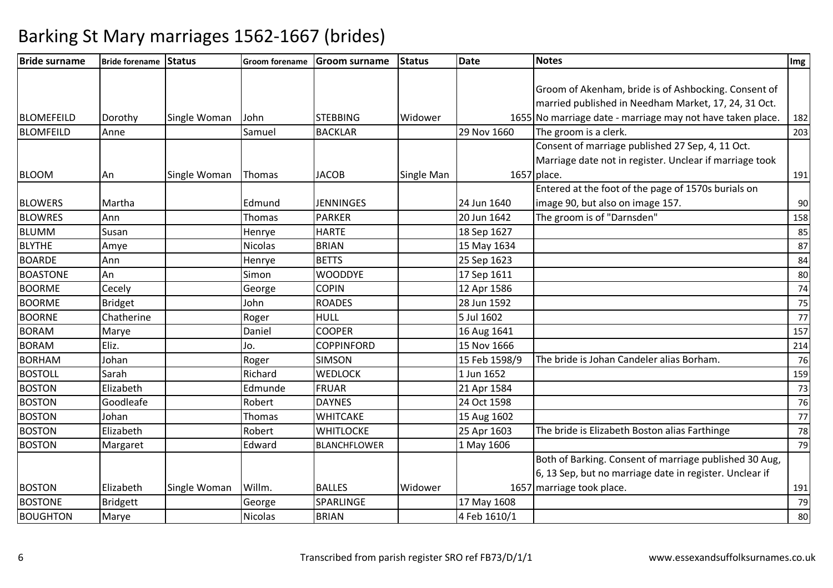| <b>Bride surname</b> | <b>Bride forename Status</b> |              |                | Groom forename Groom surname | Status     | Date          | <b>Notes</b>                                               | Img |
|----------------------|------------------------------|--------------|----------------|------------------------------|------------|---------------|------------------------------------------------------------|-----|
|                      |                              |              |                |                              |            |               |                                                            |     |
|                      |                              |              |                |                              |            |               | Groom of Akenham, bride is of Ashbocking. Consent of       |     |
|                      |                              |              |                |                              |            |               | married published in Needham Market, 17, 24, 31 Oct.       |     |
| <b>BLOMEFEILD</b>    | Dorothy                      | Single Woman | John           | <b>STEBBING</b>              | Widower    |               | 1655 No marriage date - marriage may not have taken place. | 182 |
| <b>BLOMFEILD</b>     | Anne                         |              | Samuel         | <b>BACKLAR</b>               |            | 29 Nov 1660   | The groom is a clerk.                                      | 203 |
|                      |                              |              |                |                              |            |               | Consent of marriage published 27 Sep, 4, 11 Oct.           |     |
|                      |                              |              |                |                              |            |               | Marriage date not in register. Unclear if marriage took    |     |
| <b>BLOOM</b>         | An                           | Single Woman | Thomas         | <b>JACOB</b>                 | Single Man |               | 1657 place.                                                | 191 |
|                      |                              |              |                |                              |            |               | Entered at the foot of the page of 1570s burials on        |     |
| <b>BLOWERS</b>       | Martha                       |              | Edmund         | <b>JENNINGES</b>             |            | 24 Jun 1640   | image 90, but also on image 157.                           | 90  |
| <b>BLOWRES</b>       | Ann                          |              | Thomas         | <b>PARKER</b>                |            | 20 Jun 1642   | The groom is of "Darnsden"                                 | 158 |
| <b>BLUMM</b>         | Susan                        |              | Henrye         | <b>HARTE</b>                 |            | 18 Sep 1627   |                                                            | 85  |
| <b>BLYTHE</b>        | Amye                         |              | Nicolas        | <b>BRIAN</b>                 |            | 15 May 1634   |                                                            | 87  |
| <b>BOARDE</b>        | Ann                          |              | Henrye         | <b>BETTS</b>                 |            | 25 Sep 1623   |                                                            | 84  |
| <b>BOASTONE</b>      | An                           |              | Simon          | <b>WOODDYE</b>               |            | 17 Sep 1611   |                                                            | 80  |
| <b>BOORME</b>        | Cecely                       |              | George         | <b>COPIN</b>                 |            | 12 Apr 1586   |                                                            | 74  |
| <b>BOORME</b>        | <b>Bridget</b>               |              | John           | <b>ROADES</b>                |            | 28 Jun 1592   |                                                            | 75  |
| <b>BOORNE</b>        | Chatherine                   |              | Roger          | <b>HULL</b>                  |            | 5 Jul 1602    |                                                            | 77  |
| <b>BORAM</b>         | Marye                        |              | Daniel         | <b>COOPER</b>                |            | 16 Aug 1641   |                                                            | 157 |
| <b>BORAM</b>         | Eliz.                        |              | Jo.            | <b>COPPINFORD</b>            |            | 15 Nov 1666   |                                                            | 214 |
| <b>BORHAM</b>        | Johan                        |              | Roger          | <b>SIMSON</b>                |            | 15 Feb 1598/9 | The bride is Johan Candeler alias Borham.                  | 76  |
| <b>BOSTOLL</b>       | Sarah                        |              | Richard        | <b>WEDLOCK</b>               |            | 1 Jun 1652    |                                                            | 159 |
| <b>BOSTON</b>        | Elizabeth                    |              | Edmunde        | FRUAR                        |            | 21 Apr 1584   |                                                            | 73  |
| <b>BOSTON</b>        | Goodleafe                    |              | Robert         | <b>DAYNES</b>                |            | 24 Oct 1598   |                                                            | 76  |
| <b>BOSTON</b>        | Johan                        |              | Thomas         | <b>WHITCAKE</b>              |            | 15 Aug 1602   |                                                            | 77  |
| <b>BOSTON</b>        | Elizabeth                    |              | Robert         | <b>WHITLOCKE</b>             |            | 25 Apr 1603   | The bride is Elizabeth Boston alias Farthinge              | 78  |
| <b>BOSTON</b>        | Margaret                     |              | Edward         | <b>BLANCHFLOWER</b>          |            | 1 May 1606    |                                                            | 79  |
|                      |                              |              |                |                              |            |               | Both of Barking. Consent of marriage published 30 Aug,     |     |
|                      |                              |              |                |                              |            |               | 6, 13 Sep, but no marriage date in register. Unclear if    |     |
| <b>BOSTON</b>        | Elizabeth                    | Single Woman | Willm.         | <b>BALLES</b>                | Widower    |               | 1657 marriage took place.                                  | 191 |
| <b>BOSTONE</b>       | <b>Bridgett</b>              |              | George         | SPARLINGE                    |            | 17 May 1608   |                                                            | 79  |
| <b>BOUGHTON</b>      | Marye                        |              | <b>Nicolas</b> | <b>BRIAN</b>                 |            | 4 Feb 1610/1  |                                                            | 80  |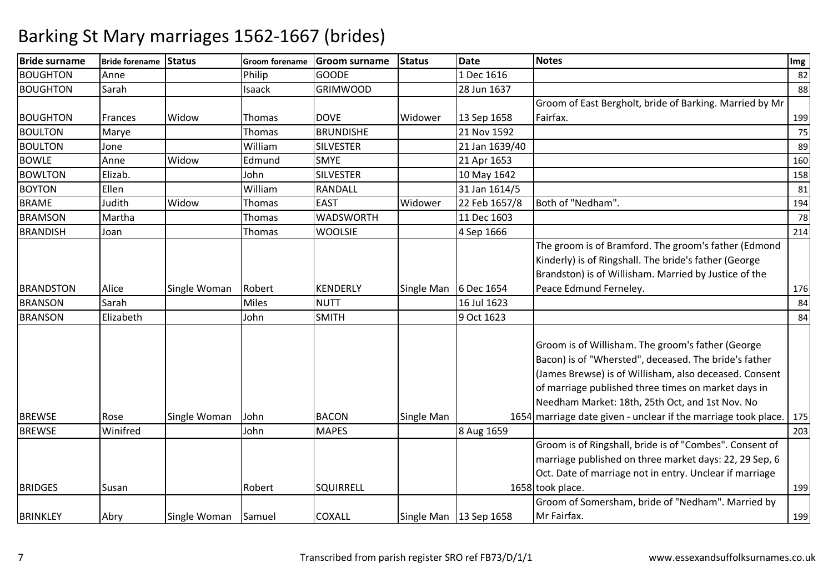| <b>Bride surname</b> | Bride forename Status |              | <b>Groom forename</b> | <b>Groom surname</b> | <b>Status</b>         | <b>Date</b>              | <b>Notes</b>                                                                                                                                                                                                                                                                                                                                     | Img |
|----------------------|-----------------------|--------------|-----------------------|----------------------|-----------------------|--------------------------|--------------------------------------------------------------------------------------------------------------------------------------------------------------------------------------------------------------------------------------------------------------------------------------------------------------------------------------------------|-----|
| <b>BOUGHTON</b>      | Anne                  |              | Philip                | <b>GOODE</b>         |                       | 1 Dec 1616               |                                                                                                                                                                                                                                                                                                                                                  | 82  |
| <b>BOUGHTON</b>      | Sarah                 |              | Isaack                | <b>GRIMWOOD</b>      |                       | 28 Jun 1637              |                                                                                                                                                                                                                                                                                                                                                  | 88  |
|                      |                       |              |                       |                      |                       |                          | Groom of East Bergholt, bride of Barking. Married by Mr                                                                                                                                                                                                                                                                                          |     |
| <b>BOUGHTON</b>      | Frances               | Widow        | Thomas                | <b>DOVE</b>          | Widower               | 13 Sep 1658              | Fairfax.                                                                                                                                                                                                                                                                                                                                         | 199 |
| <b>BOULTON</b>       | Marye                 |              | Thomas                | <b>BRUNDISHE</b>     |                       | 21 Nov 1592              |                                                                                                                                                                                                                                                                                                                                                  | 75  |
| <b>BOULTON</b>       | Jone                  |              | William               | <b>SILVESTER</b>     |                       | 21 Jan 1639/40           |                                                                                                                                                                                                                                                                                                                                                  | 89  |
| <b>BOWLE</b>         | Anne                  | Widow        | Edmund                | <b>SMYE</b>          |                       | 21 Apr 1653              |                                                                                                                                                                                                                                                                                                                                                  | 160 |
| <b>BOWLTON</b>       | Elizab.               |              | John                  | <b>SILVESTER</b>     |                       | 10 May 1642              |                                                                                                                                                                                                                                                                                                                                                  | 158 |
| <b>BOYTON</b>        | Ellen                 |              | William               | RANDALL              |                       | 31 Jan 1614/5            |                                                                                                                                                                                                                                                                                                                                                  | 81  |
| <b>BRAME</b>         | Judith                | Widow        | Thomas                | <b>EAST</b>          | Widower               | 22 Feb 1657/8            | Both of "Nedham".                                                                                                                                                                                                                                                                                                                                | 194 |
| <b>BRAMSON</b>       | Martha                |              | Thomas                | <b>WADSWORTH</b>     |                       | 11 Dec 1603              |                                                                                                                                                                                                                                                                                                                                                  | 78  |
| <b>BRANDISH</b>      | Joan                  |              | Thomas                | <b>WOOLSIE</b>       |                       | 4 Sep 1666               |                                                                                                                                                                                                                                                                                                                                                  | 214 |
| <b>BRANDSTON</b>     | Alice                 | Single Woman | Robert                | <b>KENDERLY</b>      | Single Man 6 Dec 1654 |                          | The groom is of Bramford. The groom's father (Edmond<br>Kinderly) is of Ringshall. The bride's father (George<br>Brandston) is of Willisham. Married by Justice of the<br>Peace Edmund Ferneley.                                                                                                                                                 | 176 |
| <b>BRANSON</b>       | Sarah                 |              | <b>Miles</b>          | <b>NUTT</b>          |                       | 16 Jul 1623              |                                                                                                                                                                                                                                                                                                                                                  | 84  |
| <b>BRANSON</b>       | Elizabeth             |              | John                  | <b>SMITH</b>         |                       | 9 Oct 1623               |                                                                                                                                                                                                                                                                                                                                                  | 84  |
| <b>BREWSE</b>        | Rose                  | Single Woman | John                  | <b>BACON</b>         | Single Man            |                          | Groom is of Willisham. The groom's father (George<br>Bacon) is of "Whersted", deceased. The bride's father<br>(James Brewse) is of Willisham, also deceased. Consent<br>of marriage published three times on market days in<br>Needham Market: 18th, 25th Oct, and 1st Nov. No<br>1654 marriage date given - unclear if the marriage took place. | 175 |
|                      |                       |              |                       |                      |                       |                          |                                                                                                                                                                                                                                                                                                                                                  |     |
| <b>BREWSE</b>        | Winifred              |              | John                  | <b>MAPES</b>         |                       | 8 Aug 1659               | Groom is of Ringshall, bride is of "Combes". Consent of                                                                                                                                                                                                                                                                                          | 203 |
| <b>BRIDGES</b>       | Susan                 |              | Robert                | <b>SQUIRRELL</b>     |                       |                          | marriage published on three market days: 22, 29 Sep, 6<br>Oct. Date of marriage not in entry. Unclear if marriage<br>1658 took place.                                                                                                                                                                                                            | 199 |
|                      |                       |              |                       |                      |                       |                          | Groom of Somersham, bride of "Nedham". Married by                                                                                                                                                                                                                                                                                                |     |
| <b>BRINKLEY</b>      | Abry                  | Single Woman | Samuel                | <b>COXALL</b>        |                       | Single Man   13 Sep 1658 | Mr Fairfax.                                                                                                                                                                                                                                                                                                                                      | 199 |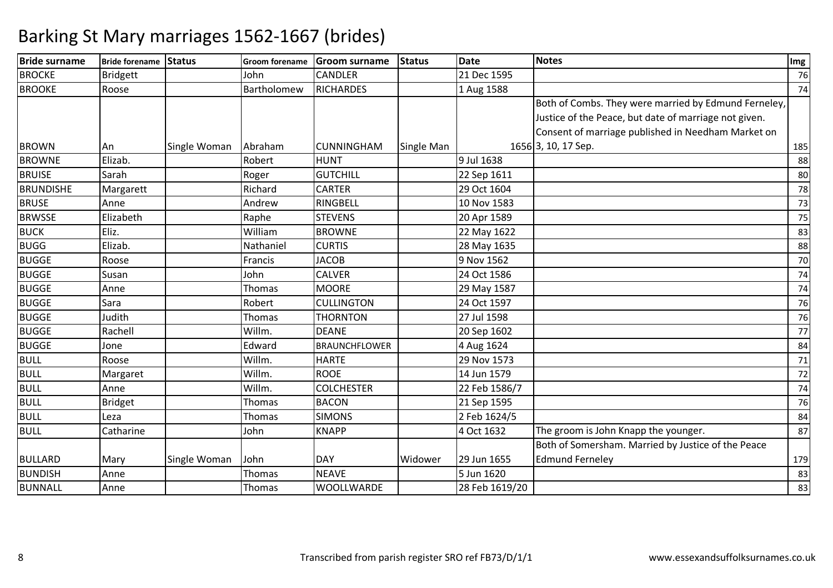#### **Bride surname Bride forename Status Groom forename Groom surname Status Date Notes Img BROCKE**  Bridgett JohnCANDLER<br>RICHARDES R 21 Dec 1595 76 BROOKE Roose Bartholomeww RICHARDES 14 Aug 1588 74 BROWN 1991 An Single Woman Abraham CUNNINGHAM Single Man 1656 Both of Combs. They were married by Edmund Ferneley, Justice of the Peace, but date of marriage not given. Consent of marriage published in Needham Market on 1656<sub>3</sub>, 10, 17 Sep. . 185  $\overline{88}$ BROWNEE Elizab. Nobert HUNT 9 Jul 1638 8 **BRUISE**  Sarah Roger GUTCHILL 22 Sep 1611 <sup>80</sup> BRUNDISHEMargarett | Richard CARTER<br>RINGBELL R 29 Oct 1604 20 Oct 1604 20 Oct 1604 20 Oct 1604 20 Oct 1604 20 Oct 21 Oct 21 Oct 21 Oct 21 Oct 21 Oct 21 Oct BRUSE Anne Andrew RINGBELL 10 Nov 1583 <sup>73</sup> **BRWSSE**  Elizabeth Raphe STEVENS 20 Apr 1589 <sup>75</sup> BUCKK Eliz. Nilliam m BROWNE 22 May 1622 20 Apr 20 May 1622 2 May 1622 2 May 1622 33 BUGGG Elizab. Nathaniel CURTIS 28 May 1635 88 **BUGGE**  Roosee **Francis** JACOB B 9 Nov 1562 9 Nov 1562 70 BUGGE Susann John CALVER R 24 Oct 1586 74 BUGGE Annee 1999 Thomas MOORE 29 May 1587 <sup>74</sup> BUGGESara I Robert CULLINGTON 24 Oct 1597 <sup>76</sup> BUGGEJudith<br>Rachell Thomas THORNTON<br>Willm DEANE N 27 Jul 1598 76 **BUGGE** E Rachell Willm. DEANE 20 Sep 1602 <sup>77</sup> BUGGE Jone Edwardd BRAUNCHFLOWER 4 Aug 1624 Research 1984 BULL Roose Willm. HARTE 29 Nov 1573 <sup>71</sup> BULL Margaret Willm. ROOE14 Jun 1579<br>22 Feb 1586/7 9 72 BULL AnneWillm. COLCHESTER<br>Thomas BACON R 22 Feb 1586/7 22 Feb 1586/7 22 Feb 1586/7 22 Feb 1586/7 22 Feb 1586/7 22 Feb 1586/7 23 BULLL Bridget Thomas BACON N 21 Sep 1595 76 BULL Leza $Thomas$  SIMONS  $\vert$  2 Feb 1624/5 <u>5</u> BULL**Catharine** e John John KNAPP 4 Oct 1632 The groom is John Knapp the younger. <sup>87</sup> BULLARD Mary Single Woman John DAY Widower 29 Jun 1655 5 Jun 1620 Both of Somersham. Married by Justice of the Peace Edmund Ferneleyy 179 83 **BUNDISH** H Anne Thomas NEAVE 5 Jun 1620 BUNNALL AnneThomas WOOLLWARDE | 28 Feb 1619/20 0 83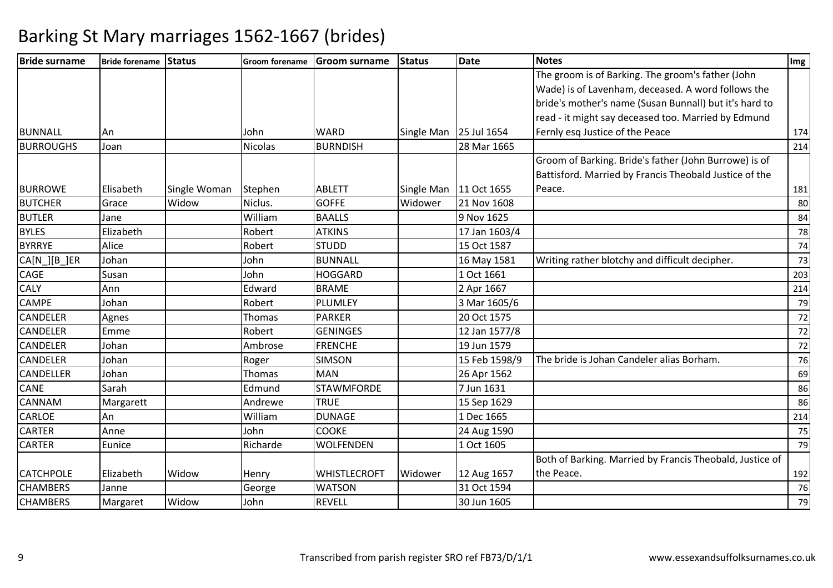| <b>Bride surname</b> | Bride forename Status |              |          | Groom forename Groom surname | <b>Status</b> | <b>Date</b>   | <b>Notes</b>                                             | Img |
|----------------------|-----------------------|--------------|----------|------------------------------|---------------|---------------|----------------------------------------------------------|-----|
|                      |                       |              |          |                              |               |               | The groom is of Barking. The groom's father (John        |     |
|                      |                       |              |          |                              |               |               | Wade) is of Lavenham, deceased. A word follows the       |     |
|                      |                       |              |          |                              |               |               | bride's mother's name (Susan Bunnall) but it's hard to   |     |
|                      |                       |              |          |                              |               |               | read - it might say deceased too. Married by Edmund      |     |
| BUNNALL              | <b>An</b>             |              | John     | <b>WARD</b>                  | Single Man    | 25 Jul 1654   | Fernly esq Justice of the Peace                          | 174 |
| <b>BURROUGHS</b>     | Joan                  |              | Nicolas  | <b>BURNDISH</b>              |               | 28 Mar 1665   |                                                          | 214 |
|                      |                       |              |          |                              |               |               | Groom of Barking. Bride's father (John Burrowe) is of    |     |
|                      |                       |              |          |                              |               |               | Battisford. Married by Francis Theobald Justice of the   |     |
| <b>BURROWE</b>       | Elisabeth             | Single Woman | Stephen  | <b>ABLETT</b>                | Single Man    | 11 Oct 1655   | Peace.                                                   | 181 |
| <b>BUTCHER</b>       | Grace                 | Widow        | Niclus.  | <b>GOFFE</b>                 | Widower       | 21 Nov 1608   |                                                          | 80  |
| <b>BUTLER</b>        | Jane                  |              | William  | <b>BAALLS</b>                |               | 9 Nov 1625    |                                                          | 84  |
| <b>BYLES</b>         | Elizabeth             |              | Robert   | <b>ATKINS</b>                |               | 17 Jan 1603/4 |                                                          | 78  |
| <b>BYRRYE</b>        | Alice                 |              | Robert   | <b>STUDD</b>                 |               | 15 Oct 1587   |                                                          | 74  |
| CA[N_][B_]ER         | Johan                 |              | John     | <b>BUNNALL</b>               |               | 16 May 1581   | Writing rather blotchy and difficult decipher.           | 73  |
| <b>CAGE</b>          | Susan                 |              | John     | <b>HOGGARD</b>               |               | 1 Oct 1661    |                                                          | 203 |
| <b>CALY</b>          | Ann                   |              | Edward   | <b>BRAME</b>                 |               | 2 Apr 1667    |                                                          | 214 |
| <b>CAMPE</b>         | Johan                 |              | Robert   | <b>PLUMLEY</b>               |               | 3 Mar 1605/6  |                                                          | 79  |
| <b>CANDELER</b>      | Agnes                 |              | Thomas   | <b>PARKER</b>                |               | 20 Oct 1575   |                                                          | 72  |
| <b>CANDELER</b>      | Emme                  |              | Robert   | <b>GENINGES</b>              |               | 12 Jan 1577/8 |                                                          | 72  |
| <b>CANDELER</b>      | Johan                 |              | Ambrose  | <b>FRENCHE</b>               |               | 19 Jun 1579   |                                                          | 72  |
| <b>CANDELER</b>      | Johan                 |              | Roger    | <b>SIMSON</b>                |               | 15 Feb 1598/9 | The bride is Johan Candeler alias Borham.                | 76  |
| <b>CANDELLER</b>     | Johan                 |              | Thomas   | <b>MAN</b>                   |               | 26 Apr 1562   |                                                          | 69  |
| <b>CANE</b>          | Sarah                 |              | Edmund   | <b>STAWMFORDE</b>            |               | 7 Jun 1631    |                                                          | 86  |
| <b>CANNAM</b>        | Margarett             |              | Andrewe  | <b>TRUE</b>                  |               | 15 Sep 1629   |                                                          | 86  |
| <b>CARLOE</b>        | An                    |              | William  | <b>DUNAGE</b>                |               | 1 Dec 1665    |                                                          | 214 |
| <b>CARTER</b>        | Anne                  |              | John     | <b>COOKE</b>                 |               | 24 Aug 1590   |                                                          | 75  |
| <b>CARTER</b>        | Eunice                |              | Richarde | <b>WOLFENDEN</b>             |               | 1 Oct 1605    |                                                          | 79  |
|                      |                       |              |          |                              |               |               | Both of Barking. Married by Francis Theobald, Justice of |     |
| <b>CATCHPOLE</b>     | Elizabeth             | Widow        | Henry    | <b>WHISTLECROFT</b>          | Widower       | 12 Aug 1657   | the Peace.                                               | 192 |
| <b>CHAMBERS</b>      | Janne                 |              | George   | <b>WATSON</b>                |               | 31 Oct 1594   |                                                          | 76  |
| <b>CHAMBERS</b>      | Margaret              | Widow        | John     | <b>REVELL</b>                |               | 30 Jun 1605   |                                                          | 79  |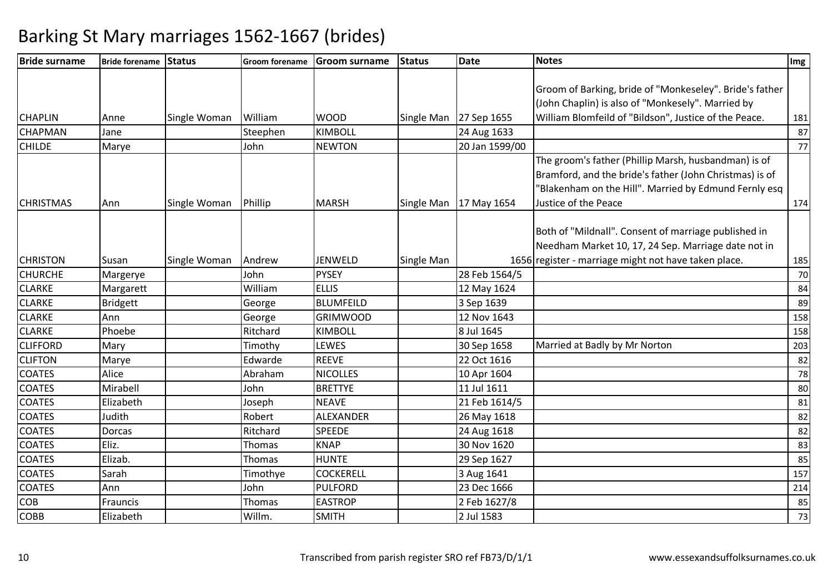| <b>Bride surname</b> | Bride forename Status |              |          | Groom forename Groom surname | <b>Status</b> | Date                   | <b>Notes</b>                                            | Img |
|----------------------|-----------------------|--------------|----------|------------------------------|---------------|------------------------|---------------------------------------------------------|-----|
|                      |                       |              |          |                              |               |                        |                                                         |     |
|                      |                       |              |          |                              |               |                        | Groom of Barking, bride of "Monkeseley". Bride's father |     |
|                      |                       |              |          |                              |               |                        | (John Chaplin) is also of "Monkesely". Married by       |     |
| <b>CHAPLIN</b>       | Anne                  | Single Woman | William  | <b>WOOD</b>                  |               | Single Man 27 Sep 1655 | William Blomfeild of "Bildson", Justice of the Peace.   | 181 |
| CHAPMAN              | Jane                  |              | Steephen | <b>KIMBOLL</b>               |               | 24 Aug 1633            |                                                         | 87  |
| <b>CHILDE</b>        | Marye                 |              | John     | <b>NEWTON</b>                |               | 20 Jan 1599/00         |                                                         | 77  |
|                      |                       |              |          |                              |               |                        | The groom's father (Phillip Marsh, husbandman) is of    |     |
|                      |                       |              |          |                              |               |                        | Bramford, and the bride's father (John Christmas) is of |     |
|                      |                       |              |          |                              |               |                        | "Blakenham on the Hill". Married by Edmund Fernly esq   |     |
| <b>CHRISTMAS</b>     | Ann                   | Single Woman | Phillip  | <b>MARSH</b>                 | Single Man    | 17 May 1654            | Justice of the Peace                                    | 174 |
|                      |                       |              |          |                              |               |                        |                                                         |     |
|                      |                       |              |          |                              |               |                        | Both of "Mildnall". Consent of marriage published in    |     |
|                      |                       |              |          |                              |               |                        | Needham Market 10, 17, 24 Sep. Marriage date not in     |     |
| <b>CHRISTON</b>      | Susan                 | Single Woman | Andrew   | <b>JENWELD</b>               | Single Man    |                        | 1656 register - marriage might not have taken place.    | 185 |
| <b>CHURCHE</b>       | Margerye              |              | John     | <b>PYSEY</b>                 |               | 28 Feb 1564/5          |                                                         | 70  |
| <b>CLARKE</b>        | Margarett             |              | William  | <b>ELLIS</b>                 |               | 12 May 1624            |                                                         | 84  |
| <b>CLARKE</b>        | <b>Bridgett</b>       |              | George   | <b>BLUMFEILD</b>             |               | 3 Sep 1639             |                                                         | 89  |
| <b>CLARKE</b>        | Ann                   |              | George   | <b>GRIMWOOD</b>              |               | 12 Nov 1643            |                                                         | 158 |
| <b>CLARKE</b>        | Phoebe                |              | Ritchard | <b>KIMBOLL</b>               |               | 8 Jul 1645             |                                                         | 158 |
| <b>CLIFFORD</b>      | Mary                  |              | Timothy  | LEWES                        |               | 30 Sep 1658            | Married at Badly by Mr Norton                           | 203 |
| <b>CLIFTON</b>       | Marye                 |              | Edwarde  | <b>REEVE</b>                 |               | 22 Oct 1616            |                                                         | 82  |
| <b>COATES</b>        | Alice                 |              | Abraham  | <b>NICOLLES</b>              |               | 10 Apr 1604            |                                                         | 78  |
| <b>COATES</b>        | Mirabell              |              | John     | <b>BRETTYE</b>               |               | 11 Jul 1611            |                                                         | 80  |
| <b>COATES</b>        | Elizabeth             |              | Joseph   | <b>NEAVE</b>                 |               | 21 Feb 1614/5          |                                                         | 81  |
| <b>COATES</b>        | Judith                |              | Robert   | ALEXANDER                    |               | 26 May 1618            |                                                         | 82  |
| <b>COATES</b>        | Dorcas                |              | Ritchard | <b>SPEEDE</b>                |               | 24 Aug 1618            |                                                         | 82  |
| <b>COATES</b>        | Eliz.                 |              | Thomas   | <b>KNAP</b>                  |               | 30 Nov 1620            |                                                         | 83  |
| <b>COATES</b>        | Elizab.               |              | Thomas   | <b>HUNTE</b>                 |               | 29 Sep 1627            |                                                         | 85  |
| <b>COATES</b>        | Sarah                 |              | Timothye | <b>COCKERELL</b>             |               | 3 Aug 1641             |                                                         | 157 |
| <b>COATES</b>        | Ann                   |              | John     | <b>PULFORD</b>               |               | 23 Dec 1666            |                                                         | 214 |
| COB                  | Frauncis              |              | Thomas   | <b>EASTROP</b>               |               | 2 Feb 1627/8           |                                                         | 85  |
| <b>COBB</b>          | Elizabeth             |              | Willm.   | <b>SMITH</b>                 |               | 2 Jul 1583             |                                                         | 73  |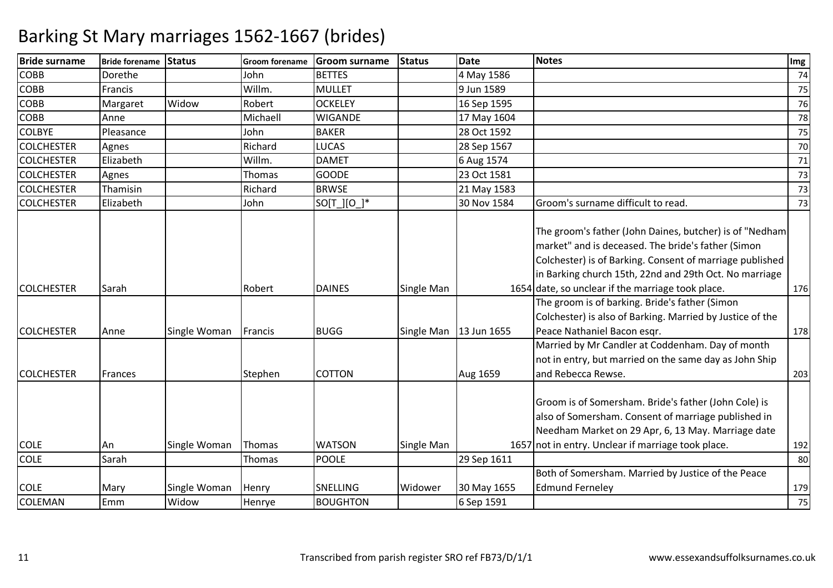| <b>COBB</b><br>Dorethe<br><b>BETTES</b><br>4 May 1586<br>John<br><b>COBB</b><br>Willm.<br><b>MULLET</b><br>9 Jun 1589<br>Francis<br><b>COBB</b><br>Widow<br>Robert<br><b>OCKELEY</b><br>16 Sep 1595<br>Margaret<br><b>COBB</b><br>Michaell<br><b>WIGANDE</b><br>Anne<br>17 May 1604<br><b>BAKER</b><br>Pleasance<br>John<br>28 Oct 1592<br><b>COLCHESTER</b><br><b>LUCAS</b><br>Richard<br>28 Sep 1567<br>Agnes<br><b>COLCHESTER</b><br>Elizabeth<br>Willm.<br><b>DAMET</b><br>6 Aug 1574<br><b>COLCHESTER</b><br>Thomas<br><b>GOODE</b><br>23 Oct 1581<br>Agnes<br>Richard<br><b>BRWSE</b><br><b>COLCHESTER</b><br>Thamisin<br>21 May 1583<br>Groom's surname difficult to read.<br><b>COLCHESTER</b><br>Elizabeth<br>$SO[T_l][O_l]^*$<br>30 Nov 1584<br>John<br>The groom's father (John Daines, butcher) is of "Nedham<br>market" and is deceased. The bride's father (Simon<br>Colchester) is of Barking. Consent of marriage published<br>in Barking church 15th, 22nd and 29th Oct. No marriage<br>1654 date, so unclear if the marriage took place.<br><b>COLCHESTER</b><br><b>DAINES</b><br>Sarah<br>Robert<br>Single Man<br>The groom is of barking. Bride's father (Simon<br>Colchester) is also of Barking. Married by Justice of the | 74                                                 |
|--------------------------------------------------------------------------------------------------------------------------------------------------------------------------------------------------------------------------------------------------------------------------------------------------------------------------------------------------------------------------------------------------------------------------------------------------------------------------------------------------------------------------------------------------------------------------------------------------------------------------------------------------------------------------------------------------------------------------------------------------------------------------------------------------------------------------------------------------------------------------------------------------------------------------------------------------------------------------------------------------------------------------------------------------------------------------------------------------------------------------------------------------------------------------------------------------------------------------------------------------|----------------------------------------------------|
|                                                                                                                                                                                                                                                                                                                                                                                                                                                                                                                                                                                                                                                                                                                                                                                                                                                                                                                                                                                                                                                                                                                                                                                                                                                  | 75<br>76<br>78<br>75<br>70<br>71<br>73<br>73<br>73 |
|                                                                                                                                                                                                                                                                                                                                                                                                                                                                                                                                                                                                                                                                                                                                                                                                                                                                                                                                                                                                                                                                                                                                                                                                                                                  |                                                    |
| <b>COLBYE</b>                                                                                                                                                                                                                                                                                                                                                                                                                                                                                                                                                                                                                                                                                                                                                                                                                                                                                                                                                                                                                                                                                                                                                                                                                                    |                                                    |
|                                                                                                                                                                                                                                                                                                                                                                                                                                                                                                                                                                                                                                                                                                                                                                                                                                                                                                                                                                                                                                                                                                                                                                                                                                                  |                                                    |
|                                                                                                                                                                                                                                                                                                                                                                                                                                                                                                                                                                                                                                                                                                                                                                                                                                                                                                                                                                                                                                                                                                                                                                                                                                                  |                                                    |
|                                                                                                                                                                                                                                                                                                                                                                                                                                                                                                                                                                                                                                                                                                                                                                                                                                                                                                                                                                                                                                                                                                                                                                                                                                                  |                                                    |
|                                                                                                                                                                                                                                                                                                                                                                                                                                                                                                                                                                                                                                                                                                                                                                                                                                                                                                                                                                                                                                                                                                                                                                                                                                                  |                                                    |
|                                                                                                                                                                                                                                                                                                                                                                                                                                                                                                                                                                                                                                                                                                                                                                                                                                                                                                                                                                                                                                                                                                                                                                                                                                                  |                                                    |
|                                                                                                                                                                                                                                                                                                                                                                                                                                                                                                                                                                                                                                                                                                                                                                                                                                                                                                                                                                                                                                                                                                                                                                                                                                                  |                                                    |
|                                                                                                                                                                                                                                                                                                                                                                                                                                                                                                                                                                                                                                                                                                                                                                                                                                                                                                                                                                                                                                                                                                                                                                                                                                                  |                                                    |
|                                                                                                                                                                                                                                                                                                                                                                                                                                                                                                                                                                                                                                                                                                                                                                                                                                                                                                                                                                                                                                                                                                                                                                                                                                                  | 176                                                |
|                                                                                                                                                                                                                                                                                                                                                                                                                                                                                                                                                                                                                                                                                                                                                                                                                                                                                                                                                                                                                                                                                                                                                                                                                                                  |                                                    |
| Peace Nathaniel Bacon esgr.<br><b>BUGG</b><br>Single Man   13 Jun 1655<br><b>COLCHESTER</b><br>Single Woman<br>Francis<br>Anne                                                                                                                                                                                                                                                                                                                                                                                                                                                                                                                                                                                                                                                                                                                                                                                                                                                                                                                                                                                                                                                                                                                   | 178                                                |
| Married by Mr Candler at Coddenham. Day of month<br>not in entry, but married on the same day as John Ship<br>and Rebecca Rewse.<br><b>COLCHESTER</b><br><b>COTTON</b><br>Frances<br>Stephen<br>Aug 1659                                                                                                                                                                                                                                                                                                                                                                                                                                                                                                                                                                                                                                                                                                                                                                                                                                                                                                                                                                                                                                         | 203                                                |
| Groom is of Somersham. Bride's father (John Cole) is<br>also of Somersham. Consent of marriage published in<br>Needham Market on 29 Apr, 6, 13 May. Marriage date<br>1657 not in entry. Unclear if marriage took place.<br><b>WATSON</b><br><b>COLE</b><br>Single Woman<br>Thomas<br>Single Man<br>An                                                                                                                                                                                                                                                                                                                                                                                                                                                                                                                                                                                                                                                                                                                                                                                                                                                                                                                                            | 192                                                |
| <b>COLE</b><br>Sarah<br><b>POOLE</b><br>29 Sep 1611<br>Thomas                                                                                                                                                                                                                                                                                                                                                                                                                                                                                                                                                                                                                                                                                                                                                                                                                                                                                                                                                                                                                                                                                                                                                                                    | 80                                                 |
| Both of Somersham. Married by Justice of the Peace                                                                                                                                                                                                                                                                                                                                                                                                                                                                                                                                                                                                                                                                                                                                                                                                                                                                                                                                                                                                                                                                                                                                                                                               |                                                    |
| <b>SNELLING</b><br>Widower<br><b>Edmund Ferneley</b><br><b>COLE</b><br>Single Woman<br>Henry<br>30 May 1655<br>Mary                                                                                                                                                                                                                                                                                                                                                                                                                                                                                                                                                                                                                                                                                                                                                                                                                                                                                                                                                                                                                                                                                                                              | 179                                                |
| <b>COLEMAN</b><br>Emm<br>Widow<br><b>BOUGHTON</b><br>6 Sep 1591<br>Henrye                                                                                                                                                                                                                                                                                                                                                                                                                                                                                                                                                                                                                                                                                                                                                                                                                                                                                                                                                                                                                                                                                                                                                                        | 75                                                 |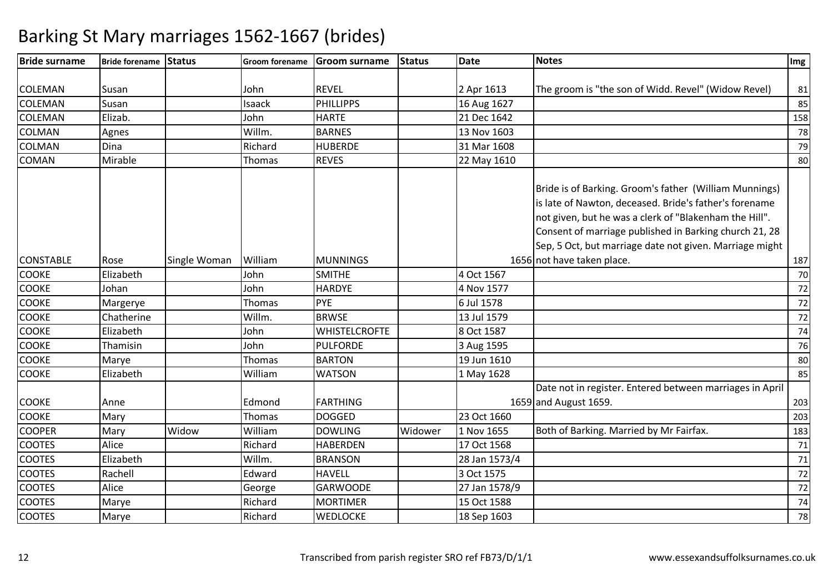| <b>Bride surname</b> | Bride forename Status |              | <b>Groom forename</b> | <b>Groom surname</b> | Status  | <b>Date</b>   | <b>Notes</b>                                                                                                                                                                                                                                                                                    | Img |
|----------------------|-----------------------|--------------|-----------------------|----------------------|---------|---------------|-------------------------------------------------------------------------------------------------------------------------------------------------------------------------------------------------------------------------------------------------------------------------------------------------|-----|
|                      |                       |              |                       |                      |         |               |                                                                                                                                                                                                                                                                                                 |     |
| <b>COLEMAN</b>       | Susan                 |              | John                  | <b>REVEL</b>         |         | 2 Apr 1613    | The groom is "the son of Widd. Revel" (Widow Revel)                                                                                                                                                                                                                                             | 81  |
| <b>COLEMAN</b>       | Susan                 |              | Isaack                | <b>PHILLIPPS</b>     |         | 16 Aug 1627   |                                                                                                                                                                                                                                                                                                 | 85  |
| <b>COLEMAN</b>       | Elizab.               |              | John                  | <b>HARTE</b>         |         | 21 Dec 1642   |                                                                                                                                                                                                                                                                                                 | 158 |
| <b>COLMAN</b>        | Agnes                 |              | Willm.                | <b>BARNES</b>        |         | 13 Nov 1603   |                                                                                                                                                                                                                                                                                                 | 78  |
| <b>COLMAN</b>        | Dina                  |              | Richard               | <b>HUBERDE</b>       |         | 31 Mar 1608   |                                                                                                                                                                                                                                                                                                 | 79  |
| <b>COMAN</b>         | Mirable               |              | Thomas                | <b>REVES</b>         |         | 22 May 1610   |                                                                                                                                                                                                                                                                                                 | 80  |
|                      |                       |              |                       |                      |         |               | Bride is of Barking. Groom's father (William Munnings)<br>is late of Nawton, deceased. Bride's father's forename<br>not given, but he was a clerk of "Blakenham the Hill".<br>Consent of marriage published in Barking church 21, 28<br>Sep, 5 Oct, but marriage date not given. Marriage might |     |
| <b>CONSTABLE</b>     | Rose                  | Single Woman | William               | <b>MUNNINGS</b>      |         |               | 1656 not have taken place.                                                                                                                                                                                                                                                                      | 187 |
| <b>COOKE</b>         | Elizabeth             |              | John                  | <b>SMITHE</b>        |         | 4 Oct 1567    |                                                                                                                                                                                                                                                                                                 | 70  |
| <b>COOKE</b>         | Johan                 |              | John                  | <b>HARDYE</b>        |         | 4 Nov 1577    |                                                                                                                                                                                                                                                                                                 | 72  |
| <b>COOKE</b>         | Margerye              |              | Thomas                | PYE                  |         | 6 Jul 1578    |                                                                                                                                                                                                                                                                                                 | 72  |
| <b>COOKE</b>         | Chatherine            |              | Willm.                | <b>BRWSE</b>         |         | 13 Jul 1579   |                                                                                                                                                                                                                                                                                                 | 72  |
| <b>COOKE</b>         | Elizabeth             |              | John                  | <b>WHISTELCROFTE</b> |         | 8 Oct 1587    |                                                                                                                                                                                                                                                                                                 | 74  |
| <b>COOKE</b>         | Thamisin              |              | John                  | <b>PULFORDE</b>      |         | 3 Aug 1595    |                                                                                                                                                                                                                                                                                                 | 76  |
| <b>COOKE</b>         | Marye                 |              | Thomas                | <b>BARTON</b>        |         | 19 Jun 1610   |                                                                                                                                                                                                                                                                                                 | 80  |
| <b>COOKE</b>         | Elizabeth             |              | William               | <b>WATSON</b>        |         | 1 May 1628    |                                                                                                                                                                                                                                                                                                 | 85  |
|                      |                       |              |                       |                      |         |               | Date not in register. Entered between marriages in April                                                                                                                                                                                                                                        |     |
| <b>COOKE</b>         | Anne                  |              | Edmond                | <b>FARTHING</b>      |         |               | 1659 and August 1659.                                                                                                                                                                                                                                                                           | 203 |
| <b>COOKE</b>         | Mary                  |              | Thomas                | <b>DOGGED</b>        |         | 23 Oct 1660   |                                                                                                                                                                                                                                                                                                 | 203 |
| <b>COOPER</b>        | Mary                  | Widow        | William               | <b>DOWLING</b>       | Widower | 1 Nov 1655    | Both of Barking. Married by Mr Fairfax.                                                                                                                                                                                                                                                         | 183 |
| <b>COOTES</b>        | Alice                 |              | Richard               | <b>HABERDEN</b>      |         | 17 Oct 1568   |                                                                                                                                                                                                                                                                                                 | 71  |
| <b>COOTES</b>        | Elizabeth             |              | Willm.                | <b>BRANSON</b>       |         | 28 Jan 1573/4 |                                                                                                                                                                                                                                                                                                 | 71  |
| <b>COOTES</b>        | Rachell               |              | Edward                | <b>HAVELL</b>        |         | 3 Oct 1575    |                                                                                                                                                                                                                                                                                                 | 72  |
| <b>COOTES</b>        | Alice                 |              | George                | <b>GARWOODE</b>      |         | 27 Jan 1578/9 |                                                                                                                                                                                                                                                                                                 | 72  |
| <b>COOTES</b>        | Marye                 |              | Richard               | <b>MORTIMER</b>      |         | 15 Oct 1588   |                                                                                                                                                                                                                                                                                                 | 74  |
| <b>COOTES</b>        | Marye                 |              | Richard               | <b>WEDLOCKE</b>      |         | 18 Sep 1603   |                                                                                                                                                                                                                                                                                                 | 78  |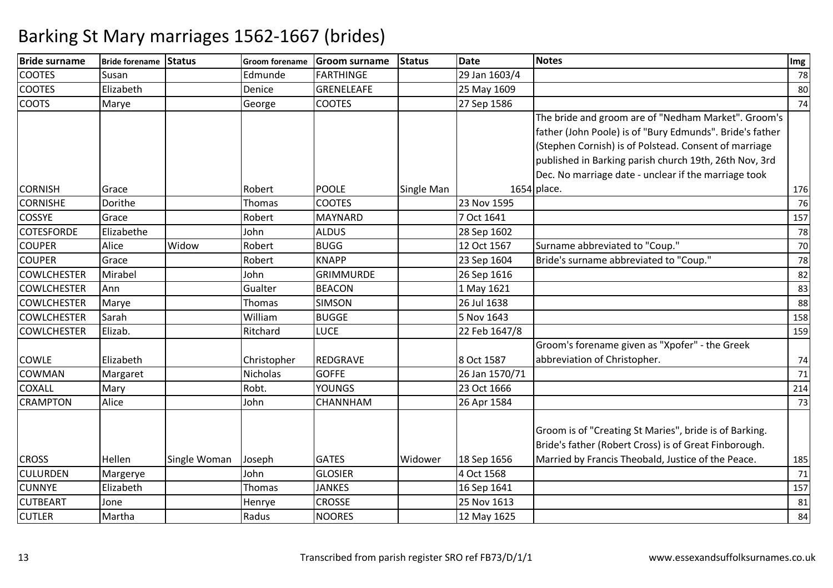| <b>Bride surname</b> | Bride forename Status |              | <b>Groom forename</b> | <b>Groom surname</b> | <b>Status</b> | <b>Date</b>    | <b>Notes</b>                                             | Img |
|----------------------|-----------------------|--------------|-----------------------|----------------------|---------------|----------------|----------------------------------------------------------|-----|
| <b>COOTES</b>        | Susan                 |              | Edmunde               | <b>FARTHINGE</b>     |               | 29 Jan 1603/4  |                                                          | 78  |
| <b>COOTES</b>        | Elizabeth             |              | Denice                | <b>GRENELEAFE</b>    |               | 25 May 1609    |                                                          | 80  |
| <b>COOTS</b>         | Marye                 |              | George                | <b>COOTES</b>        |               | 27 Sep 1586    |                                                          | 74  |
|                      |                       |              |                       |                      |               |                | The bride and groom are of "Nedham Market". Groom's      |     |
|                      |                       |              |                       |                      |               |                | father (John Poole) is of "Bury Edmunds". Bride's father |     |
|                      |                       |              |                       |                      |               |                | (Stephen Cornish) is of Polstead. Consent of marriage    |     |
|                      |                       |              |                       |                      |               |                | published in Barking parish church 19th, 26th Nov, 3rd   |     |
|                      |                       |              |                       |                      |               |                | Dec. No marriage date - unclear if the marriage took     |     |
| <b>CORNISH</b>       | Grace                 |              | Robert                | <b>POOLE</b>         | Single Man    |                | 1654 place.                                              | 176 |
| <b>CORNISHE</b>      | Dorithe               |              | Thomas                | <b>COOTES</b>        |               | 23 Nov 1595    |                                                          | 76  |
| <b>COSSYE</b>        | Grace                 |              | Robert                | MAYNARD              |               | 7 Oct 1641     |                                                          | 157 |
| <b>COTESFORDE</b>    | Elizabethe            |              | John                  | <b>ALDUS</b>         |               | 28 Sep 1602    |                                                          | 78  |
| <b>COUPER</b>        | Alice                 | Widow        | Robert                | <b>BUGG</b>          |               | 12 Oct 1567    | Surname abbreviated to "Coup."                           | 70  |
| <b>COUPER</b>        | Grace                 |              | Robert                | <b>KNAPP</b>         |               | 23 Sep 1604    | Bride's surname abbreviated to "Coup."                   | 78  |
| <b>COWLCHESTER</b>   | Mirabel               |              | John                  | <b>GRIMMURDE</b>     |               | 26 Sep 1616    |                                                          | 82  |
| <b>COWLCHESTER</b>   | Ann                   |              | Gualter               | <b>BEACON</b>        |               | 1 May 1621     |                                                          | 83  |
| <b>COWLCHESTER</b>   | Marye                 |              | Thomas                | <b>SIMSON</b>        |               | 26 Jul 1638    |                                                          | 88  |
| <b>COWLCHESTER</b>   | Sarah                 |              | William               | <b>BUGGE</b>         |               | 5 Nov 1643     |                                                          | 158 |
| <b>COWLCHESTER</b>   | Elizab.               |              | Ritchard              | <b>LUCE</b>          |               | 22 Feb 1647/8  |                                                          | 159 |
|                      |                       |              |                       |                      |               |                | Groom's forename given as "Xpofer" - the Greek           |     |
| COWLE                | Elizabeth             |              | Christopher           | <b>REDGRAVE</b>      |               | 8 Oct 1587     | abbreviation of Christopher.                             | 74  |
| COWMAN               | Margaret              |              | Nicholas              | <b>GOFFE</b>         |               | 26 Jan 1570/71 |                                                          | 71  |
| COXALL               | Mary                  |              | Robt.                 | <b>YOUNGS</b>        |               | 23 Oct 1666    |                                                          | 214 |
| <b>CRAMPTON</b>      | Alice                 |              | John                  | <b>CHANNHAM</b>      |               | 26 Apr 1584    |                                                          | 73  |
|                      |                       |              |                       |                      |               |                |                                                          |     |
|                      |                       |              |                       |                      |               |                | Groom is of "Creating St Maries", bride is of Barking.   |     |
|                      |                       |              |                       |                      |               |                | Bride's father (Robert Cross) is of Great Finborough.    |     |
| <b>CROSS</b>         | Hellen                | Single Woman | Joseph                | <b>GATES</b>         | Widower       | 18 Sep 1656    | Married by Francis Theobald, Justice of the Peace.       | 185 |
| <b>CULURDEN</b>      | Margerye              |              | John                  | <b>GLOSIER</b>       |               | 4 Oct 1568     |                                                          | 71  |
| <b>CUNNYE</b>        | Elizabeth             |              | Thomas                | <b>JANKES</b>        |               | 16 Sep 1641    |                                                          | 157 |
| <b>CUTBEART</b>      | Jone                  |              | Henrye                | <b>CROSSE</b>        |               | 25 Nov 1613    |                                                          | 81  |
| <b>CUTLER</b>        | Martha                |              | Radus                 | <b>NOORES</b>        |               | 12 May 1625    |                                                          | 84  |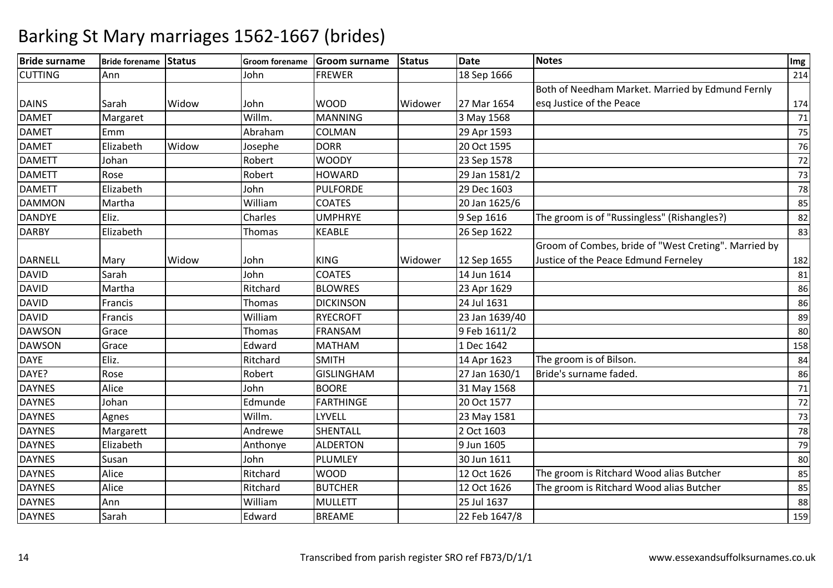| <b>Bride surname</b> | Bride forename Status |       | Groom forename | Groom surname     | <b>Status</b> | <b>Date</b>    | <b>Notes</b>                                         | Img |
|----------------------|-----------------------|-------|----------------|-------------------|---------------|----------------|------------------------------------------------------|-----|
| <b>CUTTING</b>       | Ann                   |       | John           | <b>FREWER</b>     |               | 18 Sep 1666    |                                                      | 214 |
|                      |                       |       |                |                   |               |                | Both of Needham Market. Married by Edmund Fernly     |     |
| <b>DAINS</b>         | Sarah                 | Widow | John           | <b>WOOD</b>       | Widower       | 27 Mar 1654    | esq Justice of the Peace                             | 174 |
| <b>DAMET</b>         | Margaret              |       | Willm.         | <b>MANNING</b>    |               | 3 May 1568     |                                                      | 71  |
| <b>DAMET</b>         | Emm                   |       | Abraham        | <b>COLMAN</b>     |               | 29 Apr 1593    |                                                      | 75  |
| <b>DAMET</b>         | Elizabeth             | Widow | Josephe        | <b>DORR</b>       |               | 20 Oct 1595    |                                                      | 76  |
| <b>DAMETT</b>        | Johan                 |       | Robert         | <b>WOODY</b>      |               | 23 Sep 1578    |                                                      | 72  |
| <b>DAMETT</b>        | Rose                  |       | Robert         | <b>HOWARD</b>     |               | 29 Jan 1581/2  |                                                      | 73  |
| <b>DAMETT</b>        | Elizabeth             |       | John           | <b>PULFORDE</b>   |               | 29 Dec 1603    |                                                      | 78  |
| <b>DAMMON</b>        | Martha                |       | William        | <b>COATES</b>     |               | 20 Jan 1625/6  |                                                      | 85  |
| <b>DANDYE</b>        | Eliz.                 |       | Charles        | <b>UMPHRYE</b>    |               | 9 Sep 1616     | The groom is of "Russingless" (Rishangles?)          | 82  |
| <b>DARBY</b>         | Elizabeth             |       | Thomas         | <b>KEABLE</b>     |               | 26 Sep 1622    |                                                      | 83  |
|                      |                       |       |                |                   |               |                | Groom of Combes, bride of "West Creting". Married by |     |
| DARNELL              | Mary                  | Widow | John           | <b>KING</b>       | Widower       | 12 Sep 1655    | Justice of the Peace Edmund Ferneley                 | 182 |
| DAVID                | Sarah                 |       | John           | <b>COATES</b>     |               | 14 Jun 1614    |                                                      | 81  |
| <b>DAVID</b>         | Martha                |       | Ritchard       | <b>BLOWRES</b>    |               | 23 Apr 1629    |                                                      | 86  |
| <b>DAVID</b>         | Francis               |       | Thomas         | <b>DICKINSON</b>  |               | 24 Jul 1631    |                                                      | 86  |
| DAVID                | Francis               |       | William        | <b>RYECROFT</b>   |               | 23 Jan 1639/40 |                                                      | 89  |
| DAWSON               | Grace                 |       | Thomas         | <b>FRANSAM</b>    |               | 9 Feb 1611/2   |                                                      | 80  |
| <b>DAWSON</b>        | Grace                 |       | Edward         | <b>MATHAM</b>     |               | 1 Dec 1642     |                                                      | 158 |
| <b>DAYE</b>          | Eliz.                 |       | Ritchard       | <b>SMITH</b>      |               | 14 Apr 1623    | The groom is of Bilson.                              | 84  |
| DAYE?                | Rose                  |       | Robert         | <b>GISLINGHAM</b> |               | 27 Jan 1630/1  | Bride's surname faded.                               | 86  |
| <b>DAYNES</b>        | Alice                 |       | John           | <b>BOORE</b>      |               | 31 May 1568    |                                                      | 71  |
| <b>DAYNES</b>        | Johan                 |       | Edmunde        | <b>FARTHINGE</b>  |               | 20 Oct 1577    |                                                      | 72  |
| <b>DAYNES</b>        | Agnes                 |       | Willm.         | <b>LYVELL</b>     |               | 23 May 1581    |                                                      | 73  |
| <b>DAYNES</b>        | Margarett             |       | Andrewe        | <b>SHENTALL</b>   |               | 2 Oct 1603     |                                                      | 78  |
| <b>DAYNES</b>        | Elizabeth             |       | Anthonye       | <b>ALDERTON</b>   |               | 9 Jun 1605     |                                                      | 79  |
| <b>DAYNES</b>        | Susan                 |       | John           | PLUMLEY           |               | 30 Jun 1611    |                                                      | 80  |
| <b>DAYNES</b>        | Alice                 |       | Ritchard       | <b>WOOD</b>       |               | 12 Oct 1626    | The groom is Ritchard Wood alias Butcher             | 85  |
| <b>DAYNES</b>        | Alice                 |       | Ritchard       | <b>BUTCHER</b>    |               | 12 Oct 1626    | The groom is Ritchard Wood alias Butcher             | 85  |
| <b>DAYNES</b>        | Ann                   |       | William        | <b>MULLETT</b>    |               | 25 Jul 1637    |                                                      | 88  |
| <b>DAYNES</b>        | Sarah                 |       | Edward         | <b>BREAME</b>     |               | 22 Feb 1647/8  |                                                      | 159 |
|                      |                       |       |                |                   |               |                |                                                      |     |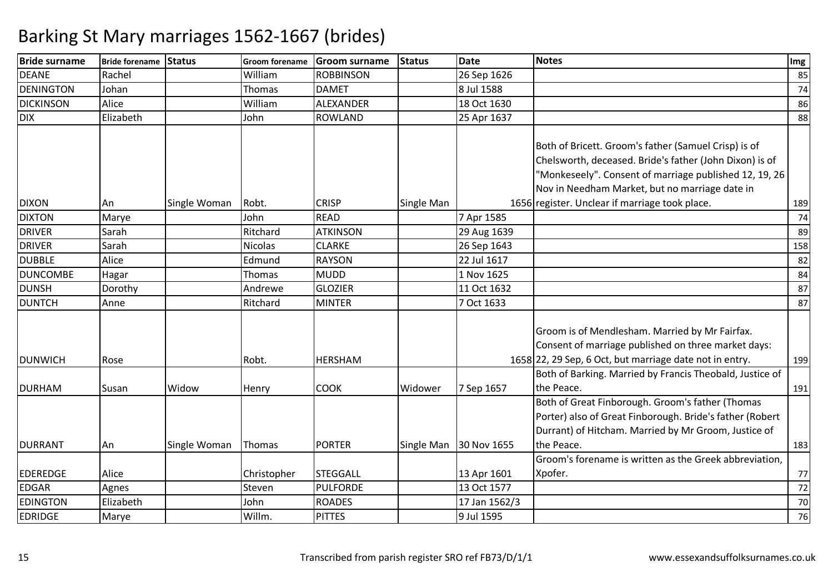| <b>Bride surname</b> | <b>Bride forename</b> | Status       | <b>Groom forename</b> | <b>Groom surname</b> | Status     | <b>Date</b>   | <b>Notes</b>                                             | Img |
|----------------------|-----------------------|--------------|-----------------------|----------------------|------------|---------------|----------------------------------------------------------|-----|
| <b>DEANE</b>         | Rachel                |              | William               | <b>ROBBINSON</b>     |            | 26 Sep 1626   |                                                          | 85  |
| DENINGTON            | Johan                 |              | Thomas                | <b>DAMET</b>         |            | 8 Jul 1588    |                                                          | 74  |
| <b>DICKINSON</b>     | Alice                 |              | William               | ALEXANDER            |            | 18 Oct 1630   |                                                          | 86  |
| <b>DIX</b>           | Elizabeth             |              | John                  | <b>ROWLAND</b>       |            | 25 Apr 1637   |                                                          | 88  |
|                      |                       |              |                       |                      |            |               |                                                          |     |
|                      |                       |              |                       |                      |            |               | Both of Bricett. Groom's father (Samuel Crisp) is of     |     |
|                      |                       |              |                       |                      |            |               | Chelsworth, deceased. Bride's father (John Dixon) is of  |     |
|                      |                       |              |                       |                      |            |               | "Monkeseely". Consent of marriage published 12, 19, 26   |     |
|                      |                       |              |                       |                      |            |               | Nov in Needham Market, but no marriage date in           |     |
| <b>DIXON</b>         | An                    | Single Woman | Robt.                 | <b>CRISP</b>         | Single Man |               | 1656 register. Unclear if marriage took place.           | 189 |
| <b>DIXTON</b>        | Marye                 |              | John                  | <b>READ</b>          |            | 7 Apr 1585    |                                                          | 74  |
| <b>DRIVER</b>        | Sarah                 |              | Ritchard              | <b>ATKINSON</b>      |            | 29 Aug 1639   |                                                          | 89  |
| <b>DRIVER</b>        | Sarah                 |              | Nicolas               | <b>CLARKE</b>        |            | 26 Sep 1643   |                                                          | 158 |
| <b>DUBBLE</b>        | Alice                 |              | Edmund                | <b>RAYSON</b>        |            | 22 Jul 1617   |                                                          | 82  |
| <b>DUNCOMBE</b>      | Hagar                 |              | Thomas                | <b>MUDD</b>          |            | 1 Nov 1625    |                                                          | 84  |
| <b>DUNSH</b>         | Dorothy               |              | Andrewe               | <b>GLOZIER</b>       |            | 11 Oct 1632   |                                                          | 87  |
| <b>DUNTCH</b>        | Anne                  |              | Ritchard              | <b>MINTER</b>        |            | 7 Oct 1633    |                                                          | 87  |
|                      |                       |              |                       |                      |            |               |                                                          |     |
|                      |                       |              |                       |                      |            |               | Groom is of Mendlesham. Married by Mr Fairfax.           |     |
|                      |                       |              |                       |                      |            |               | Consent of marriage published on three market days:      |     |
| <b>DUNWICH</b>       | Rose                  |              | Robt.                 | <b>HERSHAM</b>       |            |               | 1658 22, 29 Sep, 6 Oct, but marriage date not in entry.  | 199 |
|                      |                       |              |                       |                      |            |               | Both of Barking. Married by Francis Theobald, Justice of |     |
| <b>DURHAM</b>        | Susan                 | Widow        | Henry                 | <b>COOK</b>          | Widower    | 7 Sep 1657    | the Peace.                                               | 191 |
|                      |                       |              |                       |                      |            |               | Both of Great Finborough. Groom's father (Thomas         |     |
|                      |                       |              |                       |                      |            |               | Porter) also of Great Finborough. Bride's father (Robert |     |
|                      |                       |              |                       |                      |            |               | Durrant) of Hitcham. Married by Mr Groom, Justice of     |     |
| <b>DURRANT</b>       | An                    | Single Woman | Thomas                | <b>PORTER</b>        | Single Man | 30 Nov 1655   | the Peace.                                               | 183 |
|                      |                       |              |                       |                      |            |               | Groom's forename is written as the Greek abbreviation,   |     |
| <b>EDEREDGE</b>      | Alice                 |              | Christopher           | <b>STEGGALL</b>      |            | 13 Apr 1601   | Xpofer.                                                  | 77  |
| <b>EDGAR</b>         | Agnes                 |              | Steven                | <b>PULFORDE</b>      |            | 13 Oct 1577   |                                                          | 72  |
| <b>EDINGTON</b>      | Elizabeth             |              | John                  | <b>ROADES</b>        |            | 17 Jan 1562/3 |                                                          | 70  |
| <b>EDRIDGE</b>       | Marye                 |              | Willm.                | <b>PITTES</b>        |            | 9 Jul 1595    |                                                          | 76  |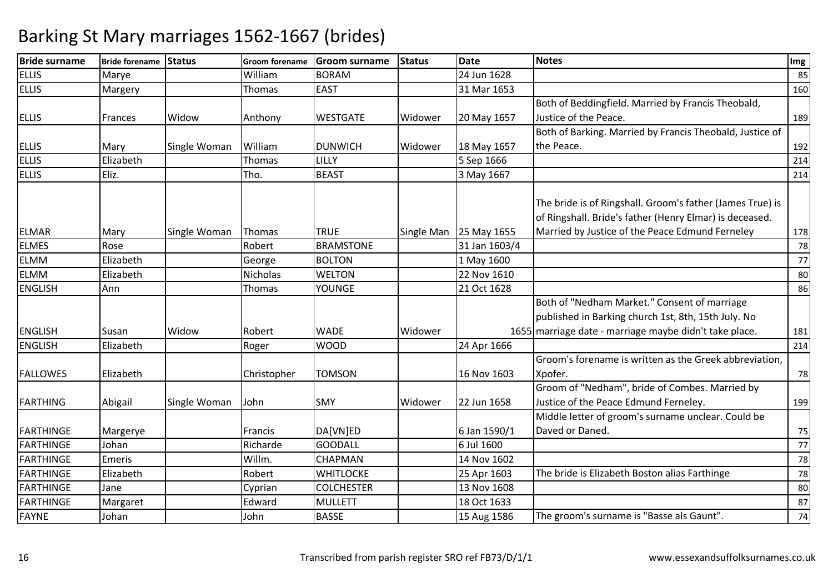| <b>Bride surname</b> | Bride forename Status |              | <b>Groom forename</b> | <b>Groom surname</b> | <b>Status</b> | <b>Date</b>   | <b>Notes</b>                                                                                                                                                            | Img |
|----------------------|-----------------------|--------------|-----------------------|----------------------|---------------|---------------|-------------------------------------------------------------------------------------------------------------------------------------------------------------------------|-----|
| <b>ELLIS</b>         | Marye                 |              | William               | <b>BORAM</b>         |               | 24 Jun 1628   |                                                                                                                                                                         | 85  |
| <b>ELLIS</b>         | Margery               |              | Thomas                | <b>EAST</b>          |               | 31 Mar 1653   |                                                                                                                                                                         | 160 |
|                      |                       |              |                       |                      |               |               | Both of Beddingfield. Married by Francis Theobald,                                                                                                                      |     |
| <b>ELLIS</b>         | Frances               | Widow        | Anthony               | <b>WESTGATE</b>      | Widower       | 20 May 1657   | Justice of the Peace.                                                                                                                                                   | 189 |
|                      |                       |              |                       |                      |               |               | Both of Barking. Married by Francis Theobald, Justice of                                                                                                                |     |
| <b>ELLIS</b>         | Mary                  | Single Woman | William               | <b>DUNWICH</b>       | Widower       | 18 May 1657   | the Peace.                                                                                                                                                              | 192 |
| <b>ELLIS</b>         | Elizabeth             |              | Thomas                | LILLY                |               | 5 Sep 1666    |                                                                                                                                                                         | 214 |
| <b>ELLIS</b>         | Eliz.                 |              | Tho.                  | <b>BEAST</b>         |               | 3 May 1667    |                                                                                                                                                                         | 214 |
| <b>ELMAR</b>         | Mary                  | Single Woman | Thomas                | <b>TRUE</b>          | Single Man    | 25 May 1655   | The bride is of Ringshall. Groom's father (James True) is<br>of Ringshall. Bride's father (Henry Elmar) is deceased.<br>Married by Justice of the Peace Edmund Ferneley | 178 |
| <b>ELMES</b>         | Rose                  |              | Robert                | <b>BRAMSTONE</b>     |               | 31 Jan 1603/4 |                                                                                                                                                                         | 78  |
| ELMM                 | Elizabeth             |              | George                | <b>BOLTON</b>        |               | 1 May 1600    |                                                                                                                                                                         | 77  |
| <b>ELMM</b>          | Elizabeth             |              | Nicholas              | <b>WELTON</b>        |               | 22 Nov 1610   |                                                                                                                                                                         | 80  |
| <b>ENGLISH</b>       | Ann                   |              | Thomas                | <b>YOUNGE</b>        |               | 21 Oct 1628   |                                                                                                                                                                         | 86  |
| <b>ENGLISH</b>       | Susan                 | Widow        | Robert                | <b>WADE</b>          | Widower       |               | Both of "Nedham Market." Consent of marriage<br>published in Barking church 1st, 8th, 15th July. No<br>1655 marriage date - marriage maybe didn't take place.           | 181 |
| <b>ENGLISH</b>       | Elizabeth             |              | Roger                 | <b>WOOD</b>          |               | 24 Apr 1666   |                                                                                                                                                                         | 214 |
| <b>FALLOWES</b>      | Elizabeth             |              | Christopher           | <b>TOMSON</b>        |               | 16 Nov 1603   | Groom's forename is written as the Greek abbreviation,<br>Xpofer.                                                                                                       | 78  |
| <b>FARTHING</b>      | Abigail               | Single Woman | John                  | <b>SMY</b>           | Widower       | 22 Jun 1658   | Groom of "Nedham", bride of Combes. Married by<br>Justice of the Peace Edmund Ferneley.                                                                                 | 199 |
| FARTHINGE            | Margerye              |              | Francis               | DA[VN]ED             |               | 6 Jan 1590/1  | Middle letter of groom's surname unclear. Could be<br>Daved or Daned.                                                                                                   | 75  |
| FARTHINGE            | Johan                 |              | Richarde              | <b>GOODALL</b>       |               | 6 Jul 1600    |                                                                                                                                                                         | 77  |
| <b>FARTHINGE</b>     | Emeris                |              | Willm.                | <b>CHAPMAN</b>       |               | 14 Nov 1602   |                                                                                                                                                                         | 78  |
| FARTHINGE            | Elizabeth             |              | Robert                | <b>WHITLOCKE</b>     |               | 25 Apr 1603   | The bride is Elizabeth Boston alias Farthinge                                                                                                                           | 78  |
| FARTHINGE            | Jane                  |              | Cyprian               | <b>COLCHESTER</b>    |               | 13 Nov 1608   |                                                                                                                                                                         | 80  |
| <b>FARTHINGE</b>     | Margaret              |              | Edward                | <b>MULLETT</b>       |               | 18 Oct 1633   |                                                                                                                                                                         | 87  |
| <b>FAYNE</b>         | Johan                 |              | John                  | <b>BASSE</b>         |               | 15 Aug 1586   | The groom's surname is "Basse als Gaunt".                                                                                                                               | 74  |
|                      |                       |              |                       |                      |               |               |                                                                                                                                                                         |     |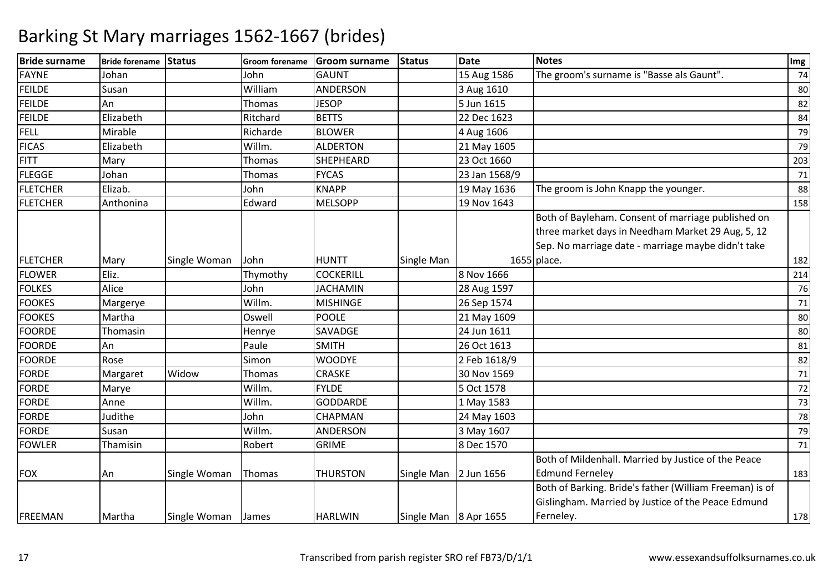| <b>Bride surname</b> | Bride forename Status |              | Groom forename | Groom surname    | <b>Status</b>         | <b>Date</b>   | <b>Notes</b>                                            | Img |
|----------------------|-----------------------|--------------|----------------|------------------|-----------------------|---------------|---------------------------------------------------------|-----|
| <b>FAYNE</b>         | Johan                 |              | John           | <b>GAUNT</b>     |                       | 15 Aug 1586   | The groom's surname is "Basse als Gaunt".               | 74  |
| <b>FEILDE</b>        | Susan                 |              | William        | ANDERSON         |                       | 3 Aug 1610    |                                                         | 80  |
| <b>FEILDE</b>        | An                    |              | Thomas         | <b>JESOP</b>     |                       | 5 Jun 1615    |                                                         | 82  |
| <b>FEILDE</b>        | Elizabeth             |              | Ritchard       | <b>BETTS</b>     |                       | 22 Dec 1623   |                                                         | 84  |
| <b>FELL</b>          | Mirable               |              | Richarde       | <b>BLOWER</b>    |                       | 4 Aug 1606    |                                                         | 79  |
| <b>FICAS</b>         | Elizabeth             |              | Willm.         | <b>ALDERTON</b>  |                       | 21 May 1605   |                                                         | 79  |
| <b>FITT</b>          | Mary                  |              | Thomas         | <b>SHEPHEARD</b> |                       | 23 Oct 1660   |                                                         | 203 |
| <b>FLEGGE</b>        | Johan                 |              | Thomas         | <b>FYCAS</b>     |                       | 23 Jan 1568/9 |                                                         | 71  |
| <b>FLETCHER</b>      | Elizab.               |              | John           | <b>KNAPP</b>     |                       | 19 May 1636   | The groom is John Knapp the younger.                    | 88  |
| <b>FLETCHER</b>      | Anthonina             |              | Edward         | <b>MELSOPP</b>   |                       | 19 Nov 1643   |                                                         | 158 |
|                      |                       |              |                |                  |                       |               | Both of Bayleham. Consent of marriage published on      |     |
|                      |                       |              |                |                  |                       |               | three market days in Needham Market 29 Aug, 5, 12       |     |
|                      |                       |              |                |                  |                       |               | Sep. No marriage date - marriage maybe didn't take      |     |
| <b>FLETCHER</b>      | Mary                  | Single Woman | John           | <b>HUNTT</b>     | Single Man            |               | 1655 place.                                             | 182 |
| <b>FLOWER</b>        | Eliz.                 |              | Thymothy       | <b>COCKERILL</b> |                       | 8 Nov 1666    |                                                         | 214 |
| <b>FOLKES</b>        | Alice                 |              | John           | <b>JACHAMIN</b>  |                       | 28 Aug 1597   |                                                         | 76  |
| <b>FOOKES</b>        | Margerye              |              | Willm.         | <b>MISHINGE</b>  |                       | 26 Sep 1574   |                                                         | 71  |
| <b>FOOKES</b>        | Martha                |              | Oswell         | <b>POOLE</b>     |                       | 21 May 1609   |                                                         | 80  |
| <b>FOORDE</b>        | Thomasin              |              | Henrye         | SAVADGE          |                       | 24 Jun 1611   |                                                         | 80  |
| <b>FOORDE</b>        | An                    |              | Paule          | <b>SMITH</b>     |                       | 26 Oct 1613   |                                                         | 81  |
| <b>FOORDE</b>        | Rose                  |              | Simon          | <b>WOODYE</b>    |                       | 2 Feb 1618/9  |                                                         | 82  |
| <b>FORDE</b>         | Margaret              | Widow        | Thomas         | <b>CRASKE</b>    |                       | 30 Nov 1569   |                                                         | 71  |
| <b>FORDE</b>         | Marye                 |              | Willm.         | <b>FYLDE</b>     |                       | 5 Oct 1578    |                                                         | 72  |
| <b>FORDE</b>         | Anne                  |              | Willm.         | <b>GODDARDE</b>  |                       | 1 May 1583    |                                                         | 73  |
| FORDE                | Judithe               |              | John           | <b>CHAPMAN</b>   |                       | 24 May 1603   |                                                         | 78  |
| <b>FORDE</b>         | Susan                 |              | Willm.         | <b>ANDERSON</b>  |                       | 3 May 1607    |                                                         | 79  |
| <b>FOWLER</b>        | Thamisin              |              | Robert         | <b>GRIME</b>     |                       | 8 Dec 1570    |                                                         | 71  |
|                      |                       |              |                |                  |                       |               | Both of Mildenhall. Married by Justice of the Peace     |     |
| <b>FOX</b>           | An                    | Single Woman | Thomas         | <b>THURSTON</b>  | Single Man 2 Jun 1656 |               | <b>Edmund Ferneley</b>                                  | 183 |
|                      |                       |              |                |                  |                       |               | Both of Barking. Bride's father (William Freeman) is of |     |
|                      |                       |              |                |                  |                       |               | Gislingham. Married by Justice of the Peace Edmund      |     |
| FREEMAN              | Martha                | Single Woman | James          | <b>HARLWIN</b>   | Single Man 8 Apr 1655 |               | Ferneley.                                               | 178 |
|                      |                       |              |                |                  |                       |               |                                                         |     |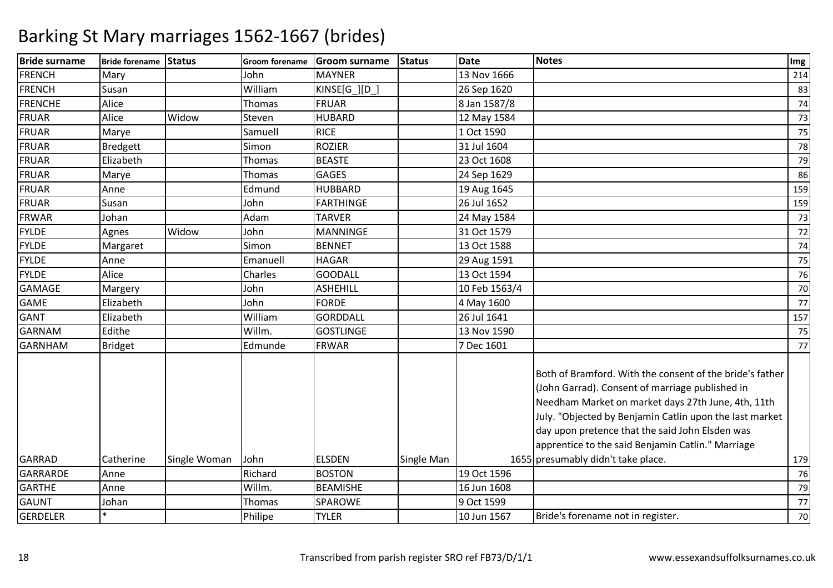| <b>MAYNER</b><br>13 Nov 1666<br>Mary<br>John<br>William<br>KINSE[G_][D_]<br>Susan<br>26 Sep 1620<br>Alice<br>Thomas<br><b>FRUAR</b><br>8 Jan 1587/8<br>Alice<br>Widow<br><b>HUBARD</b><br>Steven<br>12 May 1584<br><b>RICE</b><br>1 Oct 1590<br>Samuell<br>Marye<br>Simon<br><b>ROZIER</b><br><b>Bredgett</b><br>31 Jul 1604<br>Elizabeth<br>Thomas<br><b>BEASTE</b><br>23 Oct 1608<br><b>GAGES</b><br>Thomas<br>24 Sep 1629<br>Marye<br>Edmund<br><b>HUBBARD</b><br>Anne<br>19 Aug 1645<br><b>FARTHINGE</b><br>John<br>26 Jul 1652<br>Susan<br>Adam<br><b>TARVER</b><br>Johan<br>24 May 1584<br>Widow<br><b>MANNINGE</b><br>31 Oct 1579<br>John<br>Agnes<br>Simon<br><b>BENNET</b><br>13 Oct 1588<br>Margaret<br>Anne<br>Emanuell<br><b>HAGAR</b><br>29 Aug 1591<br>Alice<br>Charles<br><b>GOODALL</b><br>13 Oct 1594<br><b>ASHEHILL</b><br>10 Feb 1563/4<br>John<br>Margery<br>John<br>Elizabeth<br><b>FORDE</b><br>4 May 1600<br>William<br><b>GORDDALL</b><br>26 Jul 1641<br>Elizabeth<br>Edithe<br>Willm.<br><b>GOSTLINGE</b><br>13 Nov 1590<br><b>FRWAR</b><br>7 Dec 1601<br>Edmunde<br><b>Bridget</b><br>Both of Bramford. With the consent of the bride's father<br>(John Garrad). Consent of marriage published in<br>Needham Market on market days 27th June, 4th, 11th<br>July. "Objected by Benjamin Catlin upon the last market<br>day upon pretence that the said John Elsden was<br>apprentice to the said Benjamin Catlin." Marriage<br>1655 presumably didn't take place.<br><b>GARRAD</b><br>Catherine<br>John<br><b>ELSDEN</b><br>Single Woman<br>Single Man<br>Anne<br>Richard<br><b>BOSTON</b><br>19 Oct 1596<br><b>GARTHE</b><br>Willm.<br><b>BEAMISHE</b><br>16 Jun 1608<br>Anne<br>SPAROWE<br>9 Oct 1599<br>Johan<br>Thomas<br>$\ast$<br>Philipe<br><b>TYLER</b><br>10 Jun 1567<br>Bride's forename not in register. | <b>Bride surname</b> | Bride forename Status |  | Groom forename Groom surname | Status | <b>Date</b> | <b>Notes</b> | Img |
|----------------------------------------------------------------------------------------------------------------------------------------------------------------------------------------------------------------------------------------------------------------------------------------------------------------------------------------------------------------------------------------------------------------------------------------------------------------------------------------------------------------------------------------------------------------------------------------------------------------------------------------------------------------------------------------------------------------------------------------------------------------------------------------------------------------------------------------------------------------------------------------------------------------------------------------------------------------------------------------------------------------------------------------------------------------------------------------------------------------------------------------------------------------------------------------------------------------------------------------------------------------------------------------------------------------------------------------------------------------------------------------------------------------------------------------------------------------------------------------------------------------------------------------------------------------------------------------------------------------------------------------------------------------------------------------------------------------------------------------------------------------------------------------------------------------------------------------------|----------------------|-----------------------|--|------------------------------|--------|-------------|--------------|-----|
| 83<br>74<br>73<br>75<br>78<br>79<br>86<br>159<br>159<br>73<br>72<br>74<br>75<br>76<br>70<br>77<br>157<br>75<br>77<br>179<br>76<br>79<br>77<br>70                                                                                                                                                                                                                                                                                                                                                                                                                                                                                                                                                                                                                                                                                                                                                                                                                                                                                                                                                                                                                                                                                                                                                                                                                                                                                                                                                                                                                                                                                                                                                                                                                                                                                             | <b>FRENCH</b>        |                       |  |                              |        |             |              | 214 |
|                                                                                                                                                                                                                                                                                                                                                                                                                                                                                                                                                                                                                                                                                                                                                                                                                                                                                                                                                                                                                                                                                                                                                                                                                                                                                                                                                                                                                                                                                                                                                                                                                                                                                                                                                                                                                                              | <b>FRENCH</b>        |                       |  |                              |        |             |              |     |
|                                                                                                                                                                                                                                                                                                                                                                                                                                                                                                                                                                                                                                                                                                                                                                                                                                                                                                                                                                                                                                                                                                                                                                                                                                                                                                                                                                                                                                                                                                                                                                                                                                                                                                                                                                                                                                              | <b>FRENCHE</b>       |                       |  |                              |        |             |              |     |
|                                                                                                                                                                                                                                                                                                                                                                                                                                                                                                                                                                                                                                                                                                                                                                                                                                                                                                                                                                                                                                                                                                                                                                                                                                                                                                                                                                                                                                                                                                                                                                                                                                                                                                                                                                                                                                              | FRUAR                |                       |  |                              |        |             |              |     |
|                                                                                                                                                                                                                                                                                                                                                                                                                                                                                                                                                                                                                                                                                                                                                                                                                                                                                                                                                                                                                                                                                                                                                                                                                                                                                                                                                                                                                                                                                                                                                                                                                                                                                                                                                                                                                                              | <b>FRUAR</b>         |                       |  |                              |        |             |              |     |
|                                                                                                                                                                                                                                                                                                                                                                                                                                                                                                                                                                                                                                                                                                                                                                                                                                                                                                                                                                                                                                                                                                                                                                                                                                                                                                                                                                                                                                                                                                                                                                                                                                                                                                                                                                                                                                              | FRUAR                |                       |  |                              |        |             |              |     |
|                                                                                                                                                                                                                                                                                                                                                                                                                                                                                                                                                                                                                                                                                                                                                                                                                                                                                                                                                                                                                                                                                                                                                                                                                                                                                                                                                                                                                                                                                                                                                                                                                                                                                                                                                                                                                                              | <b>FRUAR</b>         |                       |  |                              |        |             |              |     |
|                                                                                                                                                                                                                                                                                                                                                                                                                                                                                                                                                                                                                                                                                                                                                                                                                                                                                                                                                                                                                                                                                                                                                                                                                                                                                                                                                                                                                                                                                                                                                                                                                                                                                                                                                                                                                                              | <b>FRUAR</b>         |                       |  |                              |        |             |              |     |
|                                                                                                                                                                                                                                                                                                                                                                                                                                                                                                                                                                                                                                                                                                                                                                                                                                                                                                                                                                                                                                                                                                                                                                                                                                                                                                                                                                                                                                                                                                                                                                                                                                                                                                                                                                                                                                              | <b>FRUAR</b>         |                       |  |                              |        |             |              |     |
|                                                                                                                                                                                                                                                                                                                                                                                                                                                                                                                                                                                                                                                                                                                                                                                                                                                                                                                                                                                                                                                                                                                                                                                                                                                                                                                                                                                                                                                                                                                                                                                                                                                                                                                                                                                                                                              | FRUAR                |                       |  |                              |        |             |              |     |
|                                                                                                                                                                                                                                                                                                                                                                                                                                                                                                                                                                                                                                                                                                                                                                                                                                                                                                                                                                                                                                                                                                                                                                                                                                                                                                                                                                                                                                                                                                                                                                                                                                                                                                                                                                                                                                              | <b>FRWAR</b>         |                       |  |                              |        |             |              |     |
|                                                                                                                                                                                                                                                                                                                                                                                                                                                                                                                                                                                                                                                                                                                                                                                                                                                                                                                                                                                                                                                                                                                                                                                                                                                                                                                                                                                                                                                                                                                                                                                                                                                                                                                                                                                                                                              | <b>FYLDE</b>         |                       |  |                              |        |             |              |     |
|                                                                                                                                                                                                                                                                                                                                                                                                                                                                                                                                                                                                                                                                                                                                                                                                                                                                                                                                                                                                                                                                                                                                                                                                                                                                                                                                                                                                                                                                                                                                                                                                                                                                                                                                                                                                                                              | <b>FYLDE</b>         |                       |  |                              |        |             |              |     |
|                                                                                                                                                                                                                                                                                                                                                                                                                                                                                                                                                                                                                                                                                                                                                                                                                                                                                                                                                                                                                                                                                                                                                                                                                                                                                                                                                                                                                                                                                                                                                                                                                                                                                                                                                                                                                                              | <b>FYLDE</b>         |                       |  |                              |        |             |              |     |
|                                                                                                                                                                                                                                                                                                                                                                                                                                                                                                                                                                                                                                                                                                                                                                                                                                                                                                                                                                                                                                                                                                                                                                                                                                                                                                                                                                                                                                                                                                                                                                                                                                                                                                                                                                                                                                              | <b>FYLDE</b>         |                       |  |                              |        |             |              |     |
|                                                                                                                                                                                                                                                                                                                                                                                                                                                                                                                                                                                                                                                                                                                                                                                                                                                                                                                                                                                                                                                                                                                                                                                                                                                                                                                                                                                                                                                                                                                                                                                                                                                                                                                                                                                                                                              | <b>GAMAGE</b>        |                       |  |                              |        |             |              |     |
|                                                                                                                                                                                                                                                                                                                                                                                                                                                                                                                                                                                                                                                                                                                                                                                                                                                                                                                                                                                                                                                                                                                                                                                                                                                                                                                                                                                                                                                                                                                                                                                                                                                                                                                                                                                                                                              | <b>GAME</b>          |                       |  |                              |        |             |              |     |
|                                                                                                                                                                                                                                                                                                                                                                                                                                                                                                                                                                                                                                                                                                                                                                                                                                                                                                                                                                                                                                                                                                                                                                                                                                                                                                                                                                                                                                                                                                                                                                                                                                                                                                                                                                                                                                              | <b>GANT</b>          |                       |  |                              |        |             |              |     |
|                                                                                                                                                                                                                                                                                                                                                                                                                                                                                                                                                                                                                                                                                                                                                                                                                                                                                                                                                                                                                                                                                                                                                                                                                                                                                                                                                                                                                                                                                                                                                                                                                                                                                                                                                                                                                                              | <b>GARNAM</b>        |                       |  |                              |        |             |              |     |
|                                                                                                                                                                                                                                                                                                                                                                                                                                                                                                                                                                                                                                                                                                                                                                                                                                                                                                                                                                                                                                                                                                                                                                                                                                                                                                                                                                                                                                                                                                                                                                                                                                                                                                                                                                                                                                              | <b>GARNHAM</b>       |                       |  |                              |        |             |              |     |
|                                                                                                                                                                                                                                                                                                                                                                                                                                                                                                                                                                                                                                                                                                                                                                                                                                                                                                                                                                                                                                                                                                                                                                                                                                                                                                                                                                                                                                                                                                                                                                                                                                                                                                                                                                                                                                              |                      |                       |  |                              |        |             |              |     |
|                                                                                                                                                                                                                                                                                                                                                                                                                                                                                                                                                                                                                                                                                                                                                                                                                                                                                                                                                                                                                                                                                                                                                                                                                                                                                                                                                                                                                                                                                                                                                                                                                                                                                                                                                                                                                                              |                      |                       |  |                              |        |             |              |     |
|                                                                                                                                                                                                                                                                                                                                                                                                                                                                                                                                                                                                                                                                                                                                                                                                                                                                                                                                                                                                                                                                                                                                                                                                                                                                                                                                                                                                                                                                                                                                                                                                                                                                                                                                                                                                                                              | GARRARDE             |                       |  |                              |        |             |              |     |
|                                                                                                                                                                                                                                                                                                                                                                                                                                                                                                                                                                                                                                                                                                                                                                                                                                                                                                                                                                                                                                                                                                                                                                                                                                                                                                                                                                                                                                                                                                                                                                                                                                                                                                                                                                                                                                              |                      |                       |  |                              |        |             |              |     |
|                                                                                                                                                                                                                                                                                                                                                                                                                                                                                                                                                                                                                                                                                                                                                                                                                                                                                                                                                                                                                                                                                                                                                                                                                                                                                                                                                                                                                                                                                                                                                                                                                                                                                                                                                                                                                                              | <b>GAUNT</b>         |                       |  |                              |        |             |              |     |
|                                                                                                                                                                                                                                                                                                                                                                                                                                                                                                                                                                                                                                                                                                                                                                                                                                                                                                                                                                                                                                                                                                                                                                                                                                                                                                                                                                                                                                                                                                                                                                                                                                                                                                                                                                                                                                              | <b>GERDELER</b>      |                       |  |                              |        |             |              |     |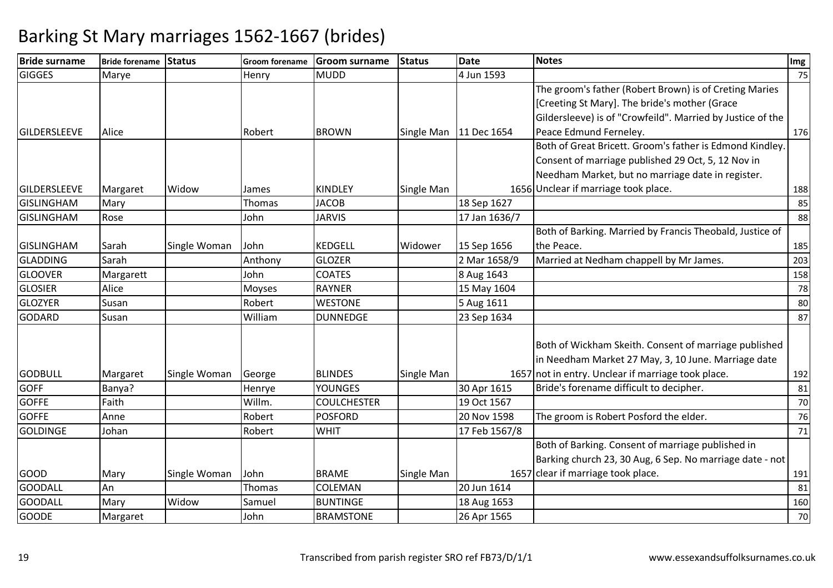| <b>Bride surname</b> | Bride forename Status |              |         | Groom forename Groom surname | <b>Status</b> | <b>Date</b>              | <b>Notes</b>                                               | Img |
|----------------------|-----------------------|--------------|---------|------------------------------|---------------|--------------------------|------------------------------------------------------------|-----|
| <b>GIGGES</b>        | Marye                 |              | Henry   | <b>MUDD</b>                  |               | 4 Jun 1593               |                                                            | 75  |
|                      |                       |              |         |                              |               |                          | The groom's father (Robert Brown) is of Creting Maries     |     |
|                      |                       |              |         |                              |               |                          | [Creeting St Mary]. The bride's mother (Grace              |     |
|                      |                       |              |         |                              |               |                          | Gildersleeve) is of "Crowfeild". Married by Justice of the |     |
| <b>GILDERSLEEVE</b>  | Alice                 |              | Robert  | <b>BROWN</b>                 |               | Single Man   11 Dec 1654 | Peace Edmund Ferneley.                                     | 176 |
|                      |                       |              |         |                              |               |                          | Both of Great Bricett. Groom's father is Edmond Kindley.   |     |
|                      |                       |              |         |                              |               |                          | Consent of marriage published 29 Oct, 5, 12 Nov in         |     |
|                      |                       |              |         |                              |               |                          | Needham Market, but no marriage date in register.          |     |
| <b>GILDERSLEEVE</b>  | Margaret              | Widow        | James   | <b>KINDLEY</b>               | Single Man    |                          | 1656 Unclear if marriage took place.                       | 188 |
| <b>GISLINGHAM</b>    | Mary                  |              | Thomas  | <b>JACOB</b>                 |               | 18 Sep 1627              |                                                            | 85  |
| <b>GISLINGHAM</b>    | Rose                  |              | John    | <b>JARVIS</b>                |               | 17 Jan 1636/7            |                                                            | 88  |
|                      |                       |              |         |                              |               |                          | Both of Barking. Married by Francis Theobald, Justice of   |     |
| <b>GISLINGHAM</b>    | Sarah                 | Single Woman | John    | <b>KEDGELL</b>               | Widower       | 15 Sep 1656              | the Peace.                                                 | 185 |
| <b>GLADDING</b>      | Sarah                 |              | Anthony | <b>GLOZER</b>                |               | 2 Mar 1658/9             | Married at Nedham chappell by Mr James.                    | 203 |
| <b>GLOOVER</b>       | Margarett             |              | John    | <b>COATES</b>                |               | 8 Aug 1643               |                                                            | 158 |
| <b>GLOSIER</b>       | Alice                 |              | Moyses  | <b>RAYNER</b>                |               | 15 May 1604              |                                                            | 78  |
| <b>GLOZYER</b>       | Susan                 |              | Robert  | <b>WESTONE</b>               |               | 5 Aug 1611               |                                                            | 80  |
| <b>GODARD</b>        | Susan                 |              | William | <b>DUNNEDGE</b>              |               | 23 Sep 1634              |                                                            | 87  |
|                      |                       |              |         |                              |               |                          | Both of Wickham Skeith. Consent of marriage published      |     |
|                      |                       |              |         |                              |               |                          | in Needham Market 27 May, 3, 10 June. Marriage date        |     |
| <b>GODBULL</b>       | Margaret              | Single Woman | George  | <b>BLINDES</b>               | Single Man    |                          | 1657 not in entry. Unclear if marriage took place.         | 192 |
| <b>GOFF</b>          | Banya?                |              | Henrye  | <b>YOUNGES</b>               |               | 30 Apr 1615              | Bride's forename difficult to decipher.                    | 81  |
| <b>GOFFE</b>         | Faith                 |              | Willm.  | <b>COULCHESTER</b>           |               | 19 Oct 1567              |                                                            | 70  |
| <b>GOFFE</b>         | Anne                  |              | Robert  | <b>POSFORD</b>               |               | 20 Nov 1598              | The groom is Robert Posford the elder.                     | 76  |
| <b>GOLDINGE</b>      | Johan                 |              | Robert  | <b>WHIT</b>                  |               | 17 Feb 1567/8            |                                                            | 71  |
|                      |                       |              |         |                              |               |                          | Both of Barking. Consent of marriage published in          |     |
|                      |                       |              |         |                              |               |                          | Barking church 23, 30 Aug, 6 Sep. No marriage date - not   |     |
| <b>GOOD</b>          | Mary                  | Single Woman | John    | <b>BRAME</b>                 | Single Man    |                          | 1657 clear if marriage took place.                         | 191 |
| GOODALL              | An                    |              | Thomas  | COLEMAN                      |               | 20 Jun 1614              |                                                            | 81  |
| <b>GOODALL</b>       | Mary                  | Widow        | Samuel  | <b>BUNTINGE</b>              |               | 18 Aug 1653              |                                                            | 160 |
| <b>GOODE</b>         | Margaret              |              | John    | <b>BRAMSTONE</b>             |               | 26 Apr 1565              |                                                            | 70  |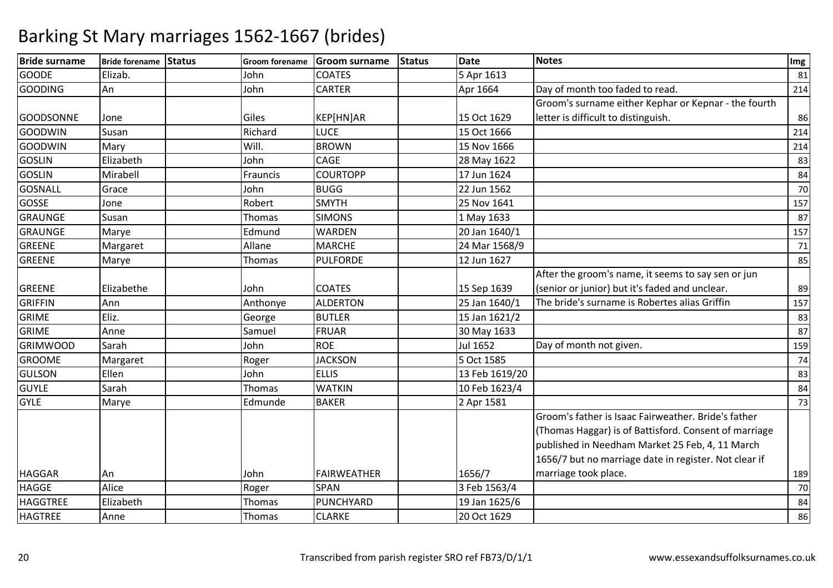| <b>Bride surname</b> | Bride forename Status | <b>Groom forename</b> | <b>Groom surname</b> | <b>Status</b> | <b>Date</b>    | <b>Notes</b>                                                                                                                                                                                                             | Img |
|----------------------|-----------------------|-----------------------|----------------------|---------------|----------------|--------------------------------------------------------------------------------------------------------------------------------------------------------------------------------------------------------------------------|-----|
| <b>GOODE</b>         | Elizab.               | John                  | <b>COATES</b>        |               | 5 Apr 1613     |                                                                                                                                                                                                                          | 81  |
| <b>GOODING</b>       | An                    | John                  | <b>CARTER</b>        |               | Apr 1664       | Day of month too faded to read.                                                                                                                                                                                          | 214 |
|                      |                       |                       |                      |               |                | Groom's surname either Kephar or Kepnar - the fourth                                                                                                                                                                     |     |
| <b>GOODSONNE</b>     | Jone                  | Giles                 | KEP[HN]AR            |               | 15 Oct 1629    | letter is difficult to distinguish.                                                                                                                                                                                      | 86  |
| <b>GOODWIN</b>       | Susan                 | Richard               | <b>LUCE</b>          |               | 15 Oct 1666    |                                                                                                                                                                                                                          | 214 |
| <b>GOODWIN</b>       | Mary                  | Will.                 | <b>BROWN</b>         |               | 15 Nov 1666    |                                                                                                                                                                                                                          | 214 |
| <b>GOSLIN</b>        | Elizabeth             | John                  | CAGE                 |               | 28 May 1622    |                                                                                                                                                                                                                          | 83  |
| <b>GOSLIN</b>        | Mirabell              | Frauncis              | <b>COURTOPP</b>      |               | 17 Jun 1624    |                                                                                                                                                                                                                          | 84  |
| <b>GOSNALL</b>       | Grace                 | John                  | <b>BUGG</b>          |               | 22 Jun 1562    |                                                                                                                                                                                                                          | 70  |
| <b>GOSSE</b>         | Jone                  | Robert                | <b>SMYTH</b>         |               | 25 Nov 1641    |                                                                                                                                                                                                                          | 157 |
| <b>GRAUNGE</b>       | Susan                 | Thomas                | <b>SIMONS</b>        |               | 1 May 1633     |                                                                                                                                                                                                                          | 87  |
| <b>GRAUNGE</b>       | Marye                 | Edmund                | <b>WARDEN</b>        |               | 20 Jan 1640/1  |                                                                                                                                                                                                                          | 157 |
| <b>GREENE</b>        | Margaret              | Allane                | <b>MARCHE</b>        |               | 24 Mar 1568/9  |                                                                                                                                                                                                                          | 71  |
| <b>GREENE</b>        | Marye                 | <b>Thomas</b>         | <b>PULFORDE</b>      |               | 12 Jun 1627    |                                                                                                                                                                                                                          | 85  |
|                      |                       |                       |                      |               |                | After the groom's name, it seems to say sen or jun                                                                                                                                                                       |     |
| <b>GREENE</b>        | Elizabethe            | John                  | <b>COATES</b>        |               | 15 Sep 1639    | (senior or junior) but it's faded and unclear.                                                                                                                                                                           | 89  |
| <b>GRIFFIN</b>       | Ann                   | Anthonye              | <b>ALDERTON</b>      |               | 25 Jan 1640/1  | The bride's surname is Robertes alias Griffin                                                                                                                                                                            | 157 |
| <b>GRIME</b>         | Eliz.                 | George                | <b>BUTLER</b>        |               | 15 Jan 1621/2  |                                                                                                                                                                                                                          | 83  |
| <b>GRIME</b>         | Anne                  | Samuel                | FRUAR                |               | 30 May 1633    |                                                                                                                                                                                                                          | 87  |
| <b>GRIMWOOD</b>      | Sarah                 | John                  | <b>ROE</b>           |               | Jul 1652       | Day of month not given.                                                                                                                                                                                                  | 159 |
| <b>GROOME</b>        | Margaret              | Roger                 | <b>JACKSON</b>       |               | 5 Oct 1585     |                                                                                                                                                                                                                          | 74  |
| <b>GULSON</b>        | Ellen                 | John                  | <b>ELLIS</b>         |               | 13 Feb 1619/20 |                                                                                                                                                                                                                          | 83  |
| <b>GUYLE</b>         | Sarah                 | <b>Thomas</b>         | <b>WATKIN</b>        |               | 10 Feb 1623/4  |                                                                                                                                                                                                                          | 84  |
| <b>GYLE</b>          | Marye                 | Edmunde               | <b>BAKER</b>         |               | 2 Apr 1581     |                                                                                                                                                                                                                          | 73  |
|                      |                       |                       |                      |               |                | Groom's father is Isaac Fairweather. Bride's father<br>(Thomas Haggar) is of Battisford. Consent of marriage<br>published in Needham Market 25 Feb, 4, 11 March<br>1656/7 but no marriage date in register. Not clear if |     |
| <b>HAGGAR</b>        | An                    | John                  | FAIRWEATHER          |               | 1656/7         | marriage took place.                                                                                                                                                                                                     | 189 |
| <b>HAGGE</b>         | Alice                 | Roger                 | <b>SPAN</b>          |               | 3 Feb 1563/4   |                                                                                                                                                                                                                          | 70  |
| <b>HAGGTREE</b>      | Elizabeth             | Thomas                | PUNCHYARD            |               | 19 Jan 1625/6  |                                                                                                                                                                                                                          | 84  |
| <b>HAGTREE</b>       | Anne                  | Thomas                | <b>CLARKE</b>        |               | 20 Oct 1629    |                                                                                                                                                                                                                          | 86  |
|                      |                       |                       |                      |               |                |                                                                                                                                                                                                                          |     |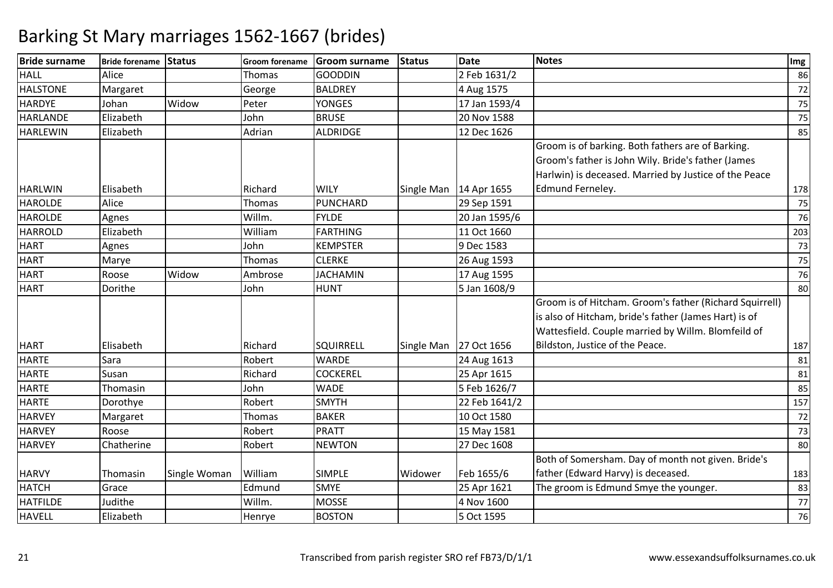| <b>Bride surname</b> | Bride forename Status |              | <b>Groom forename</b> | <b>Groom surname</b> | <b>Status</b> | <b>Date</b>              | <b>Notes</b>                                            | Img |
|----------------------|-----------------------|--------------|-----------------------|----------------------|---------------|--------------------------|---------------------------------------------------------|-----|
| <b>HALL</b>          | Alice                 |              | Thomas                | <b>GOODDIN</b>       |               | 2 Feb 1631/2             |                                                         | 86  |
| <b>HALSTONE</b>      | Margaret              |              | George                | <b>BALDREY</b>       |               | 4 Aug 1575               |                                                         | 72  |
| <b>HARDYE</b>        | Johan                 | Widow        | Peter                 | <b>YONGES</b>        |               | 17 Jan 1593/4            |                                                         | 75  |
| <b>HARLANDE</b>      | Elizabeth             |              | John                  | <b>BRUSE</b>         |               | 20 Nov 1588              |                                                         | 75  |
| <b>HARLEWIN</b>      | Elizabeth             |              | Adrian                | ALDRIDGE             |               | 12 Dec 1626              |                                                         | 85  |
|                      |                       |              |                       |                      |               |                          | Groom is of barking. Both fathers are of Barking.       |     |
|                      |                       |              |                       |                      |               |                          | Groom's father is John Wily. Bride's father (James      |     |
|                      |                       |              |                       |                      |               |                          | Harlwin) is deceased. Married by Justice of the Peace   |     |
| <b>HARLWIN</b>       | Elisabeth             |              | Richard               | <b>WILY</b>          |               | Single Man   14 Apr 1655 | Edmund Ferneley.                                        | 178 |
| <b>HAROLDE</b>       | Alice                 |              | Thomas                | PUNCHARD             |               | 29 Sep 1591              |                                                         | 75  |
| <b>HAROLDE</b>       | Agnes                 |              | Willm.                | <b>FYLDE</b>         |               | 20 Jan 1595/6            |                                                         | 76  |
| <b>HARROLD</b>       | Elizabeth             |              | William               | <b>FARTHING</b>      |               | 11 Oct 1660              |                                                         | 203 |
| <b>HART</b>          | Agnes                 |              | John                  | <b>KEMPSTER</b>      |               | 9 Dec 1583               |                                                         | 73  |
| <b>HART</b>          | Marye                 |              | Thomas                | <b>CLERKE</b>        |               | 26 Aug 1593              |                                                         | 75  |
| <b>HART</b>          | Roose                 | Widow        | Ambrose               | <b>JACHAMIN</b>      |               | 17 Aug 1595              |                                                         | 76  |
| <b>HART</b>          | Dorithe               |              | John                  | <b>HUNT</b>          |               | 5 Jan 1608/9             |                                                         | 80  |
|                      |                       |              |                       |                      |               |                          | Groom is of Hitcham. Groom's father (Richard Squirrell) |     |
|                      |                       |              |                       |                      |               |                          | is also of Hitcham, bride's father (James Hart) is of   |     |
|                      |                       |              |                       |                      |               |                          | Wattesfield. Couple married by Willm. Blomfeild of      |     |
| <b>HART</b>          | Elisabeth             |              | Richard               | SQUIRRELL            |               | Single Man 27 Oct 1656   | Bildston, Justice of the Peace.                         | 187 |
| <b>HARTE</b>         | Sara                  |              | Robert                | <b>WARDE</b>         |               | 24 Aug 1613              |                                                         | 81  |
| <b>HARTE</b>         | Susan                 |              | Richard               | <b>COCKEREL</b>      |               | 25 Apr 1615              |                                                         | 81  |
| <b>HARTE</b>         | Thomasin              |              | John                  | <b>WADE</b>          |               | 5 Feb 1626/7             |                                                         | 85  |
| <b>HARTE</b>         | Dorothye              |              | Robert                | <b>SMYTH</b>         |               | 22 Feb 1641/2            |                                                         | 157 |
| <b>HARVEY</b>        | Margaret              |              | Thomas                | <b>BAKER</b>         |               | 10 Oct 1580              |                                                         | 72  |
| <b>HARVEY</b>        | Roose                 |              | Robert                | PRATT                |               | 15 May 1581              |                                                         | 73  |
| <b>HARVEY</b>        | Chatherine            |              | Robert                | <b>NEWTON</b>        |               | 27 Dec 1608              |                                                         | 80  |
|                      |                       |              |                       |                      |               |                          | Both of Somersham. Day of month not given. Bride's      |     |
| <b>HARVY</b>         | Thomasin              | Single Woman | William               | <b>SIMPLE</b>        | Widower       | Feb 1655/6               | father (Edward Harvy) is deceased.                      | 183 |
| <b>HATCH</b>         | Grace                 |              | Edmund                | <b>SMYE</b>          |               | 25 Apr 1621              | The groom is Edmund Smye the younger.                   | 83  |
| <b>HATFILDE</b>      | Judithe               |              | Willm.                | <b>MOSSE</b>         |               | 4 Nov 1600               |                                                         | 77  |
| <b>HAVELL</b>        | Elizabeth             |              | Henrye                | <b>BOSTON</b>        |               | 5 Oct 1595               |                                                         | 76  |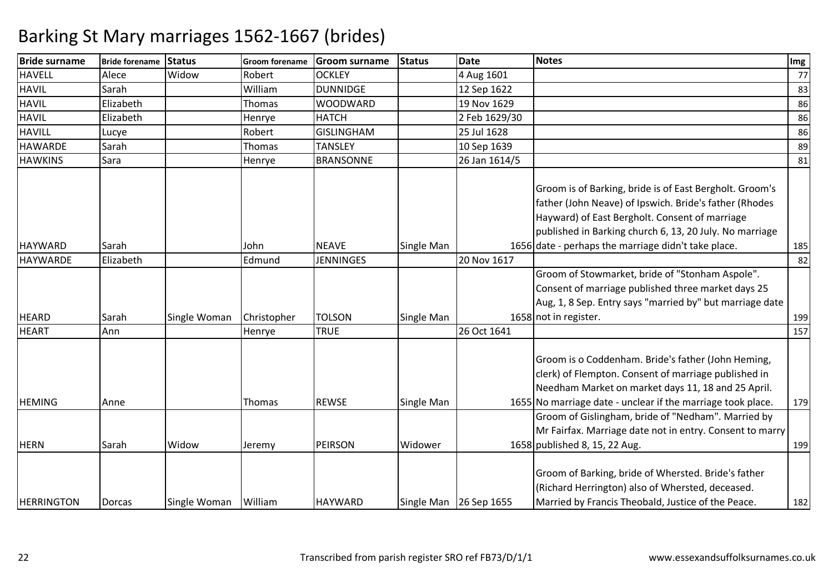| <b>Bride surname</b> | <b>Bride forename</b> | Status       | <b>Groom forename</b> | <b>Groom surname</b> | <b>Status</b> | <b>Date</b>            | <b>Notes</b>                                                                                                                                                                                                                                                                          | Img |
|----------------------|-----------------------|--------------|-----------------------|----------------------|---------------|------------------------|---------------------------------------------------------------------------------------------------------------------------------------------------------------------------------------------------------------------------------------------------------------------------------------|-----|
| <b>HAVELL</b>        | Alece                 | Widow        | Robert                | <b>OCKLEY</b>        |               | 4 Aug 1601             |                                                                                                                                                                                                                                                                                       | 77  |
| <b>HAVIL</b>         | Sarah                 |              | William               | <b>DUNNIDGE</b>      |               | 12 Sep 1622            |                                                                                                                                                                                                                                                                                       | 83  |
| <b>HAVIL</b>         | Elizabeth             |              | Thomas                | <b>WOODWARD</b>      |               | 19 Nov 1629            |                                                                                                                                                                                                                                                                                       | 86  |
| <b>HAVIL</b>         | Elizabeth             |              | Henrye                | <b>HATCH</b>         |               | 2 Feb 1629/30          |                                                                                                                                                                                                                                                                                       | 86  |
| <b>HAVILL</b>        | Lucye                 |              | Robert                | <b>GISLINGHAM</b>    |               | 25 Jul 1628            |                                                                                                                                                                                                                                                                                       | 86  |
| <b>HAWARDE</b>       | Sarah                 |              | <b>Thomas</b>         | <b>TANSLEY</b>       |               | 10 Sep 1639            |                                                                                                                                                                                                                                                                                       | 89  |
| <b>HAWKINS</b>       | Sara                  |              | Henrye                | <b>BRANSONNE</b>     |               | 26 Jan 1614/5          |                                                                                                                                                                                                                                                                                       | 81  |
| <b>HAYWARD</b>       | Sarah                 |              | John                  | <b>NEAVE</b>         | Single Man    |                        | Groom is of Barking, bride is of East Bergholt. Groom's<br>father (John Neave) of Ipswich. Bride's father (Rhodes<br>Hayward) of East Bergholt. Consent of marriage<br>published in Barking church 6, 13, 20 July. No marriage<br>1656 date - perhaps the marriage didn't take place. | 185 |
| <b>HAYWARDE</b>      | Elizabeth             |              | Edmund                | <b>JENNINGES</b>     |               | 20 Nov 1617            |                                                                                                                                                                                                                                                                                       | 82  |
| <b>HEARD</b>         | Sarah                 | Single Woman | Christopher           | <b>TOLSON</b>        | Single Man    |                        | Groom of Stowmarket, bride of "Stonham Aspole".<br>Consent of marriage published three market days 25<br>Aug, 1, 8 Sep. Entry says "married by" but marriage date<br>1658 not in register.                                                                                            | 199 |
| <b>HEART</b>         | Ann                   |              | Henrye                | <b>TRUE</b>          |               | 26 Oct 1641            |                                                                                                                                                                                                                                                                                       | 157 |
| <b>HEMING</b>        | Anne                  |              | Thomas                | <b>REWSE</b>         | Single Man    |                        | Groom is o Coddenham. Bride's father (John Heming,<br>clerk) of Flempton. Consent of marriage published in<br>Needham Market on market days 11, 18 and 25 April.<br>1655 No marriage date - unclear if the marriage took place.                                                       | 179 |
|                      |                       |              |                       |                      |               |                        | Groom of Gislingham, bride of "Nedham". Married by                                                                                                                                                                                                                                    |     |
| <b>HERN</b>          | Sarah                 | Widow        | Jeremy                | PEIRSON              | Widower       |                        | Mr Fairfax. Marriage date not in entry. Consent to marry<br>1658 published 8, 15, 22 Aug.                                                                                                                                                                                             | 199 |
| <b>HERRINGTON</b>    | Dorcas                | Single Woman | William               | <b>HAYWARD</b>       |               | Single Man 26 Sep 1655 | Groom of Barking, bride of Whersted. Bride's father<br>(Richard Herrington) also of Whersted, deceased.<br>Married by Francis Theobald, Justice of the Peace.                                                                                                                         | 182 |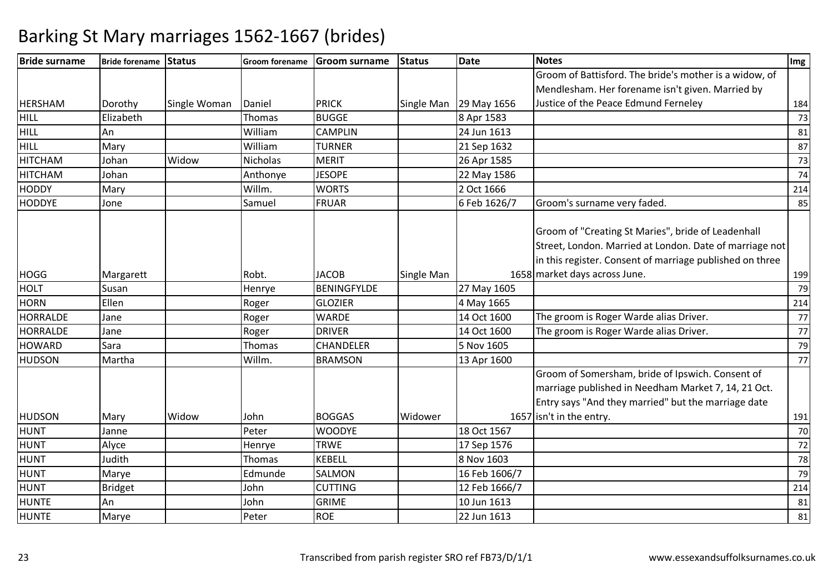| <b>Bride surname</b> | Bride forename Status |              | <b>Groom forename</b> | <b>Groom surname</b> | <b>Status</b> | Date                   | <b>Notes</b>                                             | Img |
|----------------------|-----------------------|--------------|-----------------------|----------------------|---------------|------------------------|----------------------------------------------------------|-----|
|                      |                       |              |                       |                      |               |                        | Groom of Battisford. The bride's mother is a widow, of   |     |
|                      |                       |              |                       |                      |               |                        | Mendlesham. Her forename isn't given. Married by         |     |
| <b>HERSHAM</b>       | Dorothy               | Single Woman | Daniel                | <b>PRICK</b>         |               | Single Man 29 May 1656 | Justice of the Peace Edmund Ferneley                     | 184 |
| <b>HILL</b>          | Elizabeth             |              | Thomas                | <b>BUGGE</b>         |               | 8 Apr 1583             |                                                          | 73  |
| <b>HILL</b>          | An                    |              | William               | <b>CAMPLIN</b>       |               | 24 Jun 1613            |                                                          | 81  |
| <b>HILL</b>          | Mary                  |              | William               | <b>TURNER</b>        |               | 21 Sep 1632            |                                                          | 87  |
| <b>HITCHAM</b>       | Johan                 | Widow        | Nicholas              | <b>MERIT</b>         |               | 26 Apr 1585            |                                                          | 73  |
| <b>HITCHAM</b>       | Johan                 |              | Anthonye              | <b>JESOPE</b>        |               | 22 May 1586            |                                                          | 74  |
| <b>HODDY</b>         | Mary                  |              | Willm.                | <b>WORTS</b>         |               | 2 Oct 1666             |                                                          | 214 |
| <b>HODDYE</b>        | Jone                  |              | Samuel                | <b>FRUAR</b>         |               | 6 Feb 1626/7           | Groom's surname very faded.                              | 85  |
|                      |                       |              |                       |                      |               |                        |                                                          |     |
|                      |                       |              |                       |                      |               |                        | Groom of "Creating St Maries", bride of Leadenhall       |     |
|                      |                       |              |                       |                      |               |                        | Street, London. Married at London. Date of marriage not  |     |
|                      |                       |              |                       |                      |               |                        | in this register. Consent of marriage published on three |     |
| <b>HOGG</b>          | Margarett             |              | Robt.                 | <b>JACOB</b>         | Single Man    |                        | 1658 market days across June.                            | 199 |
| <b>HOLT</b>          | Susan                 |              | Henrye                | <b>BENINGFYLDE</b>   |               | 27 May 1605            |                                                          | 79  |
| <b>HORN</b>          | Ellen                 |              | Roger                 | <b>GLOZIER</b>       |               | 4 May 1665             |                                                          | 214 |
| <b>HORRALDE</b>      | Jane                  |              | Roger                 | <b>WARDE</b>         |               | 14 Oct 1600            | The groom is Roger Warde alias Driver.                   | 77  |
| <b>HORRALDE</b>      | Jane                  |              | Roger                 | <b>DRIVER</b>        |               | 14 Oct 1600            | The groom is Roger Warde alias Driver.                   | 77  |
| <b>HOWARD</b>        | Sara                  |              | Thomas                | CHANDELER            |               | 5 Nov 1605             |                                                          | 79  |
| <b>HUDSON</b>        | Martha                |              | Willm.                | <b>BRAMSON</b>       |               | 13 Apr 1600            |                                                          | 77  |
|                      |                       |              |                       |                      |               |                        | Groom of Somersham, bride of Ipswich. Consent of         |     |
|                      |                       |              |                       |                      |               |                        | marriage published in Needham Market 7, 14, 21 Oct.      |     |
|                      |                       |              |                       |                      |               |                        | Entry says "And they married" but the marriage date      |     |
| <b>HUDSON</b>        | Mary                  | Widow        | John                  | <b>BOGGAS</b>        | Widower       |                        | 1657 isn't in the entry.                                 | 191 |
| <b>HUNT</b>          | Janne                 |              | Peter                 | <b>WOODYE</b>        |               | 18 Oct 1567            |                                                          | 70  |
| <b>HUNT</b>          | Alyce                 |              | Henrye                | <b>TRWE</b>          |               | 17 Sep 1576            |                                                          | 72  |
| <b>HUNT</b>          | Judith                |              | Thomas                | <b>KEBELL</b>        |               | 8 Nov 1603             |                                                          | 78  |
| <b>HUNT</b>          | Marye                 |              | Edmunde               | SALMON               |               | 16 Feb 1606/7          |                                                          | 79  |
| <b>HUNT</b>          | <b>Bridget</b>        |              | John                  | <b>CUTTING</b>       |               | 12 Feb 1666/7          |                                                          | 214 |
| <b>HUNTE</b>         | An                    |              | John                  | <b>GRIME</b>         |               | 10 Jun 1613            |                                                          | 81  |
| <b>HUNTE</b>         | Marye                 |              | Peter                 | <b>ROE</b>           |               | 22 Jun 1613            |                                                          | 81  |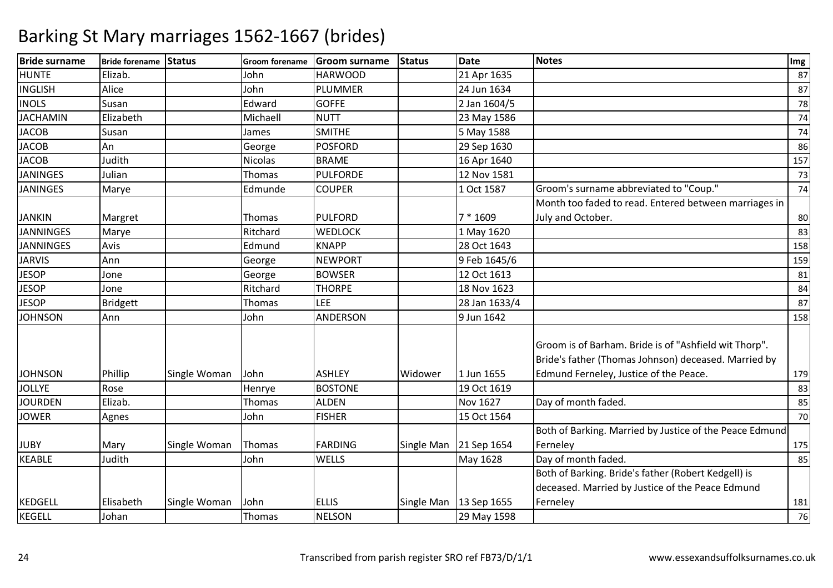| <b>Bride surname</b> | Bride forename Status |              | <b>Groom forename</b> | <b>Groom surname</b> | Status  | <b>Date</b>              | <b>Notes</b>                                                                                                                                            | Img |
|----------------------|-----------------------|--------------|-----------------------|----------------------|---------|--------------------------|---------------------------------------------------------------------------------------------------------------------------------------------------------|-----|
| <b>HUNTE</b>         | Elizab.               |              | John                  | <b>HARWOOD</b>       |         | 21 Apr 1635              |                                                                                                                                                         | 87  |
| <b>INGLISH</b>       | Alice                 |              | John                  | <b>PLUMMER</b>       |         | 24 Jun 1634              |                                                                                                                                                         | 87  |
| <b>INOLS</b>         | Susan                 |              | Edward                | <b>GOFFE</b>         |         | 2 Jan 1604/5             |                                                                                                                                                         | 78  |
| <b>JACHAMIN</b>      | Elizabeth             |              | Michaell              | <b>NUTT</b>          |         | 23 May 1586              |                                                                                                                                                         | 74  |
| <b>JACOB</b>         | Susan                 |              | James                 | <b>SMITHE</b>        |         | 5 May 1588               |                                                                                                                                                         | 74  |
| <b>JACOB</b>         | An                    |              | George                | <b>POSFORD</b>       |         | 29 Sep 1630              |                                                                                                                                                         | 86  |
| <b>JACOB</b>         | Judith                |              | Nicolas               | <b>BRAME</b>         |         | 16 Apr 1640              |                                                                                                                                                         | 157 |
| <b>JANINGES</b>      | Julian                |              | Thomas                | <b>PULFORDE</b>      |         | 12 Nov 1581              |                                                                                                                                                         | 73  |
| <b>JANINGES</b>      | Marye                 |              | Edmunde               | <b>COUPER</b>        |         | 1 Oct 1587               | Groom's surname abbreviated to "Coup."                                                                                                                  | 74  |
|                      |                       |              |                       |                      |         |                          | Month too faded to read. Entered between marriages in                                                                                                   |     |
| <b>JANKIN</b>        | Margret               |              | Thomas                | <b>PULFORD</b>       |         | $7 * 1609$               | July and October.                                                                                                                                       | 80  |
| <b>JANNINGES</b>     | Marye                 |              | Ritchard              | <b>WEDLOCK</b>       |         | 1 May 1620               |                                                                                                                                                         | 83  |
| <b>JANNINGES</b>     | Avis                  |              | Edmund                | <b>KNAPP</b>         |         | 28 Oct 1643              |                                                                                                                                                         | 158 |
| <b>JARVIS</b>        | Ann                   |              | George                | <b>NEWPORT</b>       |         | 9 Feb 1645/6             |                                                                                                                                                         | 159 |
| <b>JESOP</b>         | Jone                  |              | George                | <b>BOWSER</b>        |         | 12 Oct 1613              |                                                                                                                                                         | 81  |
| <b>JESOP</b>         | Jone                  |              | Ritchard              | <b>THORPE</b>        |         | 18 Nov 1623              |                                                                                                                                                         | 84  |
| <b>JESOP</b>         | <b>Bridgett</b>       |              | Thomas                | LEE                  |         | 28 Jan 1633/4            |                                                                                                                                                         | 87  |
| <b>JOHNSON</b>       | Ann                   |              | John                  | ANDERSON             |         | 9 Jun 1642               |                                                                                                                                                         | 158 |
| <b>JOHNSON</b>       | Phillip               | Single Woman | John                  | <b>ASHLEY</b>        | Widower | 1 Jun 1655               | Groom is of Barham. Bride is of "Ashfield wit Thorp".<br>Bride's father (Thomas Johnson) deceased. Married by<br>Edmund Ferneley, Justice of the Peace. | 179 |
| <b>JOLLYE</b>        | Rose                  |              | Henrye                | <b>BOSTONE</b>       |         | 19 Oct 1619              |                                                                                                                                                         | 83  |
| <b>JOURDEN</b>       | Elizab.               |              | Thomas                | <b>ALDEN</b>         |         | Nov 1627                 | Day of month faded.                                                                                                                                     | 85  |
| <b>JOWER</b>         | Agnes                 |              | John                  | <b>FISHER</b>        |         | 15 Oct 1564              |                                                                                                                                                         | 70  |
|                      |                       |              |                       |                      |         |                          | Both of Barking. Married by Justice of the Peace Edmund                                                                                                 |     |
| <b>JUBY</b>          | Mary                  | Single Woman | Thomas                | <b>FARDING</b>       |         | Single Man 21 Sep 1654   | Ferneley                                                                                                                                                | 175 |
| <b>KEABLE</b>        | Judith                |              | John                  | WELLS                |         | May 1628                 | Day of month faded.                                                                                                                                     | 85  |
|                      |                       |              |                       |                      |         |                          | Both of Barking. Bride's father (Robert Kedgell) is                                                                                                     |     |
|                      |                       |              |                       |                      |         |                          | deceased. Married by Justice of the Peace Edmund                                                                                                        |     |
| <b>KEDGELL</b>       | Elisabeth             | Single Woman | John                  | <b>ELLIS</b>         |         | Single Man   13 Sep 1655 | Ferneley                                                                                                                                                | 181 |
| KEGELL               | Johan                 |              | Thomas                | <b>NELSON</b>        |         | 29 May 1598              |                                                                                                                                                         | 76  |
|                      |                       |              |                       |                      |         |                          |                                                                                                                                                         |     |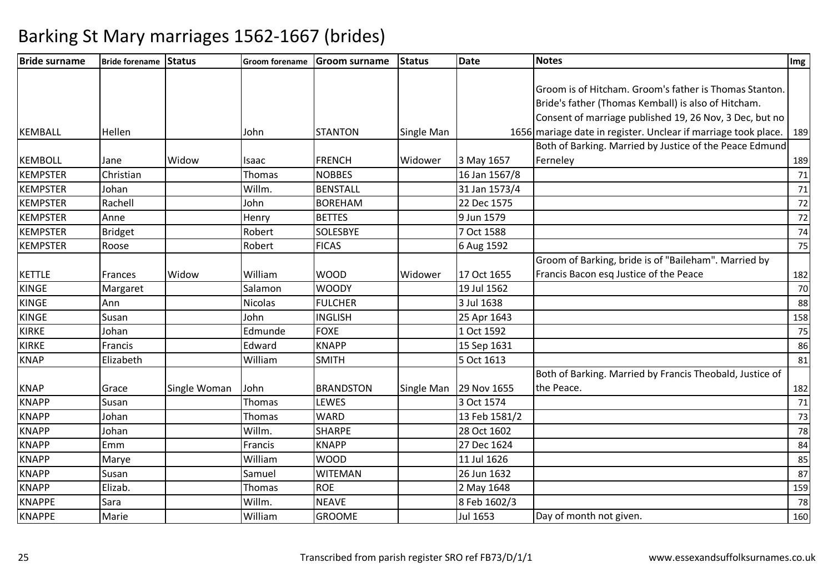| <b>Bride surname</b> | Bride forename Status |              | <b>Groom forename</b> | Groom surname    | Status     | Date          | <b>Notes</b>                                                   | Img |
|----------------------|-----------------------|--------------|-----------------------|------------------|------------|---------------|----------------------------------------------------------------|-----|
|                      |                       |              |                       |                  |            |               |                                                                |     |
|                      |                       |              |                       |                  |            |               | Groom is of Hitcham. Groom's father is Thomas Stanton.         |     |
|                      |                       |              |                       |                  |            |               | Bride's father (Thomas Kemball) is also of Hitcham.            |     |
|                      |                       |              |                       |                  |            |               | Consent of marriage published 19, 26 Nov, 3 Dec, but no        |     |
| <b>KEMBALL</b>       | Hellen                |              | John                  | <b>STANTON</b>   | Single Man |               | 1656 mariage date in register. Unclear if marriage took place. | 189 |
|                      |                       |              |                       |                  |            |               | Both of Barking. Married by Justice of the Peace Edmund        |     |
| <b>KEMBOLL</b>       | Jane                  | Widow        | Isaac                 | <b>FRENCH</b>    | Widower    | 3 May 1657    | Ferneley                                                       | 189 |
| <b>KEMPSTER</b>      | Christian             |              | Thomas                | <b>NOBBES</b>    |            | 16 Jan 1567/8 |                                                                | 71  |
| <b>KEMPSTER</b>      | Johan                 |              | Willm.                | <b>BENSTALL</b>  |            | 31 Jan 1573/4 |                                                                | 71  |
| <b>KEMPSTER</b>      | Rachell               |              | John                  | <b>BOREHAM</b>   |            | 22 Dec 1575   |                                                                | 72  |
| <b>KEMPSTER</b>      | Anne                  |              | Henry                 | <b>BETTES</b>    |            | 9 Jun 1579    |                                                                | 72  |
| <b>KEMPSTER</b>      | <b>Bridget</b>        |              | Robert                | <b>SOLESBYE</b>  |            | 7 Oct 1588    |                                                                | 74  |
| <b>KEMPSTER</b>      | Roose                 |              | Robert                | <b>FICAS</b>     |            | 6 Aug 1592    |                                                                | 75  |
|                      |                       |              |                       |                  |            |               | Groom of Barking, bride is of "Baileham". Married by           |     |
| <b>KETTLE</b>        | Frances               | Widow        | William               | <b>WOOD</b>      | Widower    | 17 Oct 1655   | Francis Bacon esq Justice of the Peace                         | 182 |
| <b>KINGE</b>         | Margaret              |              | Salamon               | <b>WOODY</b>     |            | 19 Jul 1562   |                                                                | 70  |
| <b>KINGE</b>         | Ann                   |              | Nicolas               | <b>FULCHER</b>   |            | 3 Jul 1638    |                                                                | 88  |
| <b>KINGE</b>         | Susan                 |              | John                  | <b>INGLISH</b>   |            | 25 Apr 1643   |                                                                | 158 |
| <b>KIRKE</b>         | Johan                 |              | Edmunde               | <b>FOXE</b>      |            | 1 Oct 1592    |                                                                | 75  |
| <b>KIRKE</b>         | Francis               |              | Edward                | <b>KNAPP</b>     |            | 15 Sep 1631   |                                                                | 86  |
| <b>KNAP</b>          | Elizabeth             |              | William               | <b>SMITH</b>     |            | 5 Oct 1613    |                                                                | 81  |
|                      |                       |              |                       |                  |            |               | Both of Barking. Married by Francis Theobald, Justice of       |     |
| <b>KNAP</b>          | Grace                 | Single Woman | John                  | <b>BRANDSTON</b> | Single Man | 29 Nov 1655   | the Peace.                                                     | 182 |
| <b>KNAPP</b>         | Susan                 |              | Thomas                | LEWES            |            | 3 Oct 1574    |                                                                | 71  |
| <b>KNAPP</b>         | Johan                 |              | Thomas                | <b>WARD</b>      |            | 13 Feb 1581/2 |                                                                | 73  |
| <b>KNAPP</b>         | Johan                 |              | Willm.                | <b>SHARPE</b>    |            | 28 Oct 1602   |                                                                | 78  |
| <b>KNAPP</b>         | Emm                   |              | Francis               | <b>KNAPP</b>     |            | 27 Dec 1624   |                                                                | 84  |
| <b>KNAPP</b>         | Marye                 |              | William               | <b>WOOD</b>      |            | 11 Jul 1626   |                                                                | 85  |
| <b>KNAPP</b>         | Susan                 |              | Samuel                | <b>WITEMAN</b>   |            | 26 Jun 1632   |                                                                | 87  |
| <b>KNAPP</b>         | Elizab.               |              | Thomas                | <b>ROE</b>       |            | 2 May 1648    |                                                                | 159 |
| <b>KNAPPE</b>        | Sara                  |              | Willm.                | <b>NEAVE</b>     |            | 8 Feb 1602/3  |                                                                | 78  |
| <b>KNAPPE</b>        | Marie                 |              | William               | <b>GROOME</b>    |            | Jul 1653      | Day of month not given.                                        | 160 |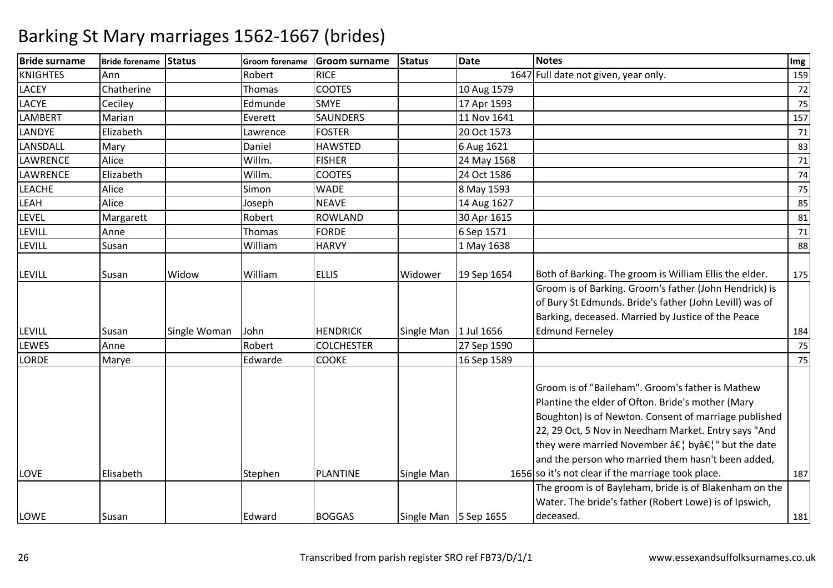| <b>Bride surname</b> | Bride forename Status |              | <b>Groom forename</b> | <b>Groom surname</b> | <b>Status</b>           | <b>Date</b> | <b>Notes</b>                                                                                                                                                                                                                                                                                                                                                                             | Img |
|----------------------|-----------------------|--------------|-----------------------|----------------------|-------------------------|-------------|------------------------------------------------------------------------------------------------------------------------------------------------------------------------------------------------------------------------------------------------------------------------------------------------------------------------------------------------------------------------------------------|-----|
| <b>KNIGHTES</b>      | Ann                   |              | Robert                | <b>RICE</b>          |                         |             | 1647 Full date not given, year only.                                                                                                                                                                                                                                                                                                                                                     | 159 |
| <b>LACEY</b>         | Chatherine            |              | Thomas                | <b>COOTES</b>        |                         | 10 Aug 1579 |                                                                                                                                                                                                                                                                                                                                                                                          | 72  |
| LACYE                | Ceciley               |              | Edmunde               | <b>SMYE</b>          |                         | 17 Apr 1593 |                                                                                                                                                                                                                                                                                                                                                                                          | 75  |
| <b>LAMBERT</b>       | Marian                |              | Everett               | <b>SAUNDERS</b>      |                         | 11 Nov 1641 |                                                                                                                                                                                                                                                                                                                                                                                          | 157 |
| <b>LANDYE</b>        | Elizabeth             |              | Lawrence              | <b>FOSTER</b>        |                         | 20 Oct 1573 |                                                                                                                                                                                                                                                                                                                                                                                          | 71  |
| LANSDALL             | Mary                  |              | Daniel                | <b>HAWSTED</b>       |                         | 6 Aug 1621  |                                                                                                                                                                                                                                                                                                                                                                                          | 83  |
| LAWRENCE             | Alice                 |              | Willm.                | <b>FISHER</b>        |                         | 24 May 1568 |                                                                                                                                                                                                                                                                                                                                                                                          | 71  |
| LAWRENCE             | Elizabeth             |              | Willm.                | <b>COOTES</b>        |                         | 24 Oct 1586 |                                                                                                                                                                                                                                                                                                                                                                                          | 74  |
| <b>LEACHE</b>        | Alice                 |              | Simon                 | <b>WADE</b>          |                         | 8 May 1593  |                                                                                                                                                                                                                                                                                                                                                                                          | 75  |
| LEAH                 | Alice                 |              | Joseph                | <b>NEAVE</b>         |                         | 14 Aug 1627 |                                                                                                                                                                                                                                                                                                                                                                                          | 85  |
| LEVEL                | Margarett             |              | Robert                | <b>ROWLAND</b>       |                         | 30 Apr 1615 |                                                                                                                                                                                                                                                                                                                                                                                          | 81  |
| <b>LEVILL</b>        | Anne                  |              | Thomas                | <b>FORDE</b>         |                         | 6 Sep 1571  |                                                                                                                                                                                                                                                                                                                                                                                          | 71  |
| <b>LEVILL</b>        | Susan                 |              | William               | <b>HARVY</b>         |                         | 1 May 1638  |                                                                                                                                                                                                                                                                                                                                                                                          | 88  |
|                      |                       |              |                       |                      |                         |             |                                                                                                                                                                                                                                                                                                                                                                                          |     |
| <b>LEVILL</b>        | Susan                 | Widow        | William               | <b>ELLIS</b>         | Widower                 | 19 Sep 1654 | Both of Barking. The groom is William Ellis the elder.                                                                                                                                                                                                                                                                                                                                   | 175 |
|                      |                       |              |                       |                      |                         |             | Groom is of Barking. Groom's father (John Hendrick) is                                                                                                                                                                                                                                                                                                                                   |     |
|                      |                       |              |                       |                      |                         |             | of Bury St Edmunds. Bride's father (John Levill) was of                                                                                                                                                                                                                                                                                                                                  |     |
|                      |                       |              |                       |                      |                         |             | Barking, deceased. Married by Justice of the Peace                                                                                                                                                                                                                                                                                                                                       |     |
| <b>LEVILL</b>        | Susan                 | Single Woman | John                  | <b>HENDRICK</b>      | Single Man   1 Jul 1656 |             | <b>Edmund Ferneley</b>                                                                                                                                                                                                                                                                                                                                                                   | 184 |
| <b>LEWES</b>         | Anne                  |              | Robert                | <b>COLCHESTER</b>    |                         | 27 Sep 1590 |                                                                                                                                                                                                                                                                                                                                                                                          | 75  |
| LORDE                | Marye                 |              | Edwarde               | <b>COOKE</b>         |                         | 16 Sep 1589 |                                                                                                                                                                                                                                                                                                                                                                                          | 75  |
| LOVE                 | Elisabeth             |              | Stephen               | <b>PLANTINE</b>      | Single Man              |             | Groom is of "Baileham". Groom's father is Mathew<br>Plantine the elder of Ofton. Bride's mother (Mary<br>Boughton) is of Newton. Consent of marriage published<br>22, 29 Oct, 5 Nov in Needham Market. Entry says "And<br>they were married November â€, byâ€," but the date<br>and the person who married them hasn't been added,<br>1656 so it's not clear if the marriage took place. | 187 |
|                      |                       |              |                       |                      |                         |             | The groom is of Bayleham, bride is of Blakenham on the                                                                                                                                                                                                                                                                                                                                   |     |
|                      |                       |              |                       |                      |                         |             | Water. The bride's father (Robert Lowe) is of Ipswich,                                                                                                                                                                                                                                                                                                                                   |     |
| LOWE                 | Susan                 |              | Edward                | <b>BOGGAS</b>        | Single Man 5 Sep 1655   |             | deceased.                                                                                                                                                                                                                                                                                                                                                                                | 181 |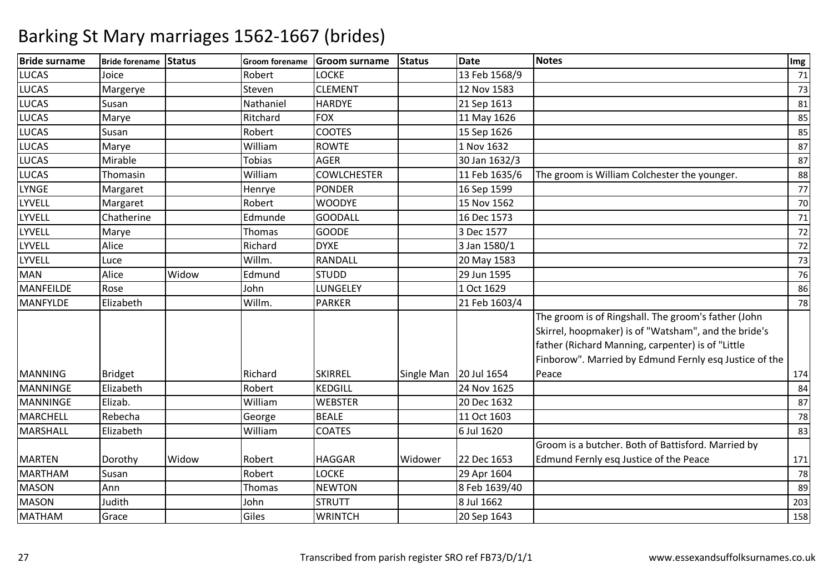| <b>Bride surname</b> | Bride forename Status |       |               | Groom forename Groom surname | <b>Status</b> | <b>Date</b>   | <b>Notes</b>                                                                                                                                                                                                               | Img |
|----------------------|-----------------------|-------|---------------|------------------------------|---------------|---------------|----------------------------------------------------------------------------------------------------------------------------------------------------------------------------------------------------------------------------|-----|
| <b>LUCAS</b>         | Joice                 |       | Robert        | <b>LOCKE</b>                 |               | 13 Feb 1568/9 |                                                                                                                                                                                                                            | 71  |
| <b>LUCAS</b>         | Margerye              |       | Steven        | <b>CLEMENT</b>               |               | 12 Nov 1583   |                                                                                                                                                                                                                            | 73  |
| <b>LUCAS</b>         | Susan                 |       | Nathaniel     | <b>HARDYE</b>                |               | 21 Sep 1613   |                                                                                                                                                                                                                            | 81  |
| <b>LUCAS</b>         | Marye                 |       | Ritchard      | <b>FOX</b>                   |               | 11 May 1626   |                                                                                                                                                                                                                            | 85  |
| <b>LUCAS</b>         | Susan                 |       | Robert        | <b>COOTES</b>                |               | 15 Sep 1626   |                                                                                                                                                                                                                            | 85  |
| <b>LUCAS</b>         | Marye                 |       | William       | <b>ROWTE</b>                 |               | 1 Nov 1632    |                                                                                                                                                                                                                            | 87  |
| <b>LUCAS</b>         | Mirable               |       | <b>Tobias</b> | <b>AGER</b>                  |               | 30 Jan 1632/3 |                                                                                                                                                                                                                            | 87  |
| <b>LUCAS</b>         | Thomasin              |       | William       | <b>COWLCHESTER</b>           |               | 11 Feb 1635/6 | The groom is William Colchester the younger.                                                                                                                                                                               | 88  |
| <b>LYNGE</b>         | Margaret              |       | Henrye        | <b>PONDER</b>                |               | 16 Sep 1599   |                                                                                                                                                                                                                            | 77  |
| <b>LYVELL</b>        | Margaret              |       | Robert        | <b>WOODYE</b>                |               | 15 Nov 1562   |                                                                                                                                                                                                                            | 70  |
| <b>LYVELL</b>        | Chatherine            |       | Edmunde       | <b>GOODALL</b>               |               | 16 Dec 1573   |                                                                                                                                                                                                                            | 71  |
| <b>LYVELL</b>        | Marye                 |       | Thomas        | <b>GOODE</b>                 |               | 3 Dec 1577    |                                                                                                                                                                                                                            | 72  |
| LYVELL               | Alice                 |       | Richard       | <b>DYXE</b>                  |               | 3 Jan 1580/1  |                                                                                                                                                                                                                            | 72  |
| <b>LYVELL</b>        | Luce                  |       | Willm.        | RANDALL                      |               | 20 May 1583   |                                                                                                                                                                                                                            | 73  |
| <b>MAN</b>           | Alice                 | Widow | Edmund        | <b>STUDD</b>                 |               | 29 Jun 1595   |                                                                                                                                                                                                                            | 76  |
| <b>MANFEILDE</b>     | Rose                  |       | John          | LUNGELEY                     |               | 1 Oct 1629    |                                                                                                                                                                                                                            | 86  |
| <b>MANFYLDE</b>      | Elizabeth             |       | Willm.        | <b>PARKER</b>                |               | 21 Feb 1603/4 |                                                                                                                                                                                                                            | 78  |
|                      |                       |       |               |                              |               |               | The groom is of Ringshall. The groom's father (John<br>Skirrel, hoopmaker) is of "Watsham", and the bride's<br>father (Richard Manning, carpenter) is of "Little<br>Finborow". Married by Edmund Fernly esq Justice of the |     |
| <b>MANNING</b>       | <b>Bridget</b>        |       | Richard       | <b>SKIRREL</b>               | Single Man    | 20 Jul 1654   | Peace                                                                                                                                                                                                                      | 174 |
| <b>MANNINGE</b>      | Elizabeth             |       | Robert        | <b>KEDGILL</b>               |               | 24 Nov 1625   |                                                                                                                                                                                                                            | 84  |
| MANNINGE             | Elizab.               |       | William       | <b>WEBSTER</b>               |               | 20 Dec 1632   |                                                                                                                                                                                                                            | 87  |
| <b>MARCHELL</b>      | Rebecha               |       | George        | <b>BEALE</b>                 |               | 11 Oct 1603   |                                                                                                                                                                                                                            | 78  |
| <b>MARSHALL</b>      | Elizabeth             |       | William       | <b>COATES</b>                |               | 6 Jul 1620    |                                                                                                                                                                                                                            | 83  |
|                      |                       |       |               |                              |               |               | Groom is a butcher. Both of Battisford. Married by                                                                                                                                                                         |     |
| <b>MARTEN</b>        | Dorothy               | Widow | Robert        | <b>HAGGAR</b>                | Widower       | 22 Dec 1653   | Edmund Fernly esq Justice of the Peace                                                                                                                                                                                     | 171 |
| <b>MARTHAM</b>       | Susan                 |       | Robert        | <b>LOCKE</b>                 |               | 29 Apr 1604   |                                                                                                                                                                                                                            | 78  |
| <b>MASON</b>         | Ann                   |       | Thomas        | <b>NEWTON</b>                |               | 8 Feb 1639/40 |                                                                                                                                                                                                                            | 89  |
| <b>MASON</b>         | Judith                |       | John          | <b>STRUTT</b>                |               | 8 Jul 1662    |                                                                                                                                                                                                                            | 203 |
| MATHAM               | Grace                 |       | Giles         | <b>WRINTCH</b>               |               | 20 Sep 1643   |                                                                                                                                                                                                                            | 158 |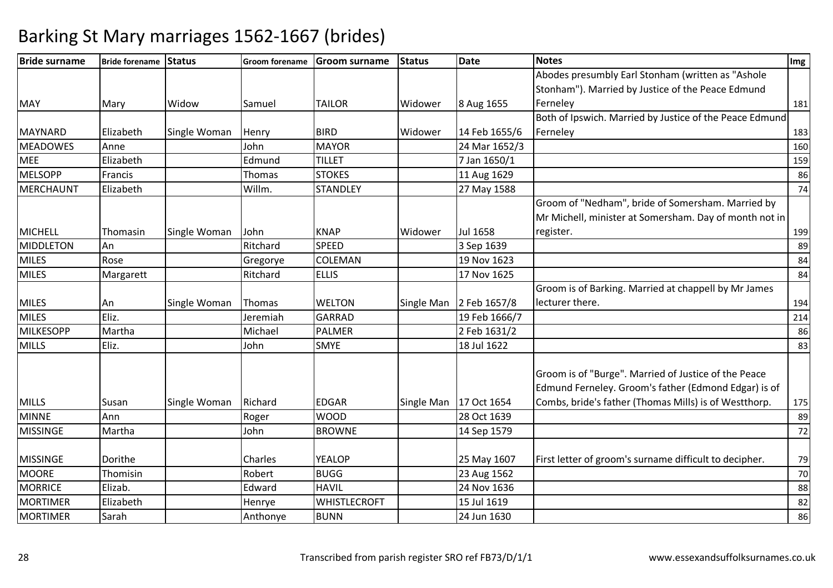| <b>Bride surname</b> | Bride forename Status |              |          | Groom forename Groom surname | Status     | Date          | <b>Notes</b>                                            | Img    |
|----------------------|-----------------------|--------------|----------|------------------------------|------------|---------------|---------------------------------------------------------|--------|
|                      |                       |              |          |                              |            |               | Abodes presumbly Earl Stonham (written as "Ashole       |        |
|                      |                       |              |          |                              |            |               | Stonham"). Married by Justice of the Peace Edmund       |        |
| <b>MAY</b>           | Mary                  | Widow        | Samuel   | <b>TAILOR</b>                | Widower    | 8 Aug 1655    | Ferneley                                                | 181    |
|                      |                       |              |          |                              |            |               | Both of Ipswich. Married by Justice of the Peace Edmund |        |
| <b>MAYNARD</b>       | Elizabeth             | Single Woman | Henry    | <b>BIRD</b>                  | Widower    | 14 Feb 1655/6 | Ferneley                                                | 183    |
| <b>MEADOWES</b>      | Anne                  |              | John     | <b>MAYOR</b>                 |            | 24 Mar 1652/3 |                                                         | 160    |
| <b>MEE</b>           | Elizabeth             |              | Edmund   | <b>TILLET</b>                |            | 7 Jan 1650/1  |                                                         | 159    |
| <b>MELSOPP</b>       | Francis               |              | Thomas   | <b>STOKES</b>                |            | 11 Aug 1629   |                                                         | 86     |
| <b>MERCHAUNT</b>     | Elizabeth             |              | Willm.   | <b>STANDLEY</b>              |            | 27 May 1588   |                                                         | 74     |
|                      |                       |              |          |                              |            |               | Groom of "Nedham", bride of Somersham. Married by       |        |
|                      |                       |              |          |                              |            |               | Mr Michell, minister at Somersham. Day of month not in  |        |
| <b>MICHELL</b>       | Thomasin              | Single Woman | John     | <b>KNAP</b>                  | Widower    | Jul 1658      | register.                                               | 199    |
| <b>MIDDLETON</b>     | An                    |              | Ritchard | <b>SPEED</b>                 |            | 3 Sep 1639    |                                                         | 89     |
| <b>MILES</b>         | Rose                  |              | Gregorye | COLEMAN                      |            | 19 Nov 1623   |                                                         | 84     |
| <b>MILES</b>         | Margarett             |              | Ritchard | <b>ELLIS</b>                 |            | 17 Nov 1625   |                                                         | 84     |
|                      |                       |              |          |                              |            |               | Groom is of Barking. Married at chappell by Mr James    |        |
| <b>MILES</b>         | An                    | Single Woman | Thomas   | <b>WELTON</b>                | Single Man | 2 Feb 1657/8  | lecturer there.                                         | 194    |
| <b>MILES</b>         | Eliz.                 |              | Jeremiah | <b>GARRAD</b>                |            | 19 Feb 1666/7 |                                                         | 214    |
| <b>MILKESOPP</b>     | Martha                |              | Michael  | <b>PALMER</b>                |            | 2 Feb 1631/2  |                                                         | 86     |
| <b>MILLS</b>         | Eliz.                 |              | John     | <b>SMYE</b>                  |            | 18 Jul 1622   |                                                         | 83     |
|                      |                       |              |          |                              |            |               |                                                         |        |
|                      |                       |              |          |                              |            |               | Groom is of "Burge". Married of Justice of the Peace    |        |
|                      |                       |              |          |                              |            |               | Edmund Ferneley. Groom's father (Edmond Edgar) is of    |        |
| <b>MILLS</b>         | Susan                 | Single Woman | Richard  | <b>EDGAR</b>                 | Single Man | 17 Oct 1654   | Combs, bride's father (Thomas Mills) is of Westthorp.   | 175    |
| <b>MINNE</b>         | Ann                   |              | Roger    | <b>WOOD</b>                  |            | 28 Oct 1639   |                                                         | 89     |
| <b>MISSINGE</b>      | Martha                |              | John     | <b>BROWNE</b>                |            | 14 Sep 1579   |                                                         | 72     |
|                      |                       |              |          |                              |            |               |                                                         |        |
| <b>MISSINGE</b>      | Dorithe               |              | Charles  | <b>YEALOP</b>                |            | 25 May 1607   | First letter of groom's surname difficult to decipher.  | 79     |
| <b>MOORE</b>         | Thomisin              |              | Robert   | <b>BUGG</b>                  |            | 23 Aug 1562   |                                                         | $70\,$ |
| <b>MORRICE</b>       | Elizab.               |              | Edward   | <b>HAVIL</b>                 |            | 24 Nov 1636   |                                                         | 88     |
| <b>MORTIMER</b>      | Elizabeth             |              | Henrye   | <b>WHISTLECROFT</b>          |            | 15 Jul 1619   |                                                         | 82     |
| <b>MORTIMER</b>      | Sarah                 |              | Anthonye | <b>BUNN</b>                  |            | 24 Jun 1630   |                                                         | 86     |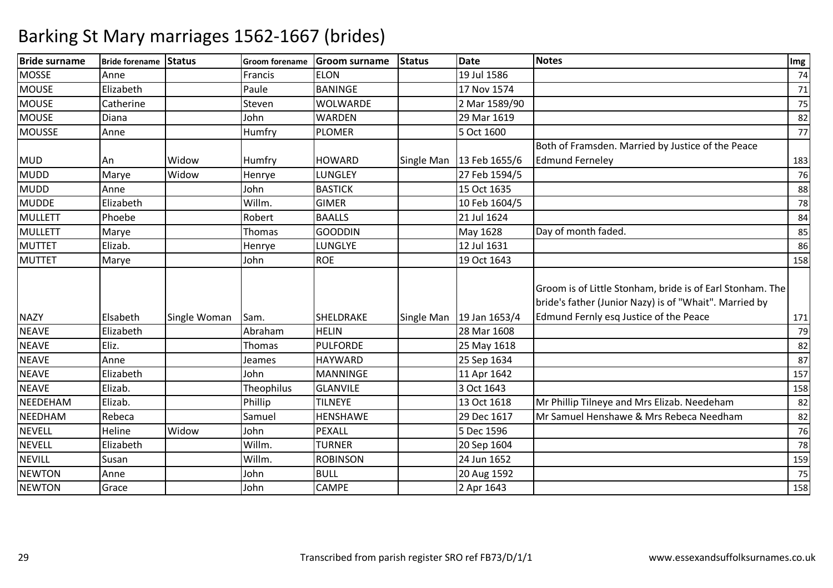| <b>Bride surname</b> | Bride forename Status |              | Groom forename | <b>Groom surname</b> | <b>Status</b> | <b>Date</b>                                          | <b>Notes</b>                                                                                                                                                  | Img |
|----------------------|-----------------------|--------------|----------------|----------------------|---------------|------------------------------------------------------|---------------------------------------------------------------------------------------------------------------------------------------------------------------|-----|
| <b>MOSSE</b>         | Anne                  |              | Francis        | <b>ELON</b>          |               | 19 Jul 1586                                          |                                                                                                                                                               | 74  |
| <b>MOUSE</b>         | Elizabeth             |              | Paule          | <b>BANINGE</b>       |               | 17 Nov 1574                                          |                                                                                                                                                               | 71  |
| <b>MOUSE</b>         | Catherine             |              | Steven         | WOLWARDE             |               | 2 Mar 1589/90                                        |                                                                                                                                                               | 75  |
| <b>MOUSE</b>         | Diana                 |              | John           | <b>WARDEN</b>        |               | 29 Mar 1619                                          |                                                                                                                                                               | 82  |
| <b>MOUSSE</b>        | Anne                  |              | Humfry         | <b>PLOMER</b>        |               | 5 Oct 1600                                           |                                                                                                                                                               | 77  |
|                      |                       |              |                |                      |               |                                                      | Both of Framsden. Married by Justice of the Peace                                                                                                             |     |
| <b>MUD</b>           | An                    | Widow        | Humfry         | <b>HOWARD</b>        |               | Single Man   13 Feb 1655/6                           | <b>Edmund Ferneley</b>                                                                                                                                        | 183 |
| <b>MUDD</b>          | Marye                 | Widow        | Henrye         | LUNGLEY              |               | 27 Feb 1594/5                                        |                                                                                                                                                               | 76  |
| <b>MUDD</b>          | Anne                  |              | John           | <b>BASTICK</b>       |               | 15 Oct 1635                                          |                                                                                                                                                               | 88  |
| <b>MUDDE</b>         | Elizabeth             |              | Willm.         | <b>GIMER</b>         |               | 10 Feb 1604/5                                        |                                                                                                                                                               | 78  |
| <b>MULLETT</b>       | Phoebe                |              | Robert         | <b>BAALLS</b>        |               | 21 Jul 1624                                          |                                                                                                                                                               | 84  |
| MULLETT              | Marye                 |              | Thomas         | <b>GOODDIN</b>       |               | May 1628                                             | Day of month faded.                                                                                                                                           | 85  |
| <b>MUTTET</b>        | Elizab.               |              | Henrye         | LUNGLYE              |               | 12 Jul 1631                                          |                                                                                                                                                               | 86  |
| <b>MUTTET</b>        | Marye                 |              | John           | <b>ROE</b>           |               | 19 Oct 1643                                          |                                                                                                                                                               | 158 |
| <b>NAZY</b>          | Elsabeth              | Single Woman | Sam.           | SHELDRAKE            |               | Single Man $\left  \frac{19}{10} \right $ Jan 1653/4 | Groom is of Little Stonham, bride is of Earl Stonham. The<br>bride's father (Junior Nazy) is of "Whait". Married by<br>Edmund Fernly esq Justice of the Peace | 171 |
| <b>NEAVE</b>         | Elizabeth             |              | Abraham        | <b>HELIN</b>         |               | 28 Mar 1608                                          |                                                                                                                                                               | 79  |
| <b>NEAVE</b>         | Eliz.                 |              | Thomas         | <b>PULFORDE</b>      |               | 25 May 1618                                          |                                                                                                                                                               | 82  |
| <b>NEAVE</b>         | Anne                  |              | Jeames         | <b>HAYWARD</b>       |               | 25 Sep 1634                                          |                                                                                                                                                               | 87  |
| <b>NEAVE</b>         | Elizabeth             |              | John           | <b>MANNINGE</b>      |               | 11 Apr 1642                                          |                                                                                                                                                               | 157 |
| <b>NEAVE</b>         | Elizab.               |              | Theophilus     | <b>GLANVILE</b>      |               | 3 Oct 1643                                           |                                                                                                                                                               | 158 |
| NEEDEHAM             | Elizab.               |              | Phillip        | <b>TILNEYE</b>       |               | 13 Oct 1618                                          | Mr Phillip Tilneye and Mrs Elizab. Needeham                                                                                                                   | 82  |
| NEEDHAM              | Rebeca                |              | Samuel         | HENSHAWE             |               | 29 Dec 1617                                          | Mr Samuel Henshawe & Mrs Rebeca Needham                                                                                                                       | 82  |
| <b>NEVELL</b>        | Heline                | Widow        | John           | PEXALL               |               | 5 Dec 1596                                           |                                                                                                                                                               | 76  |
| <b>NEVELL</b>        | Elizabeth             |              | Willm.         | <b>TURNER</b>        |               | 20 Sep 1604                                          |                                                                                                                                                               | 78  |
| <b>NEVILL</b>        | Susan                 |              | Willm.         | <b>ROBINSON</b>      |               | 24 Jun 1652                                          |                                                                                                                                                               | 159 |
| <b>NEWTON</b>        | Anne                  |              | John           | <b>BULL</b>          |               | 20 Aug 1592                                          |                                                                                                                                                               | 75  |
| <b>NEWTON</b>        | Grace                 |              | John           | CAMPE                |               | 2 Apr 1643                                           |                                                                                                                                                               | 158 |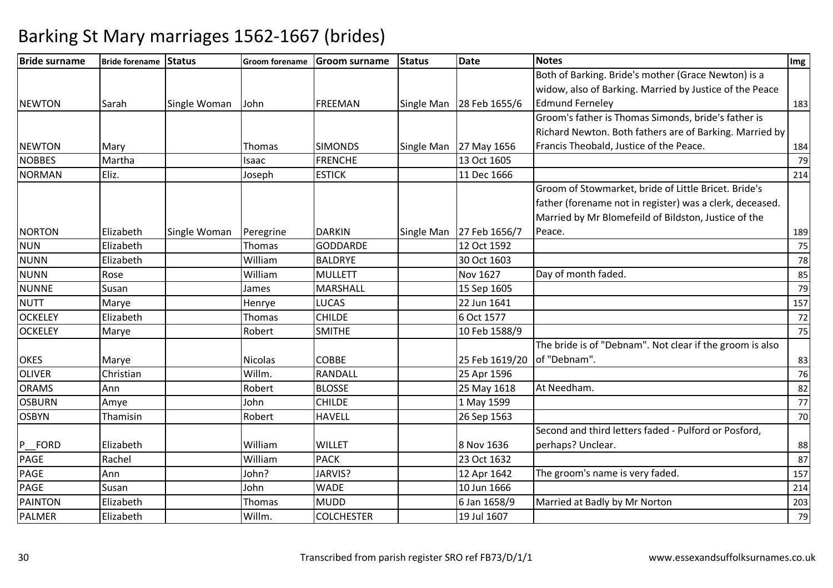| <b>Bride surname</b> | Bride forename Status |              | <b>Groom forename</b> | Groom surname     | <b>Status</b> | <b>Date</b>                | <b>Notes</b>                                             | Img |
|----------------------|-----------------------|--------------|-----------------------|-------------------|---------------|----------------------------|----------------------------------------------------------|-----|
|                      |                       |              |                       |                   |               |                            | Both of Barking. Bride's mother (Grace Newton) is a      |     |
|                      |                       |              |                       |                   |               |                            | widow, also of Barking. Married by Justice of the Peace  |     |
| <b>NEWTON</b>        | Sarah                 | Single Woman | John                  | FREEMAN           |               | Single Man   28 Feb 1655/6 | <b>Edmund Fernelev</b>                                   | 183 |
|                      |                       |              |                       |                   |               |                            | Groom's father is Thomas Simonds, bride's father is      |     |
|                      |                       |              |                       |                   |               |                            | Richard Newton. Both fathers are of Barking. Married by  |     |
| <b>NEWTON</b>        | Mary                  |              | <b>Thomas</b>         | <b>SIMONDS</b>    |               | Single Man 27 May 1656     | Francis Theobald, Justice of the Peace.                  | 184 |
| <b>NOBBES</b>        | Martha                |              | Isaac                 | <b>FRENCHE</b>    |               | 13 Oct 1605                |                                                          | 79  |
| <b>NORMAN</b>        | Eliz.                 |              | Joseph                | <b>ESTICK</b>     |               | 11 Dec 1666                |                                                          | 214 |
|                      |                       |              |                       |                   |               |                            | Groom of Stowmarket, bride of Little Bricet. Bride's     |     |
|                      |                       |              |                       |                   |               |                            | father (forename not in register) was a clerk, deceased. |     |
|                      |                       |              |                       |                   |               |                            | Married by Mr Blomefeild of Bildston, Justice of the     |     |
| <b>NORTON</b>        | Elizabeth             | Single Woman | Peregrine             | <b>DARKIN</b>     |               | Single Man 27 Feb 1656/7   | Peace.                                                   | 189 |
| <b>NUN</b>           | Elizabeth             |              | Thomas                | <b>GODDARDE</b>   |               | 12 Oct 1592                |                                                          | 75  |
| <b>NUNN</b>          | Elizabeth             |              | William               | <b>BALDRYE</b>    |               | 30 Oct 1603                |                                                          | 78  |
| <b>NUNN</b>          | Rose                  |              | William               | MULLETT           |               | Nov 1627                   | Day of month faded.                                      | 85  |
| <b>NUNNE</b>         | Susan                 |              | James                 | <b>MARSHALL</b>   |               | 15 Sep 1605                |                                                          | 79  |
| <b>NUTT</b>          | Marye                 |              | Henrye                | <b>LUCAS</b>      |               | 22 Jun 1641                |                                                          | 157 |
| <b>OCKELEY</b>       | Elizabeth             |              | Thomas                | <b>CHILDE</b>     |               | 6 Oct 1577                 |                                                          | 72  |
| <b>OCKELEY</b>       | Marye                 |              | Robert                | <b>SMITHE</b>     |               | 10 Feb 1588/9              |                                                          | 75  |
|                      |                       |              |                       |                   |               |                            | The bride is of "Debnam". Not clear if the groom is also |     |
| <b>OKES</b>          | Marye                 |              | <b>Nicolas</b>        | <b>COBBE</b>      |               | 25 Feb 1619/20             | of "Debnam".                                             | 83  |
| <b>OLIVER</b>        | Christian             |              | Willm.                | RANDALL           |               | 25 Apr 1596                |                                                          | 76  |
| <b>ORAMS</b>         | Ann                   |              | Robert                | <b>BLOSSE</b>     |               | 25 May 1618                | At Needham.                                              | 82  |
| <b>OSBURN</b>        | Amye                  |              | John                  | <b>CHILDE</b>     |               | 1 May 1599                 |                                                          | 77  |
| <b>OSBYN</b>         | Thamisin              |              | Robert                | <b>HAVELL</b>     |               | 26 Sep 1563                |                                                          | 70  |
|                      |                       |              |                       |                   |               |                            | Second and third letters faded - Pulford or Posford,     |     |
| <b>FORD</b><br>P     | Elizabeth             |              | William               | <b>WILLET</b>     |               | 8 Nov 1636                 | perhaps? Unclear.                                        | 88  |
| <b>PAGE</b>          | Rachel                |              | William               | <b>PACK</b>       |               | 23 Oct 1632                |                                                          | 87  |
| <b>PAGE</b>          | Ann                   |              | John?                 | JARVIS?           |               | 12 Apr 1642                | The groom's name is very faded.                          | 157 |
| <b>PAGE</b>          | Susan                 |              | John                  | <b>WADE</b>       |               | 10 Jun 1666                |                                                          | 214 |
| <b>PAINTON</b>       | Elizabeth             |              | Thomas                | <b>MUDD</b>       |               | 6 Jan 1658/9               | Married at Badly by Mr Norton                            | 203 |
| <b>PALMER</b>        | Elizabeth             |              | Willm.                | <b>COLCHESTER</b> |               | 19 Jul 1607                |                                                          | 79  |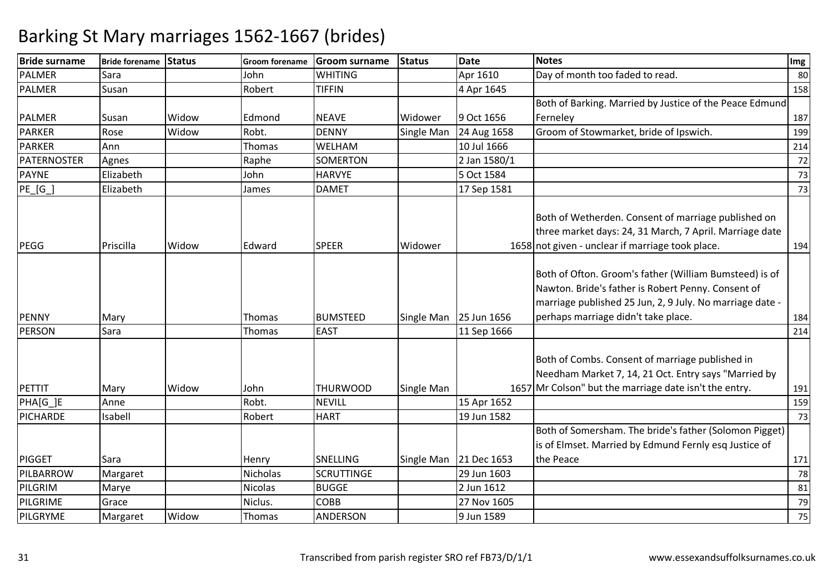| <b>Bride surname</b> | Bride forename Status |       | <b>Groom forename</b> | <b>Groom surname</b> | <b>Status</b> | <b>Date</b>            | <b>Notes</b>                                                                                                                                                                                                    | Img |
|----------------------|-----------------------|-------|-----------------------|----------------------|---------------|------------------------|-----------------------------------------------------------------------------------------------------------------------------------------------------------------------------------------------------------------|-----|
| <b>PALMER</b>        | Sara                  |       | John                  | <b>WHITING</b>       |               | Apr 1610               | Day of month too faded to read.                                                                                                                                                                                 | 80  |
| <b>PALMER</b>        | Susan                 |       | Robert                | <b>TIFFIN</b>        |               | 4 Apr 1645             |                                                                                                                                                                                                                 | 158 |
|                      |                       |       |                       |                      |               |                        | Both of Barking. Married by Justice of the Peace Edmund                                                                                                                                                         |     |
| <b>PALMER</b>        | Susan                 | Widow | Edmond                | <b>NEAVE</b>         | Widower       | 9 Oct 1656             | Ferneley                                                                                                                                                                                                        | 187 |
| <b>PARKER</b>        | Rose                  | Widow | Robt.                 | <b>DENNY</b>         | Single Man    | 24 Aug 1658            | Groom of Stowmarket, bride of Ipswich.                                                                                                                                                                          | 199 |
| <b>PARKER</b>        | Ann                   |       | Thomas                | WELHAM               |               | 10 Jul 1666            |                                                                                                                                                                                                                 | 214 |
| <b>PATERNOSTER</b>   | Agnes                 |       | Raphe                 | <b>SOMERTON</b>      |               | 2 Jan 1580/1           |                                                                                                                                                                                                                 | 72  |
| <b>PAYNE</b>         | Elizabeth             |       | John                  | <b>HARVYE</b>        |               | 5 Oct 1584             |                                                                                                                                                                                                                 | 73  |
| PE[G]                | Elizabeth             |       | James                 | <b>DAMET</b>         |               | 17 Sep 1581            |                                                                                                                                                                                                                 | 73  |
| <b>PEGG</b>          | Priscilla             | Widow | Edward                | <b>SPEER</b>         | Widower       |                        | Both of Wetherden. Consent of marriage published on<br>three market days: 24, 31 March, 7 April. Marriage date<br>1658 not given - unclear if marriage took place.                                              | 194 |
| <b>PENNY</b>         | Mary                  |       | <b>Thomas</b>         | <b>BUMSTEED</b>      |               | Single Man 25 Jun 1656 | Both of Ofton. Groom's father (William Bumsteed) is of<br>Nawton. Bride's father is Robert Penny. Consent of<br>marriage published 25 Jun, 2, 9 July. No marriage date -<br>perhaps marriage didn't take place. | 184 |
| <b>PERSON</b>        | Sara                  |       | Thomas                | <b>EAST</b>          |               | 11 Sep 1666            |                                                                                                                                                                                                                 | 214 |
| <b>PETTIT</b>        | Mary                  | Widow | John                  | <b>THURWOOD</b>      | Single Man    |                        | Both of Combs. Consent of marriage published in<br>Needham Market 7, 14, 21 Oct. Entry says "Married by<br>1657 Mr Colson" but the marriage date isn't the entry.                                               | 191 |
| PHA[G_]E             | Anne                  |       | Robt.                 | <b>NEVILL</b>        |               | 15 Apr 1652            |                                                                                                                                                                                                                 | 159 |
| <b>PICHARDE</b>      | Isabell               |       | Robert                | <b>HART</b>          |               | 19 Jun 1582            |                                                                                                                                                                                                                 | 73  |
|                      |                       |       |                       |                      |               |                        | Both of Somersham. The bride's father (Solomon Pigget)<br>is of Elmset. Married by Edmund Fernly esq Justice of                                                                                                 |     |
| <b>PIGGET</b>        | Sara                  |       | Henry                 | <b>SNELLING</b>      |               | Single Man 21 Dec 1653 | the Peace                                                                                                                                                                                                       | 171 |
| PILBARROW            | Margaret              |       | Nicholas              | <b>SCRUTTINGE</b>    |               | 29 Jun 1603            |                                                                                                                                                                                                                 | 78  |
| PILGRIM              | Marye                 |       | <b>Nicolas</b>        | <b>BUGGE</b>         |               | 2 Jun 1612             |                                                                                                                                                                                                                 | 81  |
| PILGRIME             | Grace                 |       | Niclus.               | <b>COBB</b>          |               | 27 Nov 1605            |                                                                                                                                                                                                                 | 79  |
| PILGRYME             | Margaret              | Widow | Thomas                | ANDERSON             |               | 9 Jun 1589             |                                                                                                                                                                                                                 | 75  |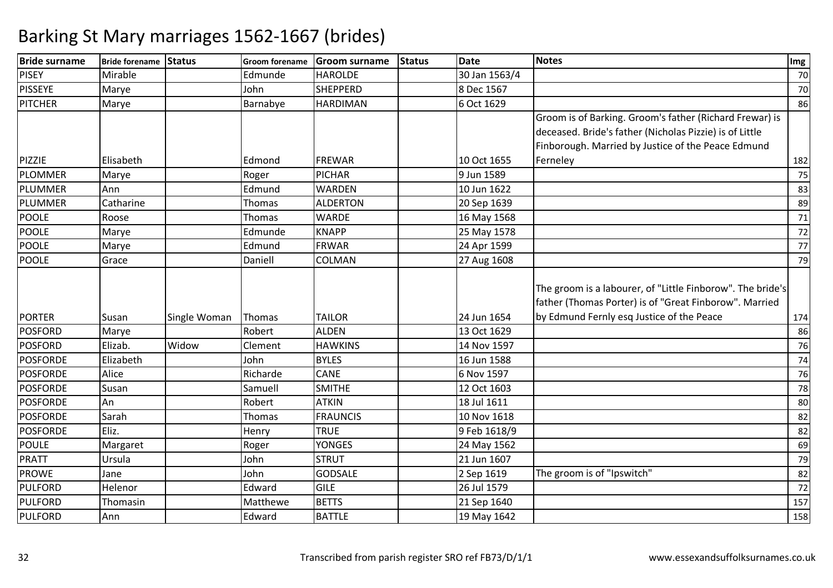| <b>Bride surname</b> | Bride forename Status |              |          | Groom forename Groom surname | Status | Date          | <b>Notes</b>                                                                                                                                                             | Img |
|----------------------|-----------------------|--------------|----------|------------------------------|--------|---------------|--------------------------------------------------------------------------------------------------------------------------------------------------------------------------|-----|
| <b>PISEY</b>         | Mirable               |              | Edmunde  | <b>HAROLDE</b>               |        | 30 Jan 1563/4 |                                                                                                                                                                          | 70  |
| <b>PISSEYE</b>       | Marye                 |              | John     | <b>SHEPPERD</b>              |        | 8 Dec 1567    |                                                                                                                                                                          | 70  |
| PITCHER              | Marye                 |              | Barnabye | <b>HARDIMAN</b>              |        | 6 Oct 1629    |                                                                                                                                                                          | 86  |
|                      |                       |              |          |                              |        |               | Groom is of Barking. Groom's father (Richard Frewar) is<br>deceased. Bride's father (Nicholas Pizzie) is of Little<br>Finborough. Married by Justice of the Peace Edmund |     |
| PIZZIE               | Elisabeth             |              | Edmond   | <b>FREWAR</b>                |        | 10 Oct 1655   | Ferneley                                                                                                                                                                 | 182 |
| <b>PLOMMER</b>       | Marye                 |              | Roger    | <b>PICHAR</b>                |        | 9 Jun 1589    |                                                                                                                                                                          | 75  |
| <b>PLUMMER</b>       | Ann                   |              | Edmund   | <b>WARDEN</b>                |        | 10 Jun 1622   |                                                                                                                                                                          | 83  |
| PLUMMER              | Catharine             |              | Thomas   | <b>ALDERTON</b>              |        | 20 Sep 1639   |                                                                                                                                                                          | 89  |
| <b>POOLE</b>         | Roose                 |              | Thomas   | <b>WARDE</b>                 |        | 16 May 1568   |                                                                                                                                                                          | 71  |
| <b>POOLE</b>         | Marye                 |              | Edmunde  | <b>KNAPP</b>                 |        | 25 May 1578   |                                                                                                                                                                          | 72  |
| <b>POOLE</b>         | Marye                 |              | Edmund   | <b>FRWAR</b>                 |        | 24 Apr 1599   |                                                                                                                                                                          | 77  |
| <b>POOLE</b>         | Grace                 |              | Daniell  | COLMAN                       |        | 27 Aug 1608   |                                                                                                                                                                          | 79  |
| <b>PORTER</b>        | Susan                 | Single Woman | Thomas   | <b>TAILOR</b>                |        | 24 Jun 1654   | The groom is a labourer, of "Little Finborow". The bride's<br>father (Thomas Porter) is of "Great Finborow". Married<br>by Edmund Fernly esq Justice of the Peace        | 174 |
| <b>POSFORD</b>       | Marye                 |              | Robert   | <b>ALDEN</b>                 |        | 13 Oct 1629   |                                                                                                                                                                          | 86  |
| <b>POSFORD</b>       | Elizab.               | Widow        | Clement  | <b>HAWKINS</b>               |        | 14 Nov 1597   |                                                                                                                                                                          | 76  |
| <b>POSFORDE</b>      | Elizabeth             |              | John     | <b>BYLES</b>                 |        | 16 Jun 1588   |                                                                                                                                                                          | 74  |
| <b>POSFORDE</b>      | Alice                 |              | Richarde | CANE                         |        | 6 Nov 1597    |                                                                                                                                                                          | 76  |
| <b>POSFORDE</b>      | Susan                 |              | Samuell  | <b>SMITHE</b>                |        | 12 Oct 1603   |                                                                                                                                                                          | 78  |
| <b>POSFORDE</b>      | An                    |              | Robert   | <b>ATKIN</b>                 |        | 18 Jul 1611   |                                                                                                                                                                          | 80  |
| <b>POSFORDE</b>      | Sarah                 |              | Thomas   | <b>FRAUNCIS</b>              |        | 10 Nov 1618   |                                                                                                                                                                          | 82  |
| <b>POSFORDE</b>      | Eliz.                 |              | Henry    | <b>TRUE</b>                  |        | 9 Feb 1618/9  |                                                                                                                                                                          | 82  |
| <b>POULE</b>         | Margaret              |              | Roger    | <b>YONGES</b>                |        | 24 May 1562   |                                                                                                                                                                          | 69  |
| <b>PRATT</b>         | Ursula                |              | John     | <b>STRUT</b>                 |        | 21 Jun 1607   |                                                                                                                                                                          | 79  |
| <b>PROWE</b>         | Jane                  |              | John     | <b>GODSALE</b>               |        | 2 Sep 1619    | The groom is of "Ipswitch"                                                                                                                                               | 82  |
| <b>PULFORD</b>       | Helenor               |              | Edward   | <b>GILE</b>                  |        | 26 Jul 1579   |                                                                                                                                                                          | 72  |
| <b>PULFORD</b>       | Thomasin              |              | Matthewe | <b>BETTS</b>                 |        | 21 Sep 1640   |                                                                                                                                                                          | 157 |
| <b>PULFORD</b>       | Ann                   |              | Edward   | <b>BATTLE</b>                |        | 19 May 1642   |                                                                                                                                                                          | 158 |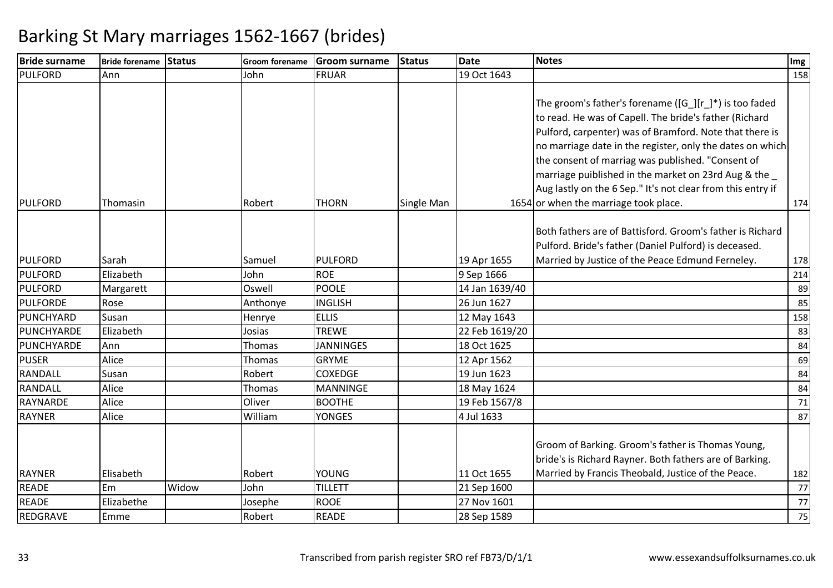| <b>Bride surname</b> | <b>Bride forename Status</b> |       |          | Groom forename Groom surname | Status            | Date           | <b>Notes</b>                                                                                                                                                                                                                                                                                                                                                                                                                                                                 | Img |
|----------------------|------------------------------|-------|----------|------------------------------|-------------------|----------------|------------------------------------------------------------------------------------------------------------------------------------------------------------------------------------------------------------------------------------------------------------------------------------------------------------------------------------------------------------------------------------------------------------------------------------------------------------------------------|-----|
| <b>PULFORD</b>       | Ann                          |       | John     | <b>FRUAR</b>                 |                   | 19 Oct 1643    |                                                                                                                                                                                                                                                                                                                                                                                                                                                                              | 158 |
| <b>PULFORD</b>       | Thomasin                     |       | Robert   | <b>THORN</b>                 | <b>Single Man</b> |                | The groom's father's forename ([G $\cdot$ ][r $\cdot$ )*) is too faded<br>to read. He was of Capell. The bride's father (Richard<br>Pulford, carpenter) was of Bramford. Note that there is<br>no marriage date in the register, only the dates on which<br>the consent of marriag was published. "Consent of<br>marriage puiblished in the market on 23rd Aug & the<br>Aug lastly on the 6 Sep." It's not clear from this entry if<br>1654 or when the marriage took place. | 174 |
|                      |                              |       |          |                              |                   |                |                                                                                                                                                                                                                                                                                                                                                                                                                                                                              |     |
|                      |                              |       |          |                              |                   |                | Both fathers are of Battisford. Groom's father is Richard                                                                                                                                                                                                                                                                                                                                                                                                                    |     |
|                      |                              |       |          |                              |                   |                | Pulford. Bride's father (Daniel Pulford) is deceased.                                                                                                                                                                                                                                                                                                                                                                                                                        |     |
| <b>PULFORD</b>       | Sarah                        |       | Samuel   | <b>PULFORD</b>               |                   | 19 Apr 1655    | Married by Justice of the Peace Edmund Ferneley.                                                                                                                                                                                                                                                                                                                                                                                                                             | 178 |
| <b>PULFORD</b>       | Elizabeth                    |       | John     | <b>ROE</b>                   |                   | 9 Sep 1666     |                                                                                                                                                                                                                                                                                                                                                                                                                                                                              | 214 |
| <b>PULFORD</b>       | Margarett                    |       | Oswell   | <b>POOLE</b>                 |                   | 14 Jan 1639/40 |                                                                                                                                                                                                                                                                                                                                                                                                                                                                              | 89  |
| <b>PULFORDE</b>      | Rose                         |       | Anthonye | <b>INGLISH</b>               |                   | 26 Jun 1627    |                                                                                                                                                                                                                                                                                                                                                                                                                                                                              | 85  |
| PUNCHYARD            | Susan                        |       | Henrye   | <b>ELLIS</b>                 |                   | 12 May 1643    |                                                                                                                                                                                                                                                                                                                                                                                                                                                                              | 158 |
| PUNCHYARDE           | Elizabeth                    |       | Josias   | <b>TREWE</b>                 |                   | 22 Feb 1619/20 |                                                                                                                                                                                                                                                                                                                                                                                                                                                                              | 83  |
| PUNCHYARDE           | Ann                          |       | Thomas   | <b>JANNINGES</b>             |                   | 18 Oct 1625    |                                                                                                                                                                                                                                                                                                                                                                                                                                                                              | 84  |
| <b>PUSER</b>         | Alice                        |       | Thomas   | <b>GRYME</b>                 |                   | 12 Apr 1562    |                                                                                                                                                                                                                                                                                                                                                                                                                                                                              | 69  |
| RANDALL              | Susan                        |       | Robert   | <b>COXEDGE</b>               |                   | 19 Jun 1623    |                                                                                                                                                                                                                                                                                                                                                                                                                                                                              | 84  |
| RANDALL              | Alice                        |       | Thomas   | <b>MANNINGE</b>              |                   | 18 May 1624    |                                                                                                                                                                                                                                                                                                                                                                                                                                                                              | 84  |
| <b>RAYNARDE</b>      | Alice                        |       | Oliver   | <b>BOOTHE</b>                |                   | 19 Feb 1567/8  |                                                                                                                                                                                                                                                                                                                                                                                                                                                                              | 71  |
| <b>RAYNER</b>        | Alice                        |       | William  | <b>YONGES</b>                |                   | 4 Jul 1633     |                                                                                                                                                                                                                                                                                                                                                                                                                                                                              | 87  |
| <b>RAYNER</b>        | Elisabeth                    |       | Robert   | <b>YOUNG</b>                 |                   | 11 Oct 1655    | Groom of Barking. Groom's father is Thomas Young,<br>bride's is Richard Rayner. Both fathers are of Barking.<br>Married by Francis Theobald, Justice of the Peace.                                                                                                                                                                                                                                                                                                           | 182 |
| <b>READE</b>         | Em                           | Widow | John     | <b>TILLETT</b>               |                   | 21 Sep 1600    |                                                                                                                                                                                                                                                                                                                                                                                                                                                                              | 77  |
| <b>READE</b>         | Elizabethe                   |       | Josephe  | <b>ROOE</b>                  |                   | 27 Nov 1601    |                                                                                                                                                                                                                                                                                                                                                                                                                                                                              | 77  |
| REDGRAVE             | Emme                         |       | Robert   | <b>READE</b>                 |                   | 28 Sep 1589    |                                                                                                                                                                                                                                                                                                                                                                                                                                                                              | 75  |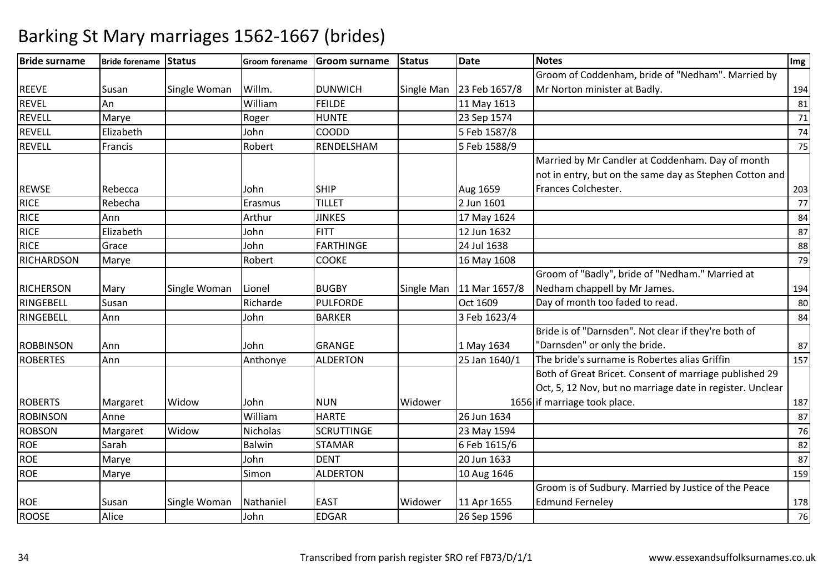| <b>Bride surname</b> | Bride forename Status |              | <b>Groom forename</b> | <b>Groom surname</b> | <b>Status</b> | <b>Date</b>                | <b>Notes</b>                                              | $Im$ g |
|----------------------|-----------------------|--------------|-----------------------|----------------------|---------------|----------------------------|-----------------------------------------------------------|--------|
|                      |                       |              |                       |                      |               |                            | Groom of Coddenham, bride of "Nedham". Married by         |        |
| <b>REEVE</b>         | Susan                 | Single Woman | Willm.                | <b>DUNWICH</b>       |               | Single Man 23 Feb 1657/8   | Mr Norton minister at Badly.                              | 194    |
| <b>REVEL</b>         | An                    |              | William               | <b>FEILDE</b>        |               | 11 May 1613                |                                                           | 81     |
| <b>REVELL</b>        | Marye                 |              | Roger                 | <b>HUNTE</b>         |               | 23 Sep 1574                |                                                           | 71     |
| <b>REVELL</b>        | Elizabeth             |              | John                  | <b>COODD</b>         |               | 5 Feb 1587/8               |                                                           | 74     |
| <b>REVELL</b>        | Francis               |              | Robert                | RENDELSHAM           |               | 5 Feb 1588/9               |                                                           | 75     |
|                      |                       |              |                       |                      |               |                            | Married by Mr Candler at Coddenham. Day of month          |        |
|                      |                       |              |                       |                      |               |                            | not in entry, but on the same day as Stephen Cotton and   |        |
| <b>REWSE</b>         | Rebecca               |              | John                  | <b>SHIP</b>          |               | Aug 1659                   | Frances Colchester.                                       | 203    |
| <b>RICE</b>          | Rebecha               |              | Erasmus               | <b>TILLET</b>        |               | 2 Jun 1601                 |                                                           | 77     |
| <b>RICE</b>          | Ann                   |              | Arthur                | <b>JINKES</b>        |               | 17 May 1624                |                                                           | 84     |
| <b>RICE</b>          | Elizabeth             |              | John                  | <b>FITT</b>          |               | 12 Jun 1632                |                                                           | 87     |
| <b>RICE</b>          | Grace                 |              | John                  | <b>FARTHINGE</b>     |               | 24 Jul 1638                |                                                           | 88     |
| <b>RICHARDSON</b>    | Marye                 |              | Robert                | <b>COOKE</b>         |               | 16 May 1608                |                                                           | 79     |
|                      |                       |              |                       |                      |               |                            | Groom of "Badly", bride of "Nedham." Married at           |        |
| <b>RICHERSON</b>     | Mary                  | Single Woman | Lionel                | <b>BUGBY</b>         |               | Single Man   11 Mar 1657/8 | Nedham chappell by Mr James.                              | 194    |
| RINGEBELL            | Susan                 |              | Richarde              | <b>PULFORDE</b>      |               | Oct 1609                   | Day of month too faded to read.                           | 80     |
| RINGEBELL            | Ann                   |              | John                  | <b>BARKER</b>        |               | 3 Feb 1623/4               |                                                           | 84     |
|                      |                       |              |                       |                      |               |                            | Bride is of "Darnsden". Not clear if they're both of      |        |
| <b>ROBBINSON</b>     | Ann                   |              | John                  | <b>GRANGE</b>        |               | 1 May 1634                 | "Darnsden" or only the bride.                             | 87     |
| <b>ROBERTES</b>      | Ann                   |              | Anthonye              | <b>ALDERTON</b>      |               | 25 Jan 1640/1              | The bride's surname is Robertes alias Griffin             | 157    |
|                      |                       |              |                       |                      |               |                            | Both of Great Bricet. Consent of marriage published 29    |        |
|                      |                       |              |                       |                      |               |                            | Oct, 5, 12 Nov, but no marriage date in register. Unclear |        |
| <b>ROBERTS</b>       | Margaret              | Widow        | John                  | <b>NUN</b>           | Widower       |                            | 1656 if marriage took place.                              | 187    |
| <b>ROBINSON</b>      | Anne                  |              | William               | <b>HARTE</b>         |               | 26 Jun 1634                |                                                           | 87     |
| <b>ROBSON</b>        | Margaret              | Widow        | Nicholas              | <b>SCRUTTINGE</b>    |               | 23 May 1594                |                                                           | 76     |
| <b>ROE</b>           | Sarah                 |              | Balwin                | <b>STAMAR</b>        |               | 6 Feb 1615/6               |                                                           | 82     |
| <b>ROE</b>           | Marye                 |              | John                  | <b>DENT</b>          |               | 20 Jun 1633                |                                                           | 87     |
| <b>ROE</b>           | Marye                 |              | Simon                 | <b>ALDERTON</b>      |               | 10 Aug 1646                |                                                           | 159    |
|                      |                       |              |                       |                      |               |                            | Groom is of Sudbury. Married by Justice of the Peace      |        |
| <b>ROE</b>           | Susan                 | Single Woman | Nathaniel             | <b>EAST</b>          | Widower       | 11 Apr 1655                | <b>Edmund Ferneley</b>                                    | 178    |
| <b>ROOSE</b>         | Alice                 |              | John                  | <b>EDGAR</b>         |               | 26 Sep 1596                |                                                           | 76     |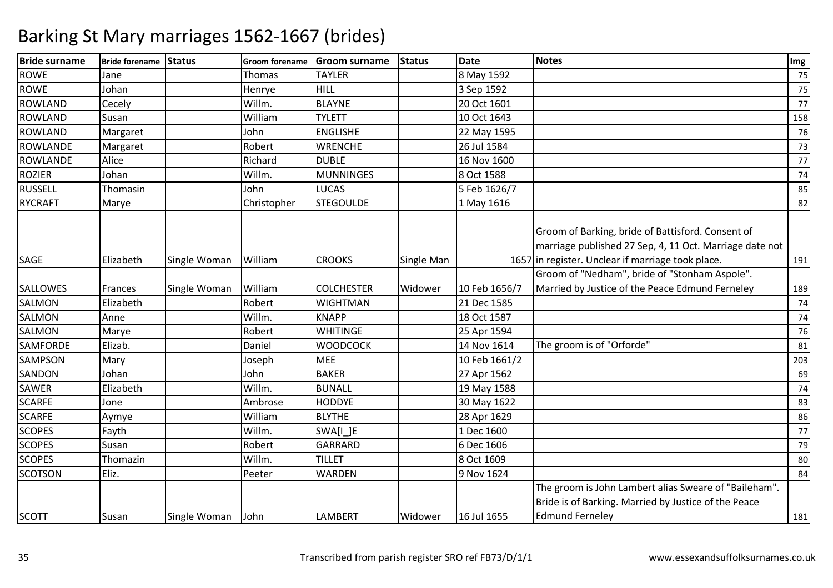| <b>Bride surname</b> | Bride forename Status |              | <b>Groom forename</b> | <b>Groom surname</b> | <b>Status</b> | <b>Date</b>   | <b>Notes</b>                                                                                                                                                      | Img |
|----------------------|-----------------------|--------------|-----------------------|----------------------|---------------|---------------|-------------------------------------------------------------------------------------------------------------------------------------------------------------------|-----|
| <b>ROWE</b>          | Jane                  |              | <b>Thomas</b>         | <b>TAYLER</b>        |               | 8 May 1592    |                                                                                                                                                                   | 75  |
| <b>ROWE</b>          | Johan                 |              | Henrye                | HILL                 |               | 3 Sep 1592    |                                                                                                                                                                   | 75  |
| <b>ROWLAND</b>       | Cecely                |              | Willm.                | <b>BLAYNE</b>        |               | 20 Oct 1601   |                                                                                                                                                                   | 77  |
| <b>ROWLAND</b>       | Susan                 |              | William               | <b>TYLETT</b>        |               | 10 Oct 1643   |                                                                                                                                                                   | 158 |
| <b>ROWLAND</b>       | Margaret              |              | John                  | <b>ENGLISHE</b>      |               | 22 May 1595   |                                                                                                                                                                   | 76  |
| <b>ROWLANDE</b>      | Margaret              |              | Robert                | <b>WRENCHE</b>       |               | 26 Jul 1584   |                                                                                                                                                                   | 73  |
| <b>ROWLANDE</b>      | Alice                 |              | Richard               | <b>DUBLE</b>         |               | 16 Nov 1600   |                                                                                                                                                                   | 77  |
| <b>ROZIER</b>        | Johan                 |              | Willm.                | <b>MUNNINGES</b>     |               | 8 Oct 1588    |                                                                                                                                                                   | 74  |
| <b>RUSSELL</b>       | Thomasin              |              | John                  | <b>LUCAS</b>         |               | 5 Feb 1626/7  |                                                                                                                                                                   | 85  |
| <b>RYCRAFT</b>       | Marye                 |              | Christopher           | <b>STEGOULDE</b>     |               | 1 May 1616    |                                                                                                                                                                   | 82  |
| SAGE                 | Elizabeth             | Single Woman | William               | <b>CROOKS</b>        | Single Man    |               | Groom of Barking, bride of Battisford. Consent of<br>marriage published 27 Sep, 4, 11 Oct. Marriage date not<br>1657 in register. Unclear if marriage took place. | 191 |
|                      |                       |              |                       |                      |               |               | Groom of "Nedham", bride of "Stonham Aspole".                                                                                                                     |     |
| <b>SALLOWES</b>      | Frances               | Single Woman | William               | <b>COLCHESTER</b>    | Widower       | 10 Feb 1656/7 | Married by Justice of the Peace Edmund Ferneley                                                                                                                   | 189 |
| <b>SALMON</b>        | Elizabeth             |              | Robert                | <b>WIGHTMAN</b>      |               | 21 Dec 1585   |                                                                                                                                                                   | 74  |
| <b>SALMON</b>        | Anne                  |              | Willm.                | <b>KNAPP</b>         |               | 18 Oct 1587   |                                                                                                                                                                   | 74  |
| <b>SALMON</b>        | Marye                 |              | Robert                | <b>WHITINGE</b>      |               | 25 Apr 1594   |                                                                                                                                                                   | 76  |
| <b>SAMFORDE</b>      | Elizab.               |              | Daniel                | <b>WOODCOCK</b>      |               | 14 Nov 1614   | The groom is of "Orforde"                                                                                                                                         | 81  |
| <b>SAMPSON</b>       | Mary                  |              | Joseph                | <b>MEE</b>           |               | 10 Feb 1661/2 |                                                                                                                                                                   | 203 |
| SANDON               | Johan                 |              | John                  | <b>BAKER</b>         |               | 27 Apr 1562   |                                                                                                                                                                   | 69  |
| <b>SAWER</b>         | Elizabeth             |              | Willm.                | <b>BUNALL</b>        |               | 19 May 1588   |                                                                                                                                                                   | 74  |
| <b>SCARFE</b>        | Jone                  |              | Ambrose               | <b>HODDYE</b>        |               | 30 May 1622   |                                                                                                                                                                   | 83  |
| <b>SCARFE</b>        | Aymye                 |              | William               | <b>BLYTHE</b>        |               | 28 Apr 1629   |                                                                                                                                                                   | 86  |
| <b>SCOPES</b>        | Fayth                 |              | Willm.                | SWA[I_]E             |               | 1 Dec 1600    |                                                                                                                                                                   | 77  |
| <b>SCOPES</b>        | Susan                 |              | Robert                | GARRARD              |               | 6 Dec 1606    |                                                                                                                                                                   | 79  |
| <b>SCOPES</b>        | Thomazin              |              | Willm.                | <b>TILLET</b>        |               | 8 Oct 1609    |                                                                                                                                                                   | 80  |
| <b>SCOTSON</b>       | Eliz.                 |              | Peeter                | <b>WARDEN</b>        |               | 9 Nov 1624    |                                                                                                                                                                   | 84  |
| <b>SCOTT</b>         | Susan                 | Single Woman | John                  | <b>LAMBERT</b>       | Widower       | 16 Jul 1655   | The groom is John Lambert alias Sweare of "Baileham".<br>Bride is of Barking. Married by Justice of the Peace<br><b>Edmund Ferneley</b>                           | 181 |
|                      |                       |              |                       |                      |               |               |                                                                                                                                                                   |     |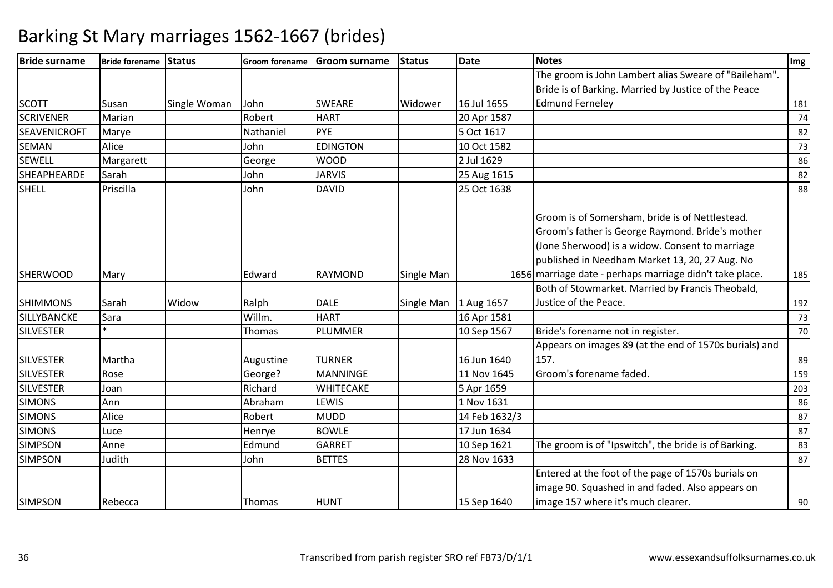| <b>Bride surname</b> | Bride forename Status |              | <b>Groom forename</b> | <b>Groom surname</b> | <b>Status</b>           | Date          | <b>Notes</b>                                                                                                                                                                                             | Img |
|----------------------|-----------------------|--------------|-----------------------|----------------------|-------------------------|---------------|----------------------------------------------------------------------------------------------------------------------------------------------------------------------------------------------------------|-----|
|                      |                       |              |                       |                      |                         |               | The groom is John Lambert alias Sweare of "Baileham".                                                                                                                                                    |     |
|                      |                       |              |                       |                      |                         |               | Bride is of Barking. Married by Justice of the Peace                                                                                                                                                     |     |
| <b>SCOTT</b>         | Susan                 | Single Woman | John                  | <b>SWEARE</b>        | Widower                 | 16 Jul 1655   | <b>Edmund Ferneley</b>                                                                                                                                                                                   | 181 |
| <b>SCRIVENER</b>     | Marian                |              | Robert                | <b>HART</b>          |                         | 20 Apr 1587   |                                                                                                                                                                                                          | 74  |
| <b>SEAVENICROFT</b>  | Marye                 |              | Nathaniel             | PYE                  |                         | 5 Oct 1617    |                                                                                                                                                                                                          | 82  |
| <b>SEMAN</b>         | Alice                 |              | John                  | <b>EDINGTON</b>      |                         | 10 Oct 1582   |                                                                                                                                                                                                          | 73  |
| <b>SEWELL</b>        | Margarett             |              | George                | <b>WOOD</b>          |                         | 2 Jul 1629    |                                                                                                                                                                                                          | 86  |
| <b>SHEAPHEARDE</b>   | Sarah                 |              | John                  | <b>JARVIS</b>        |                         | 25 Aug 1615   |                                                                                                                                                                                                          | 82  |
| <b>SHELL</b>         | Priscilla             |              | John                  | <b>DAVID</b>         |                         | 25 Oct 1638   |                                                                                                                                                                                                          | 88  |
|                      |                       |              |                       |                      |                         |               | Groom is of Somersham, bride is of Nettlestead.<br>Groom's father is George Raymond. Bride's mother<br>(Jone Sherwood) is a widow. Consent to marriage<br>published in Needham Market 13, 20, 27 Aug. No |     |
| <b>SHERWOOD</b>      | Mary                  |              | Edward                | <b>RAYMOND</b>       | Single Man              |               | 1656 marriage date - perhaps marriage didn't take place.                                                                                                                                                 | 185 |
|                      |                       |              |                       |                      |                         |               | Both of Stowmarket. Married by Francis Theobald,                                                                                                                                                         |     |
| <b>SHIMMONS</b>      | Sarah                 | Widow        | Ralph                 | <b>DALE</b>          | Single Man   1 Aug 1657 |               | Justice of the Peace.                                                                                                                                                                                    | 192 |
| SILLYBANCKE          | Sara                  |              | Willm.                | <b>HART</b>          |                         | 16 Apr 1581   |                                                                                                                                                                                                          | 73  |
| <b>SILVESTER</b>     | $\ast$                |              | Thomas                | <b>PLUMMER</b>       |                         | 10 Sep 1567   | Bride's forename not in register.                                                                                                                                                                        | 70  |
| <b>SILVESTER</b>     | Martha                |              | Augustine             | <b>TURNER</b>        |                         | 16 Jun 1640   | Appears on images 89 (at the end of 1570s burials) and<br>157.                                                                                                                                           | 89  |
| <b>SILVESTER</b>     | Rose                  |              | George?               | <b>MANNINGE</b>      |                         | 11 Nov 1645   | Groom's forename faded.                                                                                                                                                                                  | 159 |
| <b>SILVESTER</b>     | Joan                  |              | Richard               | WHITECAKE            |                         | 5 Apr 1659    |                                                                                                                                                                                                          | 203 |
| <b>SIMONS</b>        | Ann                   |              | Abraham               | LEWIS                |                         | 1 Nov 1631    |                                                                                                                                                                                                          | 86  |
| <b>SIMONS</b>        | Alice                 |              | Robert                | <b>MUDD</b>          |                         | 14 Feb 1632/3 |                                                                                                                                                                                                          | 87  |
| <b>SIMONS</b>        | Luce                  |              | Henrye                | <b>BOWLE</b>         |                         | 17 Jun 1634   |                                                                                                                                                                                                          | 87  |
| <b>SIMPSON</b>       | Anne                  |              | Edmund                | <b>GARRET</b>        |                         | 10 Sep 1621   | The groom is of "Ipswitch", the bride is of Barking.                                                                                                                                                     | 83  |
| <b>SIMPSON</b>       | Judith                |              | John                  | <b>BETTES</b>        |                         | 28 Nov 1633   |                                                                                                                                                                                                          | 87  |
| <b>SIMPSON</b>       | Rebecca               |              | Thomas                | <b>HUNT</b>          |                         | 15 Sep 1640   | Entered at the foot of the page of 1570s burials on<br>image 90. Squashed in and faded. Also appears on<br>image 157 where it's much clearer.                                                            | 90  |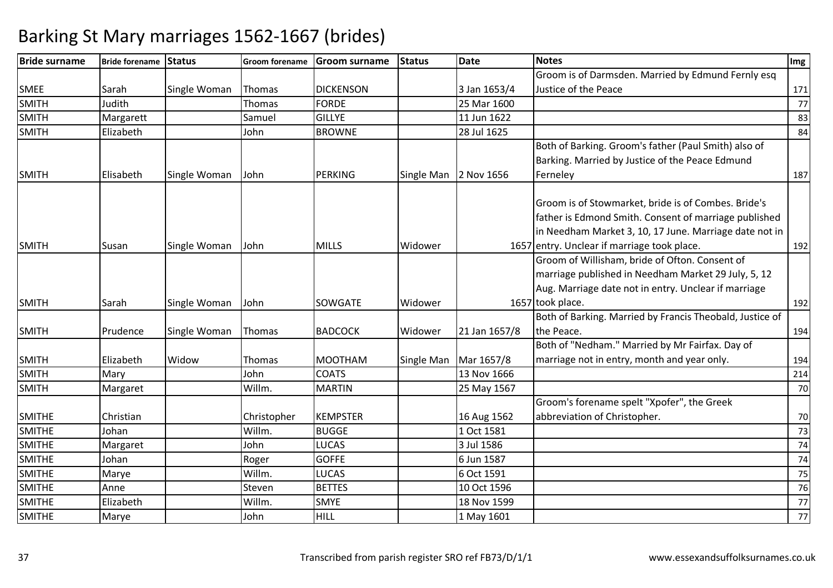| Groom is of Darmsden. Married by Edmund Fernly esq<br>Justice of the Peace<br><b>SMEE</b><br>Sarah<br><b>DICKENSON</b><br>3 Jan 1653/4<br>Single Woman<br>Thomas<br>SMITH<br>Judith<br><b>FORDE</b><br>Thomas<br>25 Mar 1600<br><b>SMITH</b><br><b>GILLYE</b><br>11 Jun 1622<br>Margarett<br>Samuel<br><b>SMITH</b><br>Elizabeth<br><b>BROWNE</b><br>28 Jul 1625<br>John<br>Both of Barking. Groom's father (Paul Smith) also of<br>Barking. Married by Justice of the Peace Edmund<br>Elisabeth<br>PERKING<br>2 Nov 1656<br><b>SMITH</b><br>Single Woman<br>John<br>Single Man<br>Ferneley | 171 |
|---------------------------------------------------------------------------------------------------------------------------------------------------------------------------------------------------------------------------------------------------------------------------------------------------------------------------------------------------------------------------------------------------------------------------------------------------------------------------------------------------------------------------------------------------------------------------------------------|-----|
|                                                                                                                                                                                                                                                                                                                                                                                                                                                                                                                                                                                             |     |
|                                                                                                                                                                                                                                                                                                                                                                                                                                                                                                                                                                                             | 77  |
|                                                                                                                                                                                                                                                                                                                                                                                                                                                                                                                                                                                             |     |
|                                                                                                                                                                                                                                                                                                                                                                                                                                                                                                                                                                                             | 83  |
|                                                                                                                                                                                                                                                                                                                                                                                                                                                                                                                                                                                             | 84  |
|                                                                                                                                                                                                                                                                                                                                                                                                                                                                                                                                                                                             |     |
|                                                                                                                                                                                                                                                                                                                                                                                                                                                                                                                                                                                             |     |
|                                                                                                                                                                                                                                                                                                                                                                                                                                                                                                                                                                                             | 187 |
| Groom is of Stowmarket, bride is of Combes. Bride's<br>father is Edmond Smith. Consent of marriage published<br>in Needham Market 3, 10, 17 June. Marriage date not in<br><b>MILLS</b><br>1657 entry. Unclear if marriage took place.<br><b>SMITH</b><br>Widower<br>Susan<br>Single Woman<br>John                                                                                                                                                                                                                                                                                           | 192 |
| Groom of Willisham, bride of Ofton. Consent of                                                                                                                                                                                                                                                                                                                                                                                                                                                                                                                                              |     |
| marriage published in Needham Market 29 July, 5, 12                                                                                                                                                                                                                                                                                                                                                                                                                                                                                                                                         |     |
| Aug. Marriage date not in entry. Unclear if marriage                                                                                                                                                                                                                                                                                                                                                                                                                                                                                                                                        |     |
| 1657 took place.<br><b>SMITH</b><br><b>SOWGATE</b><br>Sarah<br>Single Woman<br>John<br>Widower                                                                                                                                                                                                                                                                                                                                                                                                                                                                                              | 192 |
| Both of Barking. Married by Francis Theobald, Justice of                                                                                                                                                                                                                                                                                                                                                                                                                                                                                                                                    |     |
| the Peace.<br><b>SMITH</b><br>Single Woman<br>Thomas<br><b>BADCOCK</b><br>Widower<br>21 Jan 1657/8<br>Prudence                                                                                                                                                                                                                                                                                                                                                                                                                                                                              | 194 |
| Both of "Nedham." Married by Mr Fairfax. Day of                                                                                                                                                                                                                                                                                                                                                                                                                                                                                                                                             |     |
| marriage not in entry, month and year only.<br><b>SMITH</b><br>Elizabeth<br>Widow<br>Thomas<br><b>MOOTHAM</b><br>Mar 1657/8<br>Single Man                                                                                                                                                                                                                                                                                                                                                                                                                                                   | 194 |
| <b>SMITH</b><br><b>COATS</b><br>13 Nov 1666<br>Mary<br>John                                                                                                                                                                                                                                                                                                                                                                                                                                                                                                                                 | 214 |
| <b>SMITH</b><br>Willm.<br><b>MARTIN</b><br>Margaret<br>25 May 1567                                                                                                                                                                                                                                                                                                                                                                                                                                                                                                                          | 70  |
| Groom's forename spelt "Xpofer", the Greek                                                                                                                                                                                                                                                                                                                                                                                                                                                                                                                                                  |     |
| <b>SMITHE</b><br><b>KEMPSTER</b><br>abbreviation of Christopher.<br>Christian<br>Christopher<br>16 Aug 1562                                                                                                                                                                                                                                                                                                                                                                                                                                                                                 | 70  |
| <b>SMITHE</b><br><b>BUGGE</b><br>Willm.<br>1 Oct 1581<br>Johan                                                                                                                                                                                                                                                                                                                                                                                                                                                                                                                              | 73  |
| <b>SMITHE</b><br><b>LUCAS</b><br>3 Jul 1586<br>John<br>Margaret                                                                                                                                                                                                                                                                                                                                                                                                                                                                                                                             | 74  |
| <b>GOFFE</b><br><b>SMITHE</b><br>Johan<br>6 Jun 1587<br>Roger                                                                                                                                                                                                                                                                                                                                                                                                                                                                                                                               | 74  |
| <b>SMITHE</b><br><b>LUCAS</b><br>Willm.<br>6 Oct 1591<br>Marye                                                                                                                                                                                                                                                                                                                                                                                                                                                                                                                              | 75  |
| <b>SMITHE</b><br><b>BETTES</b><br>10 Oct 1596<br>Anne<br>Steven                                                                                                                                                                                                                                                                                                                                                                                                                                                                                                                             | 76  |
| <b>SMITHE</b><br>Elizabeth<br><b>SMYE</b><br>18 Nov 1599<br>Willm.                                                                                                                                                                                                                                                                                                                                                                                                                                                                                                                          | 77  |
| <b>SMITHE</b><br><b>HILL</b><br>Marye<br>John<br>1 May 1601                                                                                                                                                                                                                                                                                                                                                                                                                                                                                                                                 | 77  |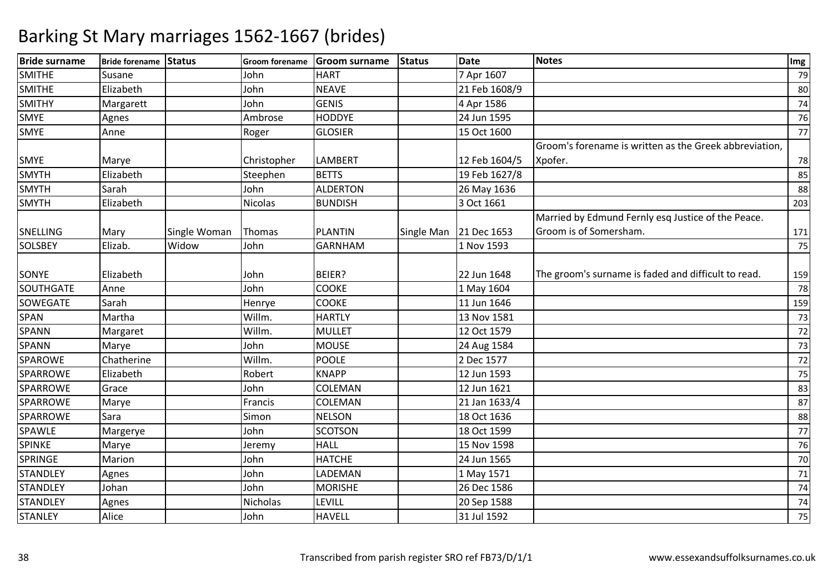| <b>HART</b><br>7 Apr 1607<br>79<br>Susane<br>John<br>Elizabeth<br><b>NEAVE</b><br>21 Feb 1608/9<br>John<br>80<br><b>GENIS</b><br>4 Apr 1586<br>John<br>Margarett<br>74<br><b>HODDYE</b><br>24 Jun 1595<br>Ambrose<br>Agnes<br>76<br>Anne<br><b>GLOSIER</b><br>15 Oct 1600<br>Roger<br>77<br>Groom's forename is written as the Greek abbreviation,<br>Xpofer.<br><b>LAMBERT</b><br>12 Feb 1604/5<br>Christopher<br>Marye<br>78<br><b>BETTS</b><br>Elizabeth<br>19 Feb 1627/8<br>Steephen<br>85<br>John<br><b>ALDERTON</b><br>Sarah<br>26 May 1636<br>88<br>Elizabeth<br>Nicolas<br><b>BUNDISH</b><br>3 Oct 1661<br>203<br>Married by Edmund Fernly esq Justice of the Peace.<br>Single Man 21 Dec 1653<br>Groom is of Somersham.<br><b>PLANTIN</b><br>Mary<br>Single Woman<br>Thomas<br>171<br>Elizab.<br>Widow<br>John<br><b>GARNHAM</b><br>1 Nov 1593<br>75<br>BEIER?<br>22 Jun 1648<br>Elizabeth<br>John<br>The groom's surname is faded and difficult to read.<br>159<br><b>COOKE</b><br>John<br>1 May 1604<br>Anne<br>78<br><b>COOKE</b><br>Sarah<br>Henrye<br>11 Jun 1646<br>159<br>Martha<br>Willm.<br><b>HARTLY</b><br>13 Nov 1581<br>73<br>Willm.<br><b>MULLET</b><br>12 Oct 1579<br>72<br>Margaret<br><b>MOUSE</b><br>John<br>Marye<br>24 Aug 1584<br>73<br>Chatherine<br>Willm.<br><b>POOLE</b><br>2 Dec 1577<br>72<br><b>KNAPP</b><br>Elizabeth<br>Robert<br>12 Jun 1593<br>75<br>Grace<br>COLEMAN<br>12 Jun 1621<br>John<br>83<br>COLEMAN<br>21 Jan 1633/4<br>87<br>Marye<br>Francis<br><b>NELSON</b><br>18 Oct 1636<br>Simon<br>Sara<br>88<br><b>SCOTSON</b><br>18 Oct 1599<br>Margerye<br>John<br>77<br><b>HALL</b><br>15 Nov 1598<br>Marye<br>76<br>Jeremy<br><b>HATCHE</b><br>Marion<br>John<br>24 Jun 1565<br>70<br>LADEMAN<br>Agnes<br>John<br>1 May 1571<br>71<br><b>MORISHE</b><br>Johan<br>26 Dec 1586<br>John<br>74<br>LEVILL<br>20 Sep 1588<br>Nicholas<br>Agnes<br>74<br>Alice<br><b>HAVELL</b><br>31 Jul 1592<br>75<br>John | <b>Bride surname</b> | Bride forename Status | Groom forename | Groom surname | <b>Status</b> | <b>Date</b> | <b>Notes</b> | Img |
|-------------------------------------------------------------------------------------------------------------------------------------------------------------------------------------------------------------------------------------------------------------------------------------------------------------------------------------------------------------------------------------------------------------------------------------------------------------------------------------------------------------------------------------------------------------------------------------------------------------------------------------------------------------------------------------------------------------------------------------------------------------------------------------------------------------------------------------------------------------------------------------------------------------------------------------------------------------------------------------------------------------------------------------------------------------------------------------------------------------------------------------------------------------------------------------------------------------------------------------------------------------------------------------------------------------------------------------------------------------------------------------------------------------------------------------------------------------------------------------------------------------------------------------------------------------------------------------------------------------------------------------------------------------------------------------------------------------------------------------------------------------------------------------------------------------------------------------------------------------------------------------------------------------------------------------------------------|----------------------|-----------------------|----------------|---------------|---------------|-------------|--------------|-----|
|                                                                                                                                                                                                                                                                                                                                                                                                                                                                                                                                                                                                                                                                                                                                                                                                                                                                                                                                                                                                                                                                                                                                                                                                                                                                                                                                                                                                                                                                                                                                                                                                                                                                                                                                                                                                                                                                                                                                                       | <b>SMITHE</b>        |                       |                |               |               |             |              |     |
|                                                                                                                                                                                                                                                                                                                                                                                                                                                                                                                                                                                                                                                                                                                                                                                                                                                                                                                                                                                                                                                                                                                                                                                                                                                                                                                                                                                                                                                                                                                                                                                                                                                                                                                                                                                                                                                                                                                                                       | <b>SMITHE</b>        |                       |                |               |               |             |              |     |
|                                                                                                                                                                                                                                                                                                                                                                                                                                                                                                                                                                                                                                                                                                                                                                                                                                                                                                                                                                                                                                                                                                                                                                                                                                                                                                                                                                                                                                                                                                                                                                                                                                                                                                                                                                                                                                                                                                                                                       | <b>SMITHY</b>        |                       |                |               |               |             |              |     |
|                                                                                                                                                                                                                                                                                                                                                                                                                                                                                                                                                                                                                                                                                                                                                                                                                                                                                                                                                                                                                                                                                                                                                                                                                                                                                                                                                                                                                                                                                                                                                                                                                                                                                                                                                                                                                                                                                                                                                       | <b>SMYE</b>          |                       |                |               |               |             |              |     |
|                                                                                                                                                                                                                                                                                                                                                                                                                                                                                                                                                                                                                                                                                                                                                                                                                                                                                                                                                                                                                                                                                                                                                                                                                                                                                                                                                                                                                                                                                                                                                                                                                                                                                                                                                                                                                                                                                                                                                       | <b>SMYE</b>          |                       |                |               |               |             |              |     |
|                                                                                                                                                                                                                                                                                                                                                                                                                                                                                                                                                                                                                                                                                                                                                                                                                                                                                                                                                                                                                                                                                                                                                                                                                                                                                                                                                                                                                                                                                                                                                                                                                                                                                                                                                                                                                                                                                                                                                       |                      |                       |                |               |               |             |              |     |
|                                                                                                                                                                                                                                                                                                                                                                                                                                                                                                                                                                                                                                                                                                                                                                                                                                                                                                                                                                                                                                                                                                                                                                                                                                                                                                                                                                                                                                                                                                                                                                                                                                                                                                                                                                                                                                                                                                                                                       | <b>SMYE</b>          |                       |                |               |               |             |              |     |
|                                                                                                                                                                                                                                                                                                                                                                                                                                                                                                                                                                                                                                                                                                                                                                                                                                                                                                                                                                                                                                                                                                                                                                                                                                                                                                                                                                                                                                                                                                                                                                                                                                                                                                                                                                                                                                                                                                                                                       | <b>SMYTH</b>         |                       |                |               |               |             |              |     |
|                                                                                                                                                                                                                                                                                                                                                                                                                                                                                                                                                                                                                                                                                                                                                                                                                                                                                                                                                                                                                                                                                                                                                                                                                                                                                                                                                                                                                                                                                                                                                                                                                                                                                                                                                                                                                                                                                                                                                       | <b>SMYTH</b>         |                       |                |               |               |             |              |     |
|                                                                                                                                                                                                                                                                                                                                                                                                                                                                                                                                                                                                                                                                                                                                                                                                                                                                                                                                                                                                                                                                                                                                                                                                                                                                                                                                                                                                                                                                                                                                                                                                                                                                                                                                                                                                                                                                                                                                                       | <b>SMYTH</b>         |                       |                |               |               |             |              |     |
|                                                                                                                                                                                                                                                                                                                                                                                                                                                                                                                                                                                                                                                                                                                                                                                                                                                                                                                                                                                                                                                                                                                                                                                                                                                                                                                                                                                                                                                                                                                                                                                                                                                                                                                                                                                                                                                                                                                                                       |                      |                       |                |               |               |             |              |     |
|                                                                                                                                                                                                                                                                                                                                                                                                                                                                                                                                                                                                                                                                                                                                                                                                                                                                                                                                                                                                                                                                                                                                                                                                                                                                                                                                                                                                                                                                                                                                                                                                                                                                                                                                                                                                                                                                                                                                                       | SNELLING             |                       |                |               |               |             |              |     |
|                                                                                                                                                                                                                                                                                                                                                                                                                                                                                                                                                                                                                                                                                                                                                                                                                                                                                                                                                                                                                                                                                                                                                                                                                                                                                                                                                                                                                                                                                                                                                                                                                                                                                                                                                                                                                                                                                                                                                       | <b>SOLSBEY</b>       |                       |                |               |               |             |              |     |
|                                                                                                                                                                                                                                                                                                                                                                                                                                                                                                                                                                                                                                                                                                                                                                                                                                                                                                                                                                                                                                                                                                                                                                                                                                                                                                                                                                                                                                                                                                                                                                                                                                                                                                                                                                                                                                                                                                                                                       |                      |                       |                |               |               |             |              |     |
|                                                                                                                                                                                                                                                                                                                                                                                                                                                                                                                                                                                                                                                                                                                                                                                                                                                                                                                                                                                                                                                                                                                                                                                                                                                                                                                                                                                                                                                                                                                                                                                                                                                                                                                                                                                                                                                                                                                                                       | SONYE                |                       |                |               |               |             |              |     |
|                                                                                                                                                                                                                                                                                                                                                                                                                                                                                                                                                                                                                                                                                                                                                                                                                                                                                                                                                                                                                                                                                                                                                                                                                                                                                                                                                                                                                                                                                                                                                                                                                                                                                                                                                                                                                                                                                                                                                       | <b>SOUTHGATE</b>     |                       |                |               |               |             |              |     |
|                                                                                                                                                                                                                                                                                                                                                                                                                                                                                                                                                                                                                                                                                                                                                                                                                                                                                                                                                                                                                                                                                                                                                                                                                                                                                                                                                                                                                                                                                                                                                                                                                                                                                                                                                                                                                                                                                                                                                       | SOWEGATE             |                       |                |               |               |             |              |     |
|                                                                                                                                                                                                                                                                                                                                                                                                                                                                                                                                                                                                                                                                                                                                                                                                                                                                                                                                                                                                                                                                                                                                                                                                                                                                                                                                                                                                                                                                                                                                                                                                                                                                                                                                                                                                                                                                                                                                                       | SPAN                 |                       |                |               |               |             |              |     |
|                                                                                                                                                                                                                                                                                                                                                                                                                                                                                                                                                                                                                                                                                                                                                                                                                                                                                                                                                                                                                                                                                                                                                                                                                                                                                                                                                                                                                                                                                                                                                                                                                                                                                                                                                                                                                                                                                                                                                       | SPANN                |                       |                |               |               |             |              |     |
|                                                                                                                                                                                                                                                                                                                                                                                                                                                                                                                                                                                                                                                                                                                                                                                                                                                                                                                                                                                                                                                                                                                                                                                                                                                                                                                                                                                                                                                                                                                                                                                                                                                                                                                                                                                                                                                                                                                                                       | <b>SPANN</b>         |                       |                |               |               |             |              |     |
|                                                                                                                                                                                                                                                                                                                                                                                                                                                                                                                                                                                                                                                                                                                                                                                                                                                                                                                                                                                                                                                                                                                                                                                                                                                                                                                                                                                                                                                                                                                                                                                                                                                                                                                                                                                                                                                                                                                                                       | <b>SPAROWE</b>       |                       |                |               |               |             |              |     |
|                                                                                                                                                                                                                                                                                                                                                                                                                                                                                                                                                                                                                                                                                                                                                                                                                                                                                                                                                                                                                                                                                                                                                                                                                                                                                                                                                                                                                                                                                                                                                                                                                                                                                                                                                                                                                                                                                                                                                       | SPARROWE             |                       |                |               |               |             |              |     |
|                                                                                                                                                                                                                                                                                                                                                                                                                                                                                                                                                                                                                                                                                                                                                                                                                                                                                                                                                                                                                                                                                                                                                                                                                                                                                                                                                                                                                                                                                                                                                                                                                                                                                                                                                                                                                                                                                                                                                       | SPARROWE             |                       |                |               |               |             |              |     |
|                                                                                                                                                                                                                                                                                                                                                                                                                                                                                                                                                                                                                                                                                                                                                                                                                                                                                                                                                                                                                                                                                                                                                                                                                                                                                                                                                                                                                                                                                                                                                                                                                                                                                                                                                                                                                                                                                                                                                       | <b>SPARROWE</b>      |                       |                |               |               |             |              |     |
|                                                                                                                                                                                                                                                                                                                                                                                                                                                                                                                                                                                                                                                                                                                                                                                                                                                                                                                                                                                                                                                                                                                                                                                                                                                                                                                                                                                                                                                                                                                                                                                                                                                                                                                                                                                                                                                                                                                                                       | <b>SPARROWE</b>      |                       |                |               |               |             |              |     |
|                                                                                                                                                                                                                                                                                                                                                                                                                                                                                                                                                                                                                                                                                                                                                                                                                                                                                                                                                                                                                                                                                                                                                                                                                                                                                                                                                                                                                                                                                                                                                                                                                                                                                                                                                                                                                                                                                                                                                       | SPAWLE               |                       |                |               |               |             |              |     |
|                                                                                                                                                                                                                                                                                                                                                                                                                                                                                                                                                                                                                                                                                                                                                                                                                                                                                                                                                                                                                                                                                                                                                                                                                                                                                                                                                                                                                                                                                                                                                                                                                                                                                                                                                                                                                                                                                                                                                       | <b>SPINKE</b>        |                       |                |               |               |             |              |     |
|                                                                                                                                                                                                                                                                                                                                                                                                                                                                                                                                                                                                                                                                                                                                                                                                                                                                                                                                                                                                                                                                                                                                                                                                                                                                                                                                                                                                                                                                                                                                                                                                                                                                                                                                                                                                                                                                                                                                                       | <b>SPRINGE</b>       |                       |                |               |               |             |              |     |
|                                                                                                                                                                                                                                                                                                                                                                                                                                                                                                                                                                                                                                                                                                                                                                                                                                                                                                                                                                                                                                                                                                                                                                                                                                                                                                                                                                                                                                                                                                                                                                                                                                                                                                                                                                                                                                                                                                                                                       | <b>STANDLEY</b>      |                       |                |               |               |             |              |     |
|                                                                                                                                                                                                                                                                                                                                                                                                                                                                                                                                                                                                                                                                                                                                                                                                                                                                                                                                                                                                                                                                                                                                                                                                                                                                                                                                                                                                                                                                                                                                                                                                                                                                                                                                                                                                                                                                                                                                                       | <b>STANDLEY</b>      |                       |                |               |               |             |              |     |
|                                                                                                                                                                                                                                                                                                                                                                                                                                                                                                                                                                                                                                                                                                                                                                                                                                                                                                                                                                                                                                                                                                                                                                                                                                                                                                                                                                                                                                                                                                                                                                                                                                                                                                                                                                                                                                                                                                                                                       | <b>STANDLEY</b>      |                       |                |               |               |             |              |     |
|                                                                                                                                                                                                                                                                                                                                                                                                                                                                                                                                                                                                                                                                                                                                                                                                                                                                                                                                                                                                                                                                                                                                                                                                                                                                                                                                                                                                                                                                                                                                                                                                                                                                                                                                                                                                                                                                                                                                                       | <b>STANLEY</b>       |                       |                |               |               |             |              |     |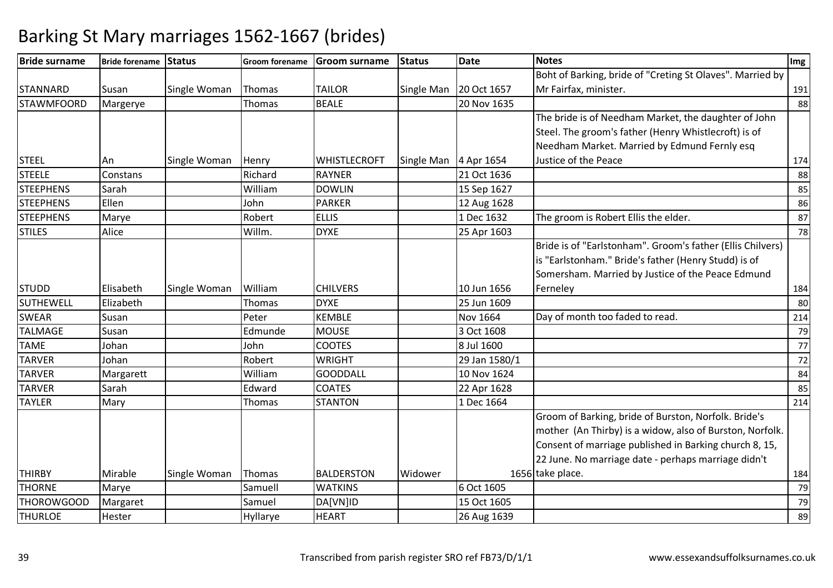| <b>Bride surname</b> | Bride forename Status |              | <b>Groom forename</b> | <b>Groom surname</b> | <b>Status</b>         | <b>Date</b>              | <b>Notes</b>                                               | Img |
|----------------------|-----------------------|--------------|-----------------------|----------------------|-----------------------|--------------------------|------------------------------------------------------------|-----|
|                      |                       |              |                       |                      |                       |                          | Boht of Barking, bride of "Creting St Olaves". Married by  |     |
| <b>STANNARD</b>      | Susan                 | Single Woman | Thomas                | <b>TAILOR</b>        |                       | Single Man   20 Oct 1657 | Mr Fairfax, minister.                                      | 191 |
| <b>STAWMFOORD</b>    | Margerye              |              | Thomas                | <b>BEALE</b>         |                       | 20 Nov 1635              |                                                            | 88  |
|                      |                       |              |                       |                      |                       |                          | The bride is of Needham Market, the daughter of John       |     |
|                      |                       |              |                       |                      |                       |                          | Steel. The groom's father (Henry Whistlecroft) is of       |     |
|                      |                       |              |                       |                      |                       |                          | Needham Market. Married by Edmund Fernly esq               |     |
| <b>STEEL</b>         | An                    | Single Woman | Henry                 | <b>WHISTLECROFT</b>  | Single Man 4 Apr 1654 |                          | Justice of the Peace                                       | 174 |
| <b>STEELE</b>        | Constans              |              | Richard               | <b>RAYNER</b>        |                       | 21 Oct 1636              |                                                            | 88  |
| <b>STEEPHENS</b>     | Sarah                 |              | William               | <b>DOWLIN</b>        |                       | 15 Sep 1627              |                                                            | 85  |
| <b>STEEPHENS</b>     | Ellen                 |              | John                  | <b>PARKER</b>        |                       | 12 Aug 1628              |                                                            | 86  |
| <b>STEEPHENS</b>     | Marye                 |              | Robert                | <b>ELLIS</b>         |                       | 1 Dec 1632               | The groom is Robert Ellis the elder.                       | 87  |
| <b>STILES</b>        | Alice                 |              | Willm.                | <b>DYXE</b>          |                       | 25 Apr 1603              |                                                            | 78  |
|                      |                       |              |                       |                      |                       |                          | Bride is of "Earlstonham". Groom's father (Ellis Chilvers) |     |
|                      |                       |              |                       |                      |                       |                          | is "Earlstonham." Bride's father (Henry Studd) is of       |     |
|                      |                       |              |                       |                      |                       |                          | Somersham. Married by Justice of the Peace Edmund          |     |
| <b>STUDD</b>         | Elisabeth             | Single Woman | William               | <b>CHILVERS</b>      |                       | 10 Jun 1656              | Ferneley                                                   | 184 |
| <b>SUTHEWELL</b>     | Elizabeth             |              | <b>Thomas</b>         | <b>DYXE</b>          |                       | 25 Jun 1609              |                                                            | 80  |
| <b>SWEAR</b>         | Susan                 |              | Peter                 | <b>KEMBLE</b>        |                       | Nov 1664                 | Day of month too faded to read.                            | 214 |
| <b>TALMAGE</b>       | Susan                 |              | Edmunde               | <b>MOUSE</b>         |                       | 3 Oct 1608               |                                                            | 79  |
| <b>TAME</b>          | Johan                 |              | John                  | <b>COOTES</b>        |                       | 8 Jul 1600               |                                                            | 77  |
| <b>TARVER</b>        | Johan                 |              | Robert                | <b>WRIGHT</b>        |                       | 29 Jan 1580/1            |                                                            | 72  |
| <b>TARVER</b>        | Margarett             |              | William               | <b>GOODDALL</b>      |                       | 10 Nov 1624              |                                                            | 84  |
| <b>TARVER</b>        | Sarah                 |              | Edward                | <b>COATES</b>        |                       | 22 Apr 1628              |                                                            | 85  |
| <b>TAYLER</b>        | Mary                  |              | Thomas                | <b>STANTON</b>       |                       | 1 Dec 1664               |                                                            | 214 |
|                      |                       |              |                       |                      |                       |                          | Groom of Barking, bride of Burston, Norfolk. Bride's       |     |
|                      |                       |              |                       |                      |                       |                          | mother (An Thirby) is a widow, also of Burston, Norfolk.   |     |
|                      |                       |              |                       |                      |                       |                          | Consent of marriage published in Barking church 8, 15,     |     |
|                      |                       |              |                       |                      |                       |                          | 22 June. No marriage date - perhaps marriage didn't        |     |
| <b>THIRBY</b>        | Mirable               | Single Woman | Thomas                | <b>BALDERSTON</b>    | Widower               |                          | 1656 take place.                                           | 184 |
| <b>THORNE</b>        | Marye                 |              | Samuell               | <b>WATKINS</b>       |                       | 6 Oct 1605               |                                                            | 79  |
| THOROWGOOD           | Margaret              |              | Samuel                | DA[VN]ID             |                       | 15 Oct 1605              |                                                            | 79  |
| <b>THURLOE</b>       | Hester                |              | Hyllarye              | <b>HEART</b>         |                       | 26 Aug 1639              |                                                            | 89  |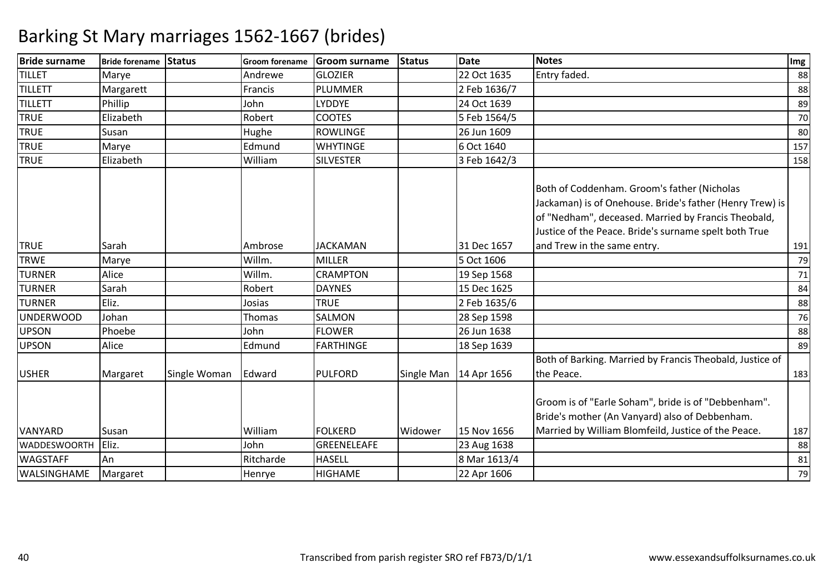| <b>Bride surname</b> | Bride forename Status |              | <b>Groom forename</b> | <b>Groom surname</b> | <b>Status</b> | <b>Date</b>  | <b>Notes</b>                                                                                                                                                                                                            | Img |
|----------------------|-----------------------|--------------|-----------------------|----------------------|---------------|--------------|-------------------------------------------------------------------------------------------------------------------------------------------------------------------------------------------------------------------------|-----|
| <b>TILLET</b>        | Marye                 |              | Andrewe               | <b>GLOZIER</b>       |               | 22 Oct 1635  | Entry faded.                                                                                                                                                                                                            | 88  |
| TILLETT              | Margarett             |              | Francis               | <b>PLUMMER</b>       |               | 2 Feb 1636/7 |                                                                                                                                                                                                                         | 88  |
| <b>TILLETT</b>       | Phillip               |              | John                  | LYDDYE               |               | 24 Oct 1639  |                                                                                                                                                                                                                         | 89  |
| <b>TRUE</b>          | Elizabeth             |              | Robert                | <b>COOTES</b>        |               | 5 Feb 1564/5 |                                                                                                                                                                                                                         | 70  |
| <b>TRUE</b>          | Susan                 |              | Hughe                 | <b>ROWLINGE</b>      |               | 26 Jun 1609  |                                                                                                                                                                                                                         | 80  |
| <b>TRUE</b>          | Marye                 |              | Edmund                | <b>WHYTINGE</b>      |               | 6 Oct 1640   |                                                                                                                                                                                                                         | 157 |
| <b>TRUE</b>          | Elizabeth             |              | William               | <b>SILVESTER</b>     |               | 3 Feb 1642/3 |                                                                                                                                                                                                                         | 158 |
|                      |                       |              |                       |                      |               |              | Both of Coddenham. Groom's father (Nicholas<br>Jackaman) is of Onehouse. Bride's father (Henry Trew) is<br>of "Nedham", deceased. Married by Francis Theobald,<br>Justice of the Peace. Bride's surname spelt both True |     |
| <b>TRUE</b>          | Sarah                 |              | Ambrose               | <b>JACKAMAN</b>      |               | 31 Dec 1657  | and Trew in the same entry.                                                                                                                                                                                             | 191 |
| <b>TRWE</b>          | Marye                 |              | Willm.                | <b>MILLER</b>        |               | 5 Oct 1606   |                                                                                                                                                                                                                         | 79  |
| <b>TURNER</b>        | Alice                 |              | Willm.                | <b>CRAMPTON</b>      |               | 19 Sep 1568  |                                                                                                                                                                                                                         | 71  |
| <b>TURNER</b>        | Sarah                 |              | Robert                | <b>DAYNES</b>        |               | 15 Dec 1625  |                                                                                                                                                                                                                         | 84  |
| <b>TURNER</b>        | Eliz.                 |              | Josias                | <b>TRUE</b>          |               | 2 Feb 1635/6 |                                                                                                                                                                                                                         | 88  |
| UNDERWOOD            | Johan                 |              | Thomas                | SALMON               |               | 28 Sep 1598  |                                                                                                                                                                                                                         | 76  |
| <b>UPSON</b>         | Phoebe                |              | John                  | <b>FLOWER</b>        |               | 26 Jun 1638  |                                                                                                                                                                                                                         | 88  |
| <b>UPSON</b>         | Alice                 |              | Edmund                | <b>FARTHINGE</b>     |               | 18 Sep 1639  |                                                                                                                                                                                                                         | 89  |
| <b>USHER</b>         | Margaret              | Single Woman | Edward                | <b>PULFORD</b>       | Single Man    | 14 Apr 1656  | Both of Barking. Married by Francis Theobald, Justice of<br>the Peace.                                                                                                                                                  | 183 |
|                      |                       |              |                       |                      |               |              | Groom is of "Earle Soham", bride is of "Debbenham".<br>Bride's mother (An Vanyard) also of Debbenham.                                                                                                                   |     |
| <b>VANYARD</b>       | Susan                 |              | William               | <b>FOLKERD</b>       | Widower       | 15 Nov 1656  | Married by William Blomfeild, Justice of the Peace.                                                                                                                                                                     | 187 |
| <b>WADDESWOORTH</b>  | Eliz.                 |              | John                  | GREENELEAFE          |               | 23 Aug 1638  |                                                                                                                                                                                                                         | 88  |
| <b>WAGSTAFF</b>      | An                    |              | Ritcharde             | <b>HASELL</b>        |               | 8 Mar 1613/4 |                                                                                                                                                                                                                         | 81  |
| WALSINGHAME          | Margaret              |              | Henrye                | HIGHAME              |               | 22 Apr 1606  |                                                                                                                                                                                                                         | 79  |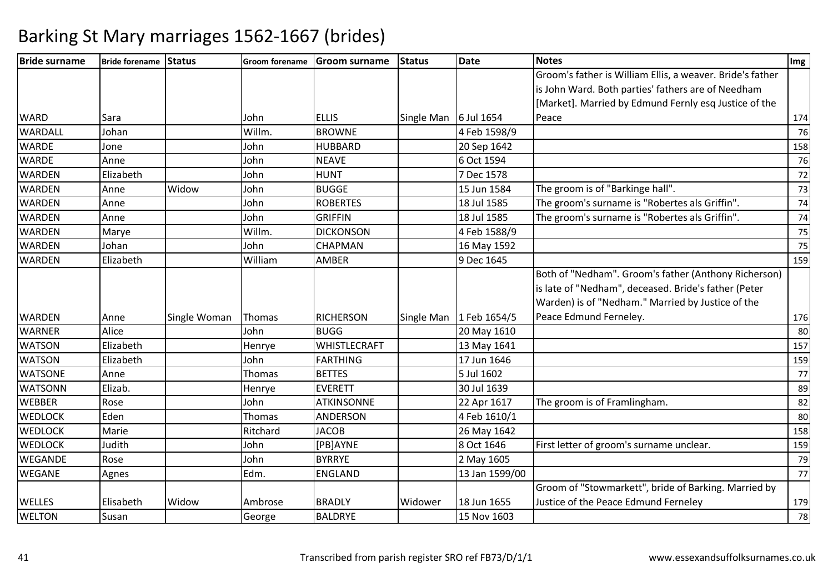| <b>Bride surname</b> | Bride forename Status |              | <b>Groom forename</b> | <b>Groom surname</b> | <b>Status</b>         | <b>Date</b>               | <b>Notes</b>                                                                                                                                                      | Img |
|----------------------|-----------------------|--------------|-----------------------|----------------------|-----------------------|---------------------------|-------------------------------------------------------------------------------------------------------------------------------------------------------------------|-----|
|                      |                       |              |                       |                      |                       |                           | Groom's father is William Ellis, a weaver. Bride's father                                                                                                         |     |
|                      |                       |              |                       |                      |                       |                           | is John Ward. Both parties' fathers are of Needham                                                                                                                |     |
|                      |                       |              |                       |                      |                       |                           | [Market]. Married by Edmund Fernly esq Justice of the                                                                                                             |     |
| <b>WARD</b>          | Sara                  |              | John                  | <b>ELLIS</b>         | Single Man 6 Jul 1654 |                           | Peace                                                                                                                                                             | 174 |
| WARDALL              | Johan                 |              | Willm.                | <b>BROWNE</b>        |                       | 4 Feb 1598/9              |                                                                                                                                                                   | 76  |
| <b>WARDE</b>         | Jone                  |              | John                  | <b>HUBBARD</b>       |                       | 20 Sep 1642               |                                                                                                                                                                   | 158 |
| <b>WARDE</b>         | Anne                  |              | John                  | <b>NEAVE</b>         |                       | 6 Oct 1594                |                                                                                                                                                                   | 76  |
| <b>WARDEN</b>        | Elizabeth             |              | John                  | <b>HUNT</b>          |                       | 7 Dec 1578                |                                                                                                                                                                   | 72  |
| <b>WARDEN</b>        | Anne                  | Widow        | John                  | <b>BUGGE</b>         |                       | 15 Jun 1584               | The groom is of "Barkinge hall".                                                                                                                                  | 73  |
| <b>WARDEN</b>        | Anne                  |              | John                  | <b>ROBERTES</b>      |                       | 18 Jul 1585               | The groom's surname is "Robertes als Griffin".                                                                                                                    | 74  |
| <b>WARDEN</b>        | Anne                  |              | John                  | <b>GRIFFIN</b>       |                       | 18 Jul 1585               | The groom's surname is "Robertes als Griffin".                                                                                                                    | 74  |
| <b>WARDEN</b>        | Marye                 |              | Willm.                | <b>DICKONSON</b>     |                       | 4 Feb 1588/9              |                                                                                                                                                                   | 75  |
| <b>WARDEN</b>        | Johan                 |              | John                  | <b>CHAPMAN</b>       |                       | 16 May 1592               |                                                                                                                                                                   | 75  |
| <b>WARDEN</b>        | Elizabeth             |              | William               | <b>AMBER</b>         |                       | 9 Dec 1645                |                                                                                                                                                                   | 159 |
|                      |                       |              |                       |                      |                       |                           | Both of "Nedham". Groom's father (Anthony Richerson)<br>is late of "Nedham", deceased. Bride's father (Peter<br>Warden) is of "Nedham." Married by Justice of the |     |
| <b>WARDEN</b>        | Anne                  | Single Woman | Thomas                | <b>RICHERSON</b>     |                       | Single Man   1 Feb 1654/5 | Peace Edmund Ferneley.                                                                                                                                            | 176 |
| <b>WARNER</b>        | Alice                 |              | John                  | <b>BUGG</b>          |                       | 20 May 1610               |                                                                                                                                                                   | 80  |
| <b>WATSON</b>        | Elizabeth             |              | Henrye                | <b>WHISTLECRAFT</b>  |                       | 13 May 1641               |                                                                                                                                                                   | 157 |
| <b>WATSON</b>        | Elizabeth             |              | John                  | <b>FARTHING</b>      |                       | 17 Jun 1646               |                                                                                                                                                                   | 159 |
| <b>WATSONE</b>       | Anne                  |              | Thomas                | <b>BETTES</b>        |                       | 5 Jul 1602                |                                                                                                                                                                   | 77  |
| <b>WATSONN</b>       | Elizab.               |              | Henrye                | <b>EVERETT</b>       |                       | 30 Jul 1639               |                                                                                                                                                                   | 89  |
| <b>WEBBER</b>        | Rose                  |              | John                  | <b>ATKINSONNE</b>    |                       | 22 Apr 1617               | The groom is of Framlingham.                                                                                                                                      | 82  |
| <b>WEDLOCK</b>       | Eden                  |              | Thomas                | <b>ANDERSON</b>      |                       | 4 Feb 1610/1              |                                                                                                                                                                   | 80  |
| <b>WEDLOCK</b>       | Marie                 |              | Ritchard              | <b>JACOB</b>         |                       | 26 May 1642               |                                                                                                                                                                   | 158 |
| <b>WEDLOCK</b>       | Judith                |              | John                  | [PB]AYNE             |                       | 8 Oct 1646                | First letter of groom's surname unclear.                                                                                                                          | 159 |
| <b>WEGANDE</b>       | Rose                  |              | John                  | <b>BYRRYE</b>        |                       | 2 May 1605                |                                                                                                                                                                   | 79  |
| <b>WEGANE</b>        | Agnes                 |              | Edm.                  | <b>ENGLAND</b>       |                       | 13 Jan 1599/00            |                                                                                                                                                                   | 77  |
|                      |                       |              |                       |                      |                       |                           | Groom of "Stowmarkett", bride of Barking. Married by                                                                                                              |     |
| <b>WELLES</b>        | Elisabeth             | Widow        | Ambrose               | <b>BRADLY</b>        | Widower               | 18 Jun 1655               | Justice of the Peace Edmund Ferneley                                                                                                                              | 179 |
| <b>WELTON</b>        | Susan                 |              | George                | <b>BALDRYE</b>       |                       | 15 Nov 1603               |                                                                                                                                                                   | 78  |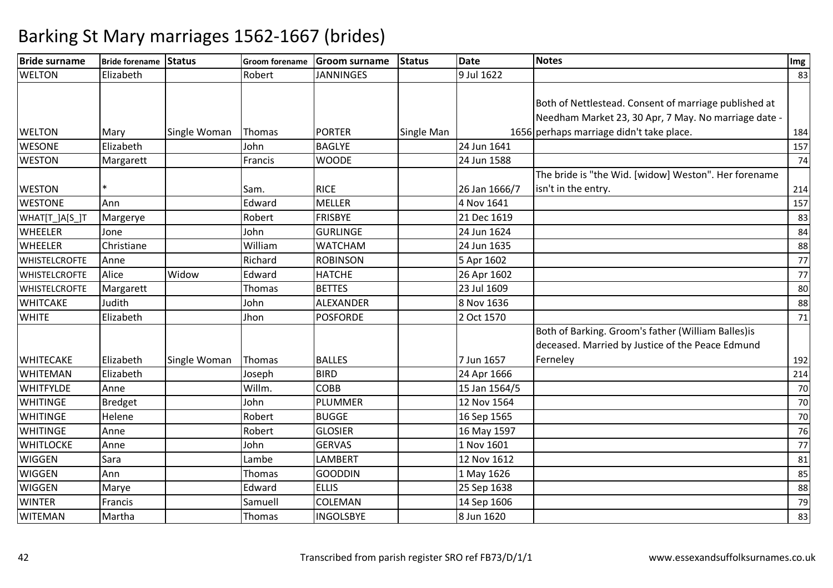| <b>Bride surname</b> | Bride forename Status |              | <b>Groom forename</b> | Groom surname    | Status     | <b>Date</b>   | <b>Notes</b>                                                                                                  | Img |
|----------------------|-----------------------|--------------|-----------------------|------------------|------------|---------------|---------------------------------------------------------------------------------------------------------------|-----|
| <b>WELTON</b>        | Elizabeth             |              | Robert                | <b>JANNINGES</b> |            | 9 Jul 1622    |                                                                                                               | 83  |
|                      |                       |              |                       |                  |            |               | Both of Nettlestead. Consent of marriage published at<br>Needham Market 23, 30 Apr, 7 May. No marriage date - |     |
| <b>WELTON</b>        | Mary                  | Single Woman | Thomas                | <b>PORTER</b>    | Single Man |               | 1656 perhaps marriage didn't take place.                                                                      | 184 |
| <b>WESONE</b>        | Elizabeth             |              | John                  | <b>BAGLYE</b>    |            | 24 Jun 1641   |                                                                                                               | 157 |
| <b>WESTON</b>        | Margarett             |              | Francis               | <b>WOODE</b>     |            | 24 Jun 1588   |                                                                                                               | 74  |
| <b>WESTON</b>        |                       |              | Sam.                  | <b>RICE</b>      |            | 26 Jan 1666/7 | The bride is "the Wid. [widow] Weston". Her forename<br>isn't in the entry.                                   | 214 |
| <b>WESTONE</b>       | Ann                   |              | Edward                | <b>MELLER</b>    |            | 4 Nov 1641    |                                                                                                               | 157 |
| WHAT[T_]A[S_]T       | Margerye              |              | Robert                | <b>FRISBYE</b>   |            | 21 Dec 1619   |                                                                                                               | 83  |
| <b>WHEELER</b>       | Jone                  |              | John                  | <b>GURLINGE</b>  |            | 24 Jun 1624   |                                                                                                               | 84  |
| <b>WHEELER</b>       | Christiane            |              | William               | <b>WATCHAM</b>   |            | 24 Jun 1635   |                                                                                                               | 88  |
| <b>WHISTELCROFTE</b> | Anne                  |              | Richard               | <b>ROBINSON</b>  |            | 5 Apr 1602    |                                                                                                               | 77  |
| <b>WHISTELCROFTE</b> | Alice                 | Widow        | Edward                | <b>HATCHE</b>    |            | 26 Apr 1602   |                                                                                                               | 77  |
| <b>WHISTELCROFTE</b> | Margarett             |              | Thomas                | <b>BETTES</b>    |            | 23 Jul 1609   |                                                                                                               | 80  |
| <b>WHITCAKE</b>      | Judith                |              | John                  | ALEXANDER        |            | 8 Nov 1636    |                                                                                                               | 88  |
| <b>WHITE</b>         | Elizabeth             |              | Jhon                  | <b>POSFORDE</b>  |            | 2 Oct 1570    |                                                                                                               | 71  |
|                      |                       |              |                       |                  |            |               | Both of Barking. Groom's father (William Balles)is<br>deceased. Married by Justice of the Peace Edmund        |     |
| <b>WHITECAKE</b>     | Elizabeth             | Single Woman | Thomas                | <b>BALLES</b>    |            | 7 Jun 1657    | Ferneley                                                                                                      | 192 |
| <b>WHITEMAN</b>      | Elizabeth             |              | Joseph                | <b>BIRD</b>      |            | 24 Apr 1666   |                                                                                                               | 214 |
| <b>WHITFYLDE</b>     | Anne                  |              | Willm.                | <b>COBB</b>      |            | 15 Jan 1564/5 |                                                                                                               | 70  |
| <b>WHITINGE</b>      | <b>Bredget</b>        |              | John                  | <b>PLUMMER</b>   |            | 12 Nov 1564   |                                                                                                               | 70  |
| <b>WHITINGE</b>      | Helene                |              | Robert                | <b>BUGGE</b>     |            | 16 Sep 1565   |                                                                                                               | 70  |
| <b>WHITINGE</b>      | Anne                  |              | Robert                | <b>GLOSIER</b>   |            | 16 May 1597   |                                                                                                               | 76  |
| <b>WHITLOCKE</b>     | Anne                  |              | John                  | <b>GERVAS</b>    |            | 1 Nov 1601    |                                                                                                               | 77  |
| <b>WIGGEN</b>        | Sara                  |              | Lambe                 | <b>LAMBERT</b>   |            | 12 Nov 1612   |                                                                                                               | 81  |
| <b>WIGGEN</b>        | Ann                   |              | Thomas                | <b>GOODDIN</b>   |            | 1 May 1626    |                                                                                                               | 85  |
| <b>WIGGEN</b>        | Marye                 |              | Edward                | <b>ELLIS</b>     |            | 25 Sep 1638   |                                                                                                               | 88  |
| <b>WINTER</b>        | Francis               |              | Samuell               | <b>COLEMAN</b>   |            | 14 Sep 1606   |                                                                                                               | 79  |
| <b>WITEMAN</b>       | Martha                |              | Thomas                | <b>INGOLSBYE</b> |            | 8 Jun 1620    |                                                                                                               | 83  |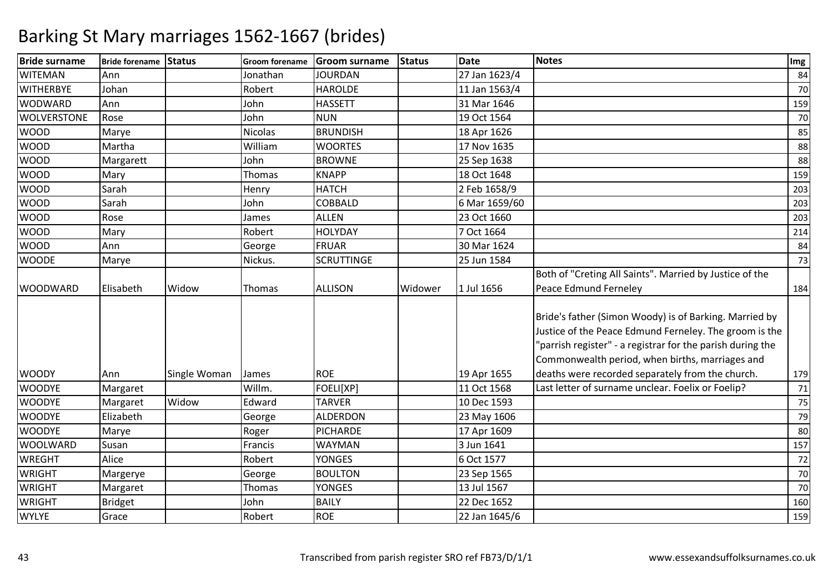| <b>Bride surname</b> | Bride forename Status |              | Groom forename | <b>Groom surname</b> | <b>Status</b> | <b>Date</b>   | <b>Notes</b>                                                                                                                                                                                                                      | Img |
|----------------------|-----------------------|--------------|----------------|----------------------|---------------|---------------|-----------------------------------------------------------------------------------------------------------------------------------------------------------------------------------------------------------------------------------|-----|
| <b>WITEMAN</b>       | Ann                   |              | Jonathan       | <b>JOURDAN</b>       |               | 27 Jan 1623/4 |                                                                                                                                                                                                                                   | 84  |
| <b>WITHERBYE</b>     | Johan                 |              | Robert         | <b>HAROLDE</b>       |               | 11 Jan 1563/4 |                                                                                                                                                                                                                                   | 70  |
| <b>WODWARD</b>       | Ann                   |              | John           | <b>HASSETT</b>       |               | 31 Mar 1646   |                                                                                                                                                                                                                                   | 159 |
| <b>WOLVERSTONE</b>   | Rose                  |              | John           | <b>NUN</b>           |               | 19 Oct 1564   |                                                                                                                                                                                                                                   | 70  |
| <b>WOOD</b>          | Marye                 |              | Nicolas        | <b>BRUNDISH</b>      |               | 18 Apr 1626   |                                                                                                                                                                                                                                   | 85  |
| <b>WOOD</b>          | Martha                |              | William        | <b>WOORTES</b>       |               | 17 Nov 1635   |                                                                                                                                                                                                                                   | 88  |
| <b>WOOD</b>          | Margarett             |              | John           | <b>BROWNE</b>        |               | 25 Sep 1638   |                                                                                                                                                                                                                                   | 88  |
| <b>WOOD</b>          | Mary                  |              | Thomas         | <b>KNAPP</b>         |               | 18 Oct 1648   |                                                                                                                                                                                                                                   | 159 |
| <b>WOOD</b>          | Sarah                 |              | Henry          | <b>HATCH</b>         |               | 2 Feb 1658/9  |                                                                                                                                                                                                                                   | 203 |
| <b>WOOD</b>          | Sarah                 |              | John           | COBBALD              |               | 6 Mar 1659/60 |                                                                                                                                                                                                                                   | 203 |
| <b>WOOD</b>          | Rose                  |              | James          | <b>ALLEN</b>         |               | 23 Oct 1660   |                                                                                                                                                                                                                                   | 203 |
| <b>WOOD</b>          | Mary                  |              | Robert         | <b>HOLYDAY</b>       |               | 7 Oct 1664    |                                                                                                                                                                                                                                   | 214 |
| <b>WOOD</b>          | Ann                   |              | George         | FRUAR                |               | 30 Mar 1624   |                                                                                                                                                                                                                                   | 84  |
| <b>WOODE</b>         | Marye                 |              | Nickus.        | <b>SCRUTTINGE</b>    |               | 25 Jun 1584   |                                                                                                                                                                                                                                   | 73  |
| <b>WOODWARD</b>      | Elisabeth             | Widow        | Thomas         | <b>ALLISON</b>       | Widower       | 1 Jul 1656    | Both of "Creting All Saints". Married by Justice of the<br>Peace Edmund Ferneley                                                                                                                                                  | 184 |
|                      |                       |              |                |                      |               |               | Bride's father (Simon Woody) is of Barking. Married by<br>Justice of the Peace Edmund Ferneley. The groom is the<br>'parrish register" - a registrar for the parish during the<br>Commonwealth period, when births, marriages and |     |
| <b>WOODY</b>         | Ann                   | Single Woman | James          | <b>ROE</b>           |               | 19 Apr 1655   | deaths were recorded separately from the church.                                                                                                                                                                                  | 179 |
| <b>WOODYE</b>        | Margaret              |              | Willm.         | FOELI[XP]            |               | 11 Oct 1568   | Last letter of surname unclear. Foelix or Foelip?                                                                                                                                                                                 | 71  |
| <b>WOODYE</b>        | Margaret              | Widow        | Edward         | <b>TARVER</b>        |               | 10 Dec 1593   |                                                                                                                                                                                                                                   | 75  |
| <b>WOODYE</b>        | Elizabeth             |              | George         | <b>ALDERDON</b>      |               | 23 May 1606   |                                                                                                                                                                                                                                   | 79  |
| <b>WOODYE</b>        | Marye                 |              | Roger          | <b>PICHARDE</b>      |               | 17 Apr 1609   |                                                                                                                                                                                                                                   | 80  |
| <b>WOOLWARD</b>      | Susan                 |              | Francis        | <b>WAYMAN</b>        |               | 3 Jun 1641    |                                                                                                                                                                                                                                   | 157 |
| <b>WREGHT</b>        | Alice                 |              | Robert         | <b>YONGES</b>        |               | 6 Oct 1577    |                                                                                                                                                                                                                                   | 72  |
| <b>WRIGHT</b>        | Margerye              |              | George         | <b>BOULTON</b>       |               | 23 Sep 1565   |                                                                                                                                                                                                                                   | 70  |
| <b>WRIGHT</b>        | Margaret              |              | Thomas         | <b>YONGES</b>        |               | 13 Jul 1567   |                                                                                                                                                                                                                                   | 70  |
| <b>WRIGHT</b>        | <b>Bridget</b>        |              | John           | <b>BAILY</b>         |               | 22 Dec 1652   |                                                                                                                                                                                                                                   | 160 |
| <b>WYLYE</b>         | Grace                 |              | Robert         | <b>ROE</b>           |               | 22 Jan 1645/6 |                                                                                                                                                                                                                                   | 159 |